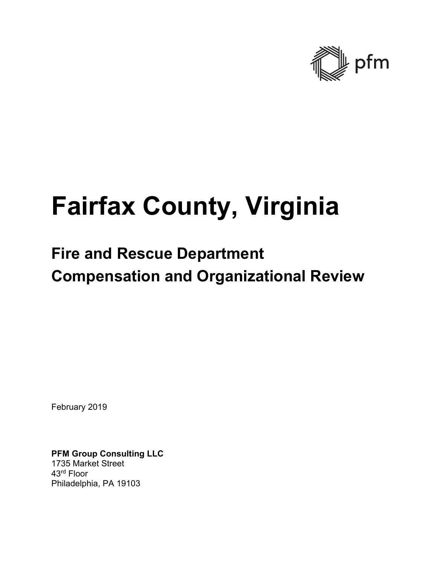

# **Fairfax County, Virginia**

## **Fire and Rescue Department Compensation and Organizational Review**

February 2019

**PFM Group Consulting LLC**  1735 Market Street 43rd Floor Philadelphia, PA 19103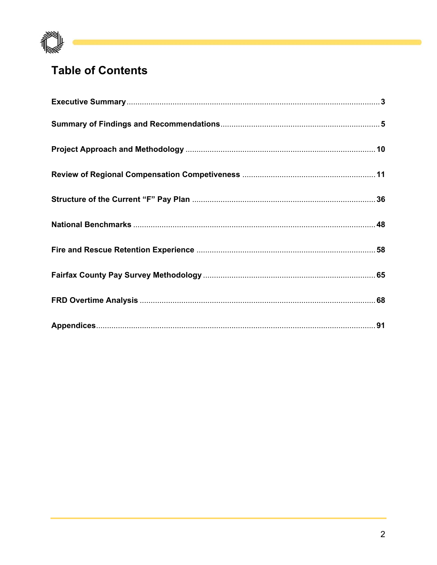

## **Table of Contents**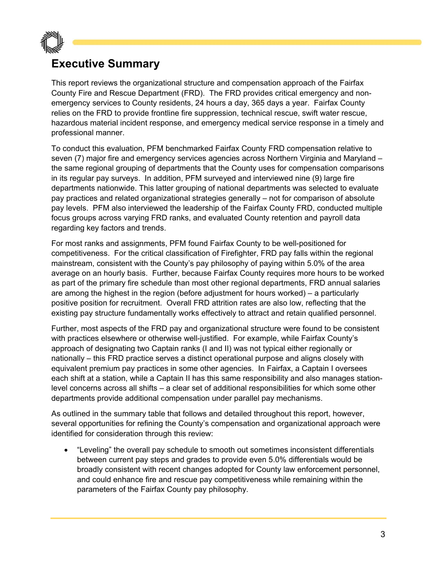

### **Executive Summary**

This report reviews the organizational structure and compensation approach of the Fairfax County Fire and Rescue Department (FRD). The FRD provides critical emergency and nonemergency services to County residents, 24 hours a day, 365 days a year. Fairfax County relies on the FRD to provide frontline fire suppression, technical rescue, swift water rescue, hazardous material incident response, and emergency medical service response in a timely and professional manner.

To conduct this evaluation, PFM benchmarked Fairfax County FRD compensation relative to seven (7) major fire and emergency services agencies across Northern Virginia and Maryland – the same regional grouping of departments that the County uses for compensation comparisons in its regular pay surveys. In addition, PFM surveyed and interviewed nine (9) large fire departments nationwide. This latter grouping of national departments was selected to evaluate pay practices and related organizational strategies generally – not for comparison of absolute pay levels. PFM also interviewed the leadership of the Fairfax County FRD, conducted multiple focus groups across varying FRD ranks, and evaluated County retention and payroll data regarding key factors and trends.

For most ranks and assignments, PFM found Fairfax County to be well-positioned for competitiveness. For the critical classification of Firefighter, FRD pay falls within the regional mainstream, consistent with the County's pay philosophy of paying within 5.0% of the area average on an hourly basis. Further, because Fairfax County requires more hours to be worked as part of the primary fire schedule than most other regional departments, FRD annual salaries are among the highest in the region (before adjustment for hours worked) – a particularly positive position for recruitment. Overall FRD attrition rates are also low, reflecting that the existing pay structure fundamentally works effectively to attract and retain qualified personnel.

Further, most aspects of the FRD pay and organizational structure were found to be consistent with practices elsewhere or otherwise well-justified. For example, while Fairfax County's approach of designating two Captain ranks (I and II) was not typical either regionally or nationally – this FRD practice serves a distinct operational purpose and aligns closely with equivalent premium pay practices in some other agencies. In Fairfax, a Captain I oversees each shift at a station, while a Captain II has this same responsibility and also manages stationlevel concerns across all shifts – a clear set of additional responsibilities for which some other departments provide additional compensation under parallel pay mechanisms.

As outlined in the summary table that follows and detailed throughout this report, however, several opportunities for refining the County's compensation and organizational approach were identified for consideration through this review:

 "Leveling" the overall pay schedule to smooth out sometimes inconsistent differentials between current pay steps and grades to provide even 5.0% differentials would be broadly consistent with recent changes adopted for County law enforcement personnel, and could enhance fire and rescue pay competitiveness while remaining within the parameters of the Fairfax County pay philosophy.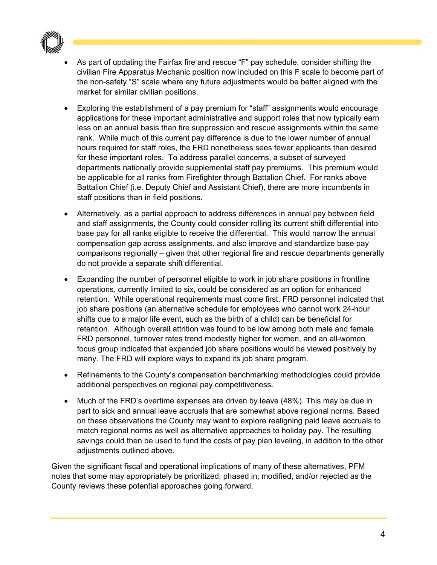

- As part of updating the Fairfax fire and rescue "F" pay schedule, consider shifting the civilian Fire Apparatus Mechanic position now included on this F scale to become part of the non-safety "S" scale where any future adjustments would be better aligned with the market for similar civilian positions.
- Exploring the establishment of a pay premium for "staff" assignments would encourage applications for these important administrative and support roles that now typically earn less on an annual basis than fire suppression and rescue assignments within the same rank. While much of this current pay difference is due to the lower number of annual hours required for staff roles, the FRD nonetheless sees fewer applicants than desired for these important roles. To address parallel concerns, a subset of surveyed departments nationally provide supplemental staff pay premiums. This premium would be applicable for all ranks from Firefighter through Battalion Chief. For ranks above Battalion Chief (i.e. Deputy Chief and Assistant Chief), there are more incumbents in staff positions than in field positions.
- Alternatively, as a partial approach to address differences in annual pay between field and staff assignments, the County could consider rolling its current shift differential into base pay for all ranks eligible to receive the differential. This would narrow the annual compensation gap across assignments, and also improve and standardize base pay comparisons regionally – given that other regional fire and rescue departments generally do not provide a separate shift differential.
- Expanding the number of personnel eligible to work in job share positions in frontline operations, currently limited to six, could be considered as an option for enhanced retention. While operational requirements must come first, FRD personnel indicated that job share positions (an alternative schedule for employees who cannot work 24-hour shifts due to a major life event, such as the birth of a child) can be beneficial for retention. Although overall attrition was found to be low among both male and female FRD personnel, turnover rates trend modestly higher for women, and an all-women focus group indicated that expanded job share positions would be viewed positively by many. The FRD will explore ways to expand its job share program.
- Refinements to the County's compensation benchmarking methodologies could provide additional perspectives on regional pay competitiveness.
- Much of the FRD's overtime expenses are driven by leave (48%). This may be due in part to sick and annual leave accruals that are somewhat above regional norms. Based on these observations the County may want to explore realigning paid leave accruals to match regional norms as well as alternative approaches to holiday pay. The resulting savings could then be used to fund the costs of pay plan leveling, in addition to the other adjustments outlined above.

Given the significant fiscal and operational implications of many of these alternatives, PFM notes that some may appropriately be prioritized, phased in, modified, and/or rejected as the County reviews these potential approaches going forward.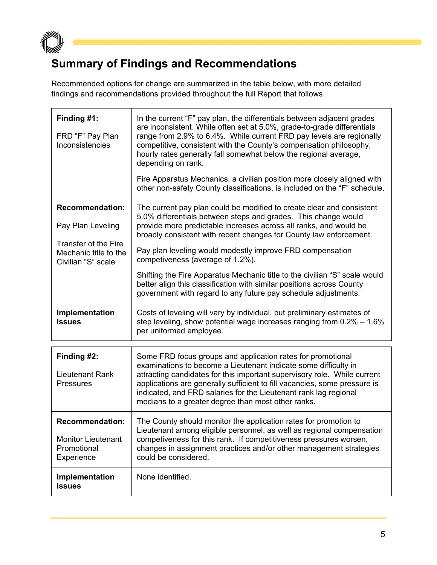

## **Summary of Findings and Recommendations**

Recommended options for change are summarized in the table below, with more detailed findings and recommendations provided throughout the full Report that follows.

| Finding #1:<br>FRD "F" Pay Plan<br>Inconsistencies                               | In the current "F" pay plan, the differentials between adjacent grades<br>are inconsistent. While often set at 5.0%, grade-to-grade differentials<br>range from 2.9% to 6.4%. While current FRD pay levels are regionally<br>competitive, consistent with the County's compensation philosophy,<br>hourly rates generally fall somewhat below the regional average,<br>depending on rank.<br>Fire Apparatus Mechanics, a civilian position more closely aligned with<br>other non-safety County classifications, is included on the "F" schedule. |
|----------------------------------------------------------------------------------|---------------------------------------------------------------------------------------------------------------------------------------------------------------------------------------------------------------------------------------------------------------------------------------------------------------------------------------------------------------------------------------------------------------------------------------------------------------------------------------------------------------------------------------------------|
| <b>Recommendation:</b><br>Pay Plan Leveling<br>Transfer of the Fire              | The current pay plan could be modified to create clear and consistent<br>5.0% differentials between steps and grades. This change would<br>provide more predictable increases across all ranks, and would be<br>broadly consistent with recent changes for County law enforcement.                                                                                                                                                                                                                                                                |
| Mechanic title to the<br>Civilian "S" scale                                      | Pay plan leveling would modestly improve FRD compensation<br>competiveness (average of 1.2%).                                                                                                                                                                                                                                                                                                                                                                                                                                                     |
|                                                                                  | Shifting the Fire Apparatus Mechanic title to the civilian "S" scale would<br>better align this classification with similar positions across County<br>government with regard to any future pay schedule adjustments.                                                                                                                                                                                                                                                                                                                             |
| Implementation<br><b>Issues</b>                                                  | Costs of leveling will vary by individual, but preliminary estimates of<br>step leveling, show potential wage increases ranging from $0.2\% - 1.6\%$<br>per uniformed employee.                                                                                                                                                                                                                                                                                                                                                                   |
| Finding #2:<br>Lieutenant Rank<br>Pressures                                      | Some FRD focus groups and application rates for promotional<br>examinations to become a Lieutenant indicate some difficulty in<br>attracting candidates for this important supervisory role. While current<br>applications are generally sufficient to fill vacancies, some pressure is<br>indicated, and FRD salaries for the Lieutenant rank lag regional<br>medians to a greater degree than most other ranks.                                                                                                                                 |
| <b>Recommendation:</b><br><b>Monitor Lieutenant</b><br>Promotional<br>Experience | The County should monitor the application rates for promotion to<br>Lieutenant among eligible personnel, as well as regional compensation<br>competiveness for this rank. If competitiveness pressures worsen,<br>changes in assignment practices and/or other management strategies<br>could be considered.                                                                                                                                                                                                                                      |
| Implementation<br><b>Issues</b>                                                  | None identified.                                                                                                                                                                                                                                                                                                                                                                                                                                                                                                                                  |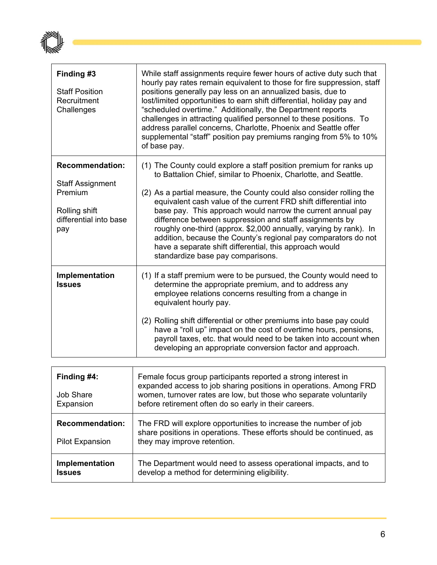

| Finding #3<br><b>Staff Position</b><br>Recruitment<br>Challenges                                               | While staff assignments require fewer hours of active duty such that<br>hourly pay rates remain equivalent to those for fire suppression, staff<br>positions generally pay less on an annualized basis, due to<br>lost/limited opportunities to earn shift differential, holiday pay and<br>"scheduled overtime." Additionally, the Department reports<br>challenges in attracting qualified personnel to these positions. To<br>address parallel concerns, Charlotte, Phoenix and Seattle offer<br>supplemental "staff" position pay premiums ranging from 5% to 10%<br>of base pay.                                                              |
|----------------------------------------------------------------------------------------------------------------|----------------------------------------------------------------------------------------------------------------------------------------------------------------------------------------------------------------------------------------------------------------------------------------------------------------------------------------------------------------------------------------------------------------------------------------------------------------------------------------------------------------------------------------------------------------------------------------------------------------------------------------------------|
| <b>Recommendation:</b><br><b>Staff Assignment</b><br>Premium<br>Rolling shift<br>differential into base<br>pay | (1) The County could explore a staff position premium for ranks up<br>to Battalion Chief, similar to Phoenix, Charlotte, and Seattle.<br>(2) As a partial measure, the County could also consider rolling the<br>equivalent cash value of the current FRD shift differential into<br>base pay. This approach would narrow the current annual pay<br>difference between suppression and staff assignments by<br>roughly one-third (approx. \$2,000 annually, varying by rank). In<br>addition, because the County's regional pay comparators do not<br>have a separate shift differential, this approach would<br>standardize base pay comparisons. |
| Implementation<br><b>Issues</b>                                                                                | (1) If a staff premium were to be pursued, the County would need to<br>determine the appropriate premium, and to address any<br>employee relations concerns resulting from a change in<br>equivalent hourly pay.<br>(2) Rolling shift differential or other premiums into base pay could<br>have a "roll up" impact on the cost of overtime hours, pensions,<br>payroll taxes, etc. that would need to be taken into account when<br>developing an appropriate conversion factor and approach.                                                                                                                                                     |

| Finding #4:<br><b>Job Share</b><br>Expansion     | Female focus group participants reported a strong interest in<br>expanded access to job sharing positions in operations. Among FRD<br>women, turnover rates are low, but those who separate voluntarily<br>before retirement often do so early in their careers. |
|--------------------------------------------------|------------------------------------------------------------------------------------------------------------------------------------------------------------------------------------------------------------------------------------------------------------------|
| <b>Recommendation:</b><br><b>Pilot Expansion</b> | The FRD will explore opportunities to increase the number of job<br>share positions in operations. These efforts should be continued, as<br>they may improve retention.                                                                                          |
| Implementation<br><b>Issues</b>                  | The Department would need to assess operational impacts, and to<br>develop a method for determining eligibility.                                                                                                                                                 |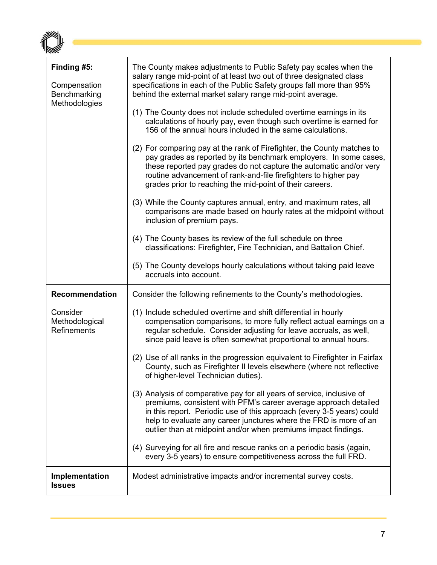| Finding #5:<br>Compensation<br>Benchmarking<br>Methodologies       | The County makes adjustments to Public Safety pay scales when the<br>salary range mid-point of at least two out of three designated class<br>specifications in each of the Public Safety groups fall more than 95%<br>behind the external market salary range mid-point average.<br>(1) The County does not include scheduled overtime earnings in its<br>calculations of hourly pay, even though such overtime is earned for<br>156 of the annual hours included in the same calculations.<br>(2) For comparing pay at the rank of Firefighter, the County matches to<br>pay grades as reported by its benchmark employers. In some cases,<br>these reported pay grades do not capture the automatic and/or very<br>routine advancement of rank-and-file firefighters to higher pay<br>grades prior to reaching the mid-point of their careers.<br>(3) While the County captures annual, entry, and maximum rates, all<br>comparisons are made based on hourly rates at the midpoint without<br>inclusion of premium pays.<br>(4) The County bases its review of the full schedule on three<br>classifications: Firefighter, Fire Technician, and Battalion Chief.<br>(5) The County develops hourly calculations without taking paid leave<br>accruals into account. |
|--------------------------------------------------------------------|------------------------------------------------------------------------------------------------------------------------------------------------------------------------------------------------------------------------------------------------------------------------------------------------------------------------------------------------------------------------------------------------------------------------------------------------------------------------------------------------------------------------------------------------------------------------------------------------------------------------------------------------------------------------------------------------------------------------------------------------------------------------------------------------------------------------------------------------------------------------------------------------------------------------------------------------------------------------------------------------------------------------------------------------------------------------------------------------------------------------------------------------------------------------------------------------------------------------------------------------------------------------|
| <b>Recommendation</b><br>Consider<br>Methodological<br>Refinements | Consider the following refinements to the County's methodologies.<br>(1) Include scheduled overtime and shift differential in hourly<br>compensation comparisons, to more fully reflect actual earnings on a<br>regular schedule. Consider adjusting for leave accruals, as well,<br>since paid leave is often somewhat proportional to annual hours.<br>(2) Use of all ranks in the progression equivalent to Firefighter in Fairfax<br>County, such as Firefighter II levels elsewhere (where not reflective<br>of higher-level Technician duties).<br>(3) Analysis of comparative pay for all years of service, inclusive of<br>premiums, consistent with PFM's career average approach detailed<br>in this report. Periodic use of this approach (every 3-5 years) could<br>help to evaluate any career junctures where the FRD is more of an<br>outlier than at midpoint and/or when premiums impact findings.<br>(4) Surveying for all fire and rescue ranks on a periodic basis (again,<br>every 3-5 years) to ensure competitiveness across the full FRD.                                                                                                                                                                                                      |
| <b>Implementation</b><br><b>Issues</b>                             | Modest administrative impacts and/or incremental survey costs.                                                                                                                                                                                                                                                                                                                                                                                                                                                                                                                                                                                                                                                                                                                                                                                                                                                                                                                                                                                                                                                                                                                                                                                                         |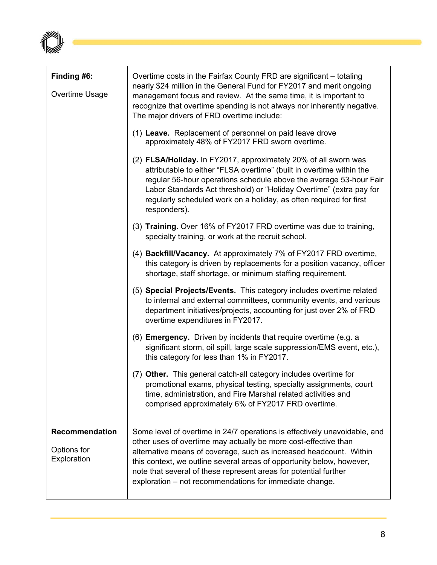

| Finding #6:<br>Overtime Usage                       | Overtime costs in the Fairfax County FRD are significant – totaling<br>nearly \$24 million in the General Fund for FY2017 and merit ongoing<br>management focus and review. At the same time, it is important to<br>recognize that overtime spending is not always nor inherently negative.<br>The major drivers of FRD overtime include:<br>(1) Leave. Replacement of personnel on paid leave drove                          |
|-----------------------------------------------------|-------------------------------------------------------------------------------------------------------------------------------------------------------------------------------------------------------------------------------------------------------------------------------------------------------------------------------------------------------------------------------------------------------------------------------|
|                                                     | approximately 48% of FY2017 FRD sworn overtime.<br>(2) FLSA/Holiday. In FY2017, approximately 20% of all sworn was<br>attributable to either "FLSA overtime" (built in overtime within the<br>regular 56-hour operations schedule above the average 53-hour Fair<br>Labor Standards Act threshold) or "Holiday Overtime" (extra pay for<br>regularly scheduled work on a holiday, as often required for first<br>responders). |
|                                                     | (3) Training. Over 16% of FY2017 FRD overtime was due to training,<br>specialty training, or work at the recruit school.                                                                                                                                                                                                                                                                                                      |
|                                                     | (4) Backfill/Vacancy. At approximately 7% of FY2017 FRD overtime,<br>this category is driven by replacements for a position vacancy, officer<br>shortage, staff shortage, or minimum staffing requirement.                                                                                                                                                                                                                    |
|                                                     | (5) Special Projects/Events. This category includes overtime related<br>to internal and external committees, community events, and various<br>department initiatives/projects, accounting for just over 2% of FRD<br>overtime expenditures in FY2017.                                                                                                                                                                         |
|                                                     | (6) <b>Emergency.</b> Driven by incidents that require overtime (e.g. a<br>significant storm, oil spill, large scale suppression/EMS event, etc.),<br>this category for less than 1% in FY2017.                                                                                                                                                                                                                               |
|                                                     | (7) Other. This general catch-all category includes overtime for<br>promotional exams, physical testing, specialty assignments, court<br>time, administration, and Fire Marshal related activities and<br>comprised approximately 6% of FY2017 FRD overtime.                                                                                                                                                                  |
| <b>Recommendation</b><br>Options for<br>Exploration | Some level of overtime in 24/7 operations is effectively unavoidable, and<br>other uses of overtime may actually be more cost-effective than<br>alternative means of coverage, such as increased headcount. Within<br>this context, we outline several areas of opportunity below, however,<br>note that several of these represent areas for potential further<br>exploration – not recommendations for immediate change.    |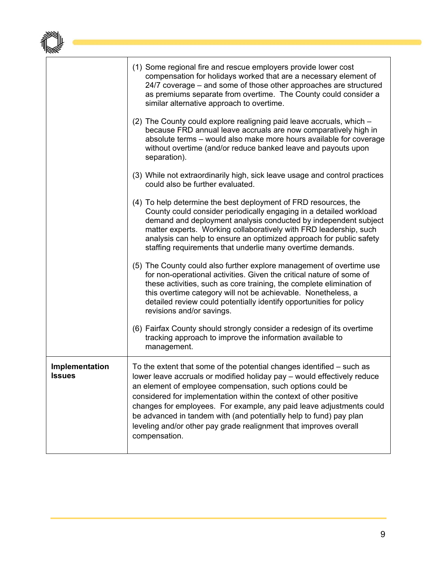|                                 | (1) Some regional fire and rescue employers provide lower cost<br>compensation for holidays worked that are a necessary element of<br>24/7 coverage – and some of those other approaches are structured<br>as premiums separate from overtime. The County could consider a<br>similar alternative approach to overtime.                                                                                                                                                                                                    |
|---------------------------------|----------------------------------------------------------------------------------------------------------------------------------------------------------------------------------------------------------------------------------------------------------------------------------------------------------------------------------------------------------------------------------------------------------------------------------------------------------------------------------------------------------------------------|
|                                 | (2) The County could explore realigning paid leave accruals, which -<br>because FRD annual leave accruals are now comparatively high in<br>absolute terms - would also make more hours available for coverage<br>without overtime (and/or reduce banked leave and payouts upon<br>separation).                                                                                                                                                                                                                             |
|                                 | (3) While not extraordinarily high, sick leave usage and control practices<br>could also be further evaluated.                                                                                                                                                                                                                                                                                                                                                                                                             |
|                                 | (4) To help determine the best deployment of FRD resources, the<br>County could consider periodically engaging in a detailed workload<br>demand and deployment analysis conducted by independent subject<br>matter experts. Working collaboratively with FRD leadership, such<br>analysis can help to ensure an optimized approach for public safety<br>staffing requirements that underlie many overtime demands.                                                                                                         |
|                                 | (5) The County could also further explore management of overtime use<br>for non-operational activities. Given the critical nature of some of<br>these activities, such as core training, the complete elimination of<br>this overtime category will not be achievable. Nonetheless, a<br>detailed review could potentially identify opportunities for policy<br>revisions and/or savings.                                                                                                                                  |
|                                 | (6) Fairfax County should strongly consider a redesign of its overtime<br>tracking approach to improve the information available to<br>management.                                                                                                                                                                                                                                                                                                                                                                         |
| Implementation<br><b>Issues</b> | To the extent that some of the potential changes identified $-$ such as<br>lower leave accruals or modified holiday pay - would effectively reduce<br>an element of employee compensation, such options could be<br>considered for implementation within the context of other positive<br>changes for employees. For example, any paid leave adjustments could<br>be advanced in tandem with (and potentially help to fund) pay plan<br>leveling and/or other pay grade realignment that improves overall<br>compensation. |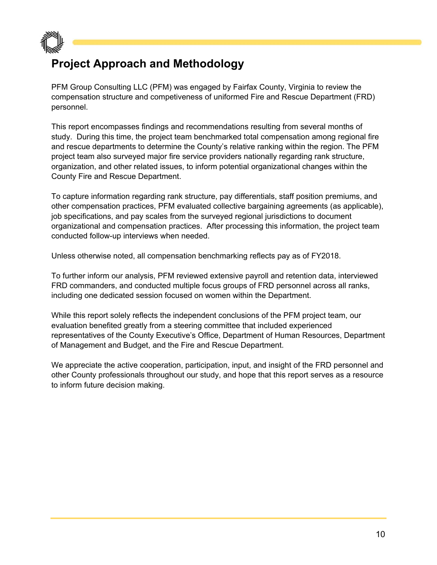

## **Project Approach and Methodology**

PFM Group Consulting LLC (PFM) was engaged by Fairfax County, Virginia to review the compensation structure and competiveness of uniformed Fire and Rescue Department (FRD) personnel.

This report encompasses findings and recommendations resulting from several months of study. During this time, the project team benchmarked total compensation among regional fire and rescue departments to determine the County's relative ranking within the region. The PFM project team also surveyed major fire service providers nationally regarding rank structure, organization, and other related issues, to inform potential organizational changes within the County Fire and Rescue Department.

To capture information regarding rank structure, pay differentials, staff position premiums, and other compensation practices, PFM evaluated collective bargaining agreements (as applicable), job specifications, and pay scales from the surveyed regional jurisdictions to document organizational and compensation practices. After processing this information, the project team conducted follow-up interviews when needed.

Unless otherwise noted, all compensation benchmarking reflects pay as of FY2018.

To further inform our analysis, PFM reviewed extensive payroll and retention data, interviewed FRD commanders, and conducted multiple focus groups of FRD personnel across all ranks, including one dedicated session focused on women within the Department.

While this report solely reflects the independent conclusions of the PFM project team, our evaluation benefited greatly from a steering committee that included experienced representatives of the County Executive's Office, Department of Human Resources, Department of Management and Budget, and the Fire and Rescue Department.

We appreciate the active cooperation, participation, input, and insight of the FRD personnel and other County professionals throughout our study, and hope that this report serves as a resource to inform future decision making.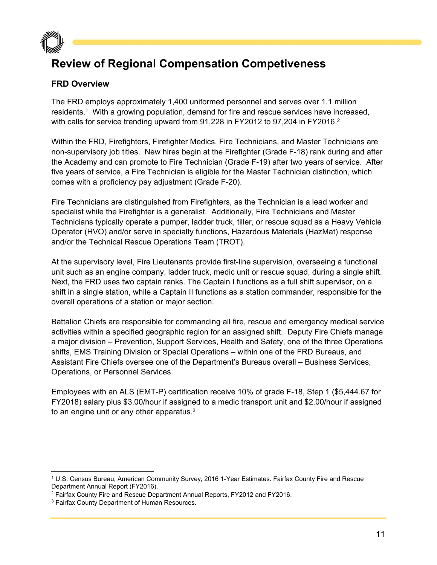

## **Review of Regional Compensation Competiveness**

#### **FRD Overview**

The FRD employs approximately 1,400 uniformed personnel and serves over 1.1 million residents.1 With a growing population, demand for fire and rescue services have increased, with calls for service trending upward from 91,228 in FY2012 to 97,204 in FY2016.<sup>2</sup>

Within the FRD, Firefighters, Firefighter Medics, Fire Technicians, and Master Technicians are non-supervisory job titles. New hires begin at the Firefighter (Grade F-18) rank during and after the Academy and can promote to Fire Technician (Grade F-19) after two years of service. After five years of service, a Fire Technician is eligible for the Master Technician distinction, which comes with a proficiency pay adjustment (Grade F-20).

Fire Technicians are distinguished from Firefighters, as the Technician is a lead worker and specialist while the Firefighter is a generalist. Additionally, Fire Technicians and Master Technicians typically operate a pumper, ladder truck, tiller, or rescue squad as a Heavy Vehicle Operator (HVO) and/or serve in specialty functions, Hazardous Materials (HazMat) response and/or the Technical Rescue Operations Team (TROT).

At the supervisory level, Fire Lieutenants provide first-line supervision, overseeing a functional unit such as an engine company, ladder truck, medic unit or rescue squad, during a single shift. Next, the FRD uses two captain ranks. The Captain I functions as a full shift supervisor, on a shift in a single station, while a Captain II functions as a station commander, responsible for the overall operations of a station or major section.

Battalion Chiefs are responsible for commanding all fire, rescue and emergency medical service activities within a specified geographic region for an assigned shift. Deputy Fire Chiefs manage a major division – Prevention, Support Services, Health and Safety, one of the three Operations shifts, EMS Training Division or Special Operations – within one of the FRD Bureaus, and Assistant Fire Chiefs oversee one of the Department's Bureaus overall – Business Services, Operations, or Personnel Services.

Employees with an ALS (EMT-P) certification receive 10% of grade F-18, Step 1 (\$5,444.67 for FY2018) salary plus \$3.00/hour if assigned to a medic transport unit and \$2.00/hour if assigned to an engine unit or any other apparatus.<sup>3</sup>

<sup>1</sup> U.S. Census Bureau, American Community Survey, 2016 1-Year Estimates. Fairfax County Fire and Rescue Department Annual Report (FY2016).

<sup>&</sup>lt;sup>2</sup> Fairfax County Fire and Rescue Department Annual Reports, FY2012 and FY2016.

<sup>3</sup> Fairfax County Department of Human Resources.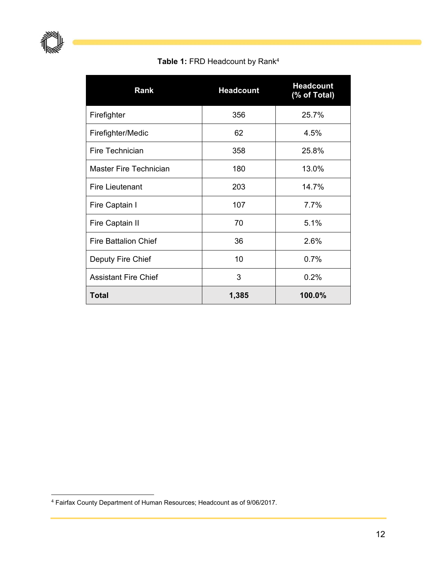**Table 1:** FRD Headcount by Rank4

| Rank                          | <b>Headcount</b> | <b>Headcount</b><br>(% of Total) |
|-------------------------------|------------------|----------------------------------|
| Firefighter                   | 356              | 25.7%                            |
| Firefighter/Medic             | 62               | 4.5%                             |
| Fire Technician               | 358              | 25.8%                            |
| <b>Master Fire Technician</b> | 180              | 13.0%                            |
| <b>Fire Lieutenant</b>        | 203              | 14.7%                            |
| Fire Captain I                | 107              | 7.7%                             |
| Fire Captain II               | 70               | 5.1%                             |
| <b>Fire Battalion Chief</b>   | 36               | 2.6%                             |
| Deputy Fire Chief             | 10               | 0.7%                             |
| <b>Assistant Fire Chief</b>   | 3                | 0.2%                             |
| <b>Total</b>                  | 1,385            | 100.0%                           |

<sup>4</sup> Fairfax County Department of Human Resources; Headcount as of 9/06/2017.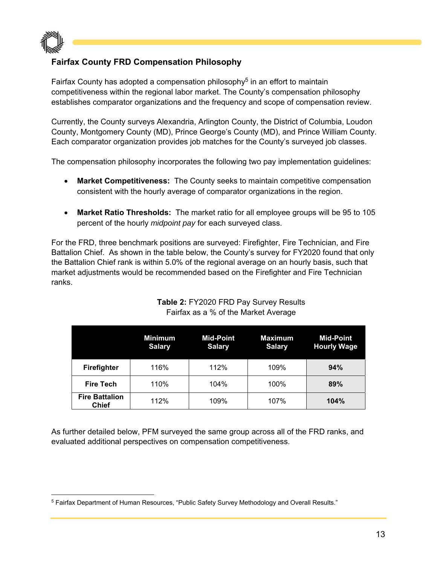

#### **Fairfax County FRD Compensation Philosophy**

Fairfax County has adopted a compensation philosophy<sup>5</sup> in an effort to maintain competitiveness within the regional labor market. The County's compensation philosophy establishes comparator organizations and the frequency and scope of compensation review.

Currently, the County surveys Alexandria, Arlington County, the District of Columbia, Loudon County, Montgomery County (MD), Prince George's County (MD), and Prince William County. Each comparator organization provides job matches for the County's surveyed job classes.

The compensation philosophy incorporates the following two pay implementation guidelines:

- **Market Competitiveness:** The County seeks to maintain competitive compensation consistent with the hourly average of comparator organizations in the region.
- **Market Ratio Thresholds:** The market ratio for all employee groups will be 95 to 105 percent of the hourly *midpoint pay* for each surveyed class.

For the FRD, three benchmark positions are surveyed: Firefighter, Fire Technician, and Fire Battalion Chief. As shown in the table below, the County's survey for FY2020 found that only the Battalion Chief rank is within 5.0% of the regional average on an hourly basis, such that market adjustments would be recommended based on the Firefighter and Fire Technician ranks.

|                                       | <b>Minimum</b><br><b>Salary</b> | <b>Mid-Point</b><br><b>Salary</b> | <b>Maximum</b><br><b>Salary</b> | <b>Mid-Point</b><br><b>Hourly Wage</b> |
|---------------------------------------|---------------------------------|-----------------------------------|---------------------------------|----------------------------------------|
| <b>Firefighter</b>                    | 116%                            | 112%                              | 109%                            | 94%                                    |
| <b>Fire Tech</b>                      | 110%                            | 104%                              | 100%                            | 89%                                    |
| <b>Fire Battalion</b><br><b>Chief</b> | 112%                            | 109%                              | 107%                            | 104%                                   |

#### **Table 2:** FY2020 FRD Pay Survey Results Fairfax as a % of the Market Average

As further detailed below, PFM surveyed the same group across all of the FRD ranks, and evaluated additional perspectives on compensation competitiveness.

<sup>5</sup> Fairfax Department of Human Resources, "Public Safety Survey Methodology and Overall Results."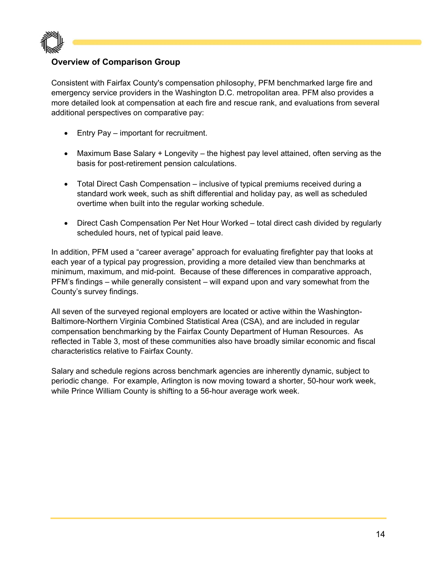

#### **Overview of Comparison Group**

Consistent with Fairfax County's compensation philosophy, PFM benchmarked large fire and emergency service providers in the Washington D.C. metropolitan area. PFM also provides a more detailed look at compensation at each fire and rescue rank, and evaluations from several additional perspectives on comparative pay:

- Entry Pay important for recruitment.
- Maximum Base Salary + Longevity the highest pay level attained, often serving as the basis for post-retirement pension calculations.
- Total Direct Cash Compensation inclusive of typical premiums received during a standard work week, such as shift differential and holiday pay, as well as scheduled overtime when built into the regular working schedule.
- Direct Cash Compensation Per Net Hour Worked total direct cash divided by regularly scheduled hours, net of typical paid leave.

In addition, PFM used a "career average" approach for evaluating firefighter pay that looks at each year of a typical pay progression, providing a more detailed view than benchmarks at minimum, maximum, and mid-point. Because of these differences in comparative approach, PFM's findings – while generally consistent – will expand upon and vary somewhat from the County's survey findings.

All seven of the surveyed regional employers are located or active within the Washington-Baltimore-Northern Virginia Combined Statistical Area (CSA), and are included in regular compensation benchmarking by the Fairfax County Department of Human Resources. As reflected in Table 3, most of these communities also have broadly similar economic and fiscal characteristics relative to Fairfax County.

Salary and schedule regions across benchmark agencies are inherently dynamic, subject to periodic change. For example, Arlington is now moving toward a shorter, 50-hour work week, while Prince William County is shifting to a 56-hour average work week.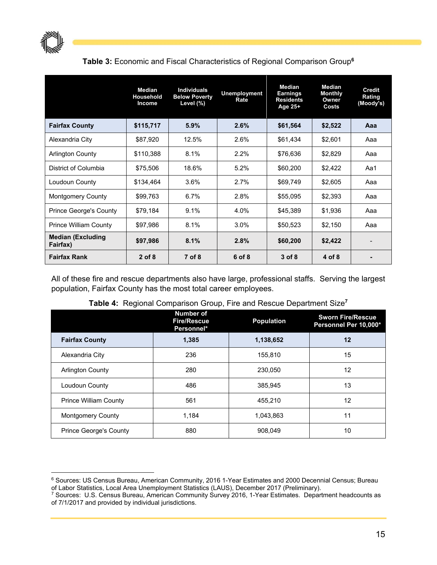

#### **Table 3:** Economic and Fiscal Characteristics of Regional Comparison Group**<sup>6</sup>**

|                                      | <b>Median</b><br>Household<br>Income | <b>Individuals</b><br><b>Below Poverty</b><br>Level (%) | <b>Unemployment</b><br>Rate | <b>Median</b><br><b>Earnings</b><br><b>Residents</b><br>Age 25+ | <b>Median</b><br><b>Monthly</b><br>Owner<br>Costs | <b>Credit</b><br>Rating<br>(Moody's) |
|--------------------------------------|--------------------------------------|---------------------------------------------------------|-----------------------------|-----------------------------------------------------------------|---------------------------------------------------|--------------------------------------|
| <b>Fairfax County</b>                | \$115,717                            | 5.9%                                                    | 2.6%                        | \$61,564                                                        | \$2,522                                           | Aaa                                  |
| Alexandria City                      | \$87,920                             | 12.5%                                                   | 2.6%                        | \$61,434                                                        | \$2,601                                           | Aaa                                  |
| <b>Arlington County</b>              | \$110,388                            | 8.1%                                                    | 2.2%                        | \$76,636                                                        | \$2,829                                           | Aaa                                  |
| District of Columbia                 | \$75,506                             | 18.6%                                                   | 5.2%                        | \$60,200                                                        | \$2,422                                           | Aa1                                  |
| Loudoun County                       | \$134,464                            | 3.6%                                                    | 2.7%                        | \$69,749                                                        | \$2,605                                           | Aaa                                  |
| <b>Montgomery County</b>             | \$99,763                             | 6.7%                                                    | 2.8%                        | \$55,095                                                        | \$2,393                                           | Aaa                                  |
| <b>Prince George's County</b>        | \$79,184                             | 9.1%                                                    | 4.0%                        | \$45,389                                                        | \$1,936                                           | Aaa                                  |
| <b>Prince William County</b>         | \$97,986                             | 8.1%                                                    | 3.0%                        | \$50,523                                                        | \$2,150                                           | Aaa                                  |
| <b>Median (Excluding</b><br>Fairfax) | \$97,986                             | 8.1%                                                    | 2.8%                        | \$60,200                                                        | \$2,422                                           |                                      |
| <b>Fairfax Rank</b>                  | $2$ of 8                             | 7 of 8                                                  | 6 of 8                      | $3$ of $8$                                                      | 4 of 8                                            |                                      |

All of these fire and rescue departments also have large, professional staffs. Serving the largest population, Fairfax County has the most total career employees.

| Table 4: Regional Comparison Group, Fire and Rescue Department Size <sup>7</sup> |  |
|----------------------------------------------------------------------------------|--|
|----------------------------------------------------------------------------------|--|

|                               | <b>Number of</b><br><b>Fire/Rescue</b><br>Personnel* | <b>Population</b> | <b>Sworn Fire/Rescue</b><br>Personnel Per 10,000* |
|-------------------------------|------------------------------------------------------|-------------------|---------------------------------------------------|
| <b>Fairfax County</b>         | 1,385                                                | 1,138,652         | 12                                                |
| Alexandria City               | 236                                                  | 155.810           | 15                                                |
| <b>Arlington County</b>       | 280                                                  | 230,050           | 12                                                |
| Loudoun County                | 486                                                  | 385,945           | 13                                                |
| <b>Prince William County</b>  | 561                                                  | 455.210           | 12                                                |
| <b>Montgomery County</b>      | 1.184                                                | 1,043,863         | 11                                                |
| <b>Prince George's County</b> | 880                                                  | 908.049           | 10                                                |

<sup>6</sup> Sources: US Census Bureau, American Community, 2016 1-Year Estimates and 2000 Decennial Census; Bureau of Labor Statistics, Local Area Unemployment Statistics (LAUS), December 2017 (Preliminary).

<sup>&</sup>lt;sup>7</sup> Sources: U.S. Census Bureau, American Community Survey 2016, 1-Year Estimates. Department headcounts as of 7/1/2017 and provided by individual jurisdictions.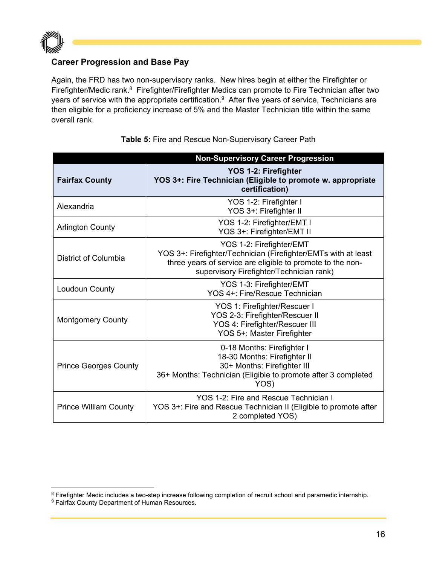

#### **Career Progression and Base Pay**

Again, the FRD has two non-supervisory ranks. New hires begin at either the Firefighter or Firefighter/Medic rank.8 Firefighter/Firefighter Medics can promote to Fire Technician after two years of service with the appropriate certification.<sup>9</sup> After five years of service, Technicians are then eligible for a proficiency increase of 5% and the Master Technician title within the same overall rank.

|                              | <b>Non-Supervisory Career Progression</b>                                                                                                                                                            |
|------------------------------|------------------------------------------------------------------------------------------------------------------------------------------------------------------------------------------------------|
| <b>Fairfax County</b>        | YOS 1-2: Firefighter<br>YOS 3+: Fire Technician (Eligible to promote w. appropriate<br>certification)                                                                                                |
| Alexandria                   | YOS 1-2: Firefighter I<br>YOS 3+: Firefighter II                                                                                                                                                     |
| <b>Arlington County</b>      | YOS 1-2: Firefighter/EMT I<br>YOS 3+: Firefighter/EMT II                                                                                                                                             |
| District of Columbia         | YOS 1-2: Firefighter/EMT<br>YOS 3+: Firefighter/Technician (Firefighter/EMTs with at least<br>three years of service are eligible to promote to the non-<br>supervisory Firefighter/Technician rank) |
| Loudoun County               | YOS 1-3: Firefighter/EMT<br>YOS 4+: Fire/Rescue Technician                                                                                                                                           |
| <b>Montgomery County</b>     | YOS 1: Firefighter/Rescuer I<br>YOS 2-3: Firefighter/Rescuer II<br>YOS 4: Firefighter/Rescuer III<br>YOS 5+: Master Firefighter                                                                      |
| <b>Prince Georges County</b> | 0-18 Months: Firefighter I<br>18-30 Months: Firefighter II<br>30+ Months: Firefighter III<br>36+ Months: Technician (Eligible to promote after 3 completed<br>YOS)                                   |
| <b>Prince William County</b> | YOS 1-2: Fire and Rescue Technician I<br>YOS 3+: Fire and Rescue Technician II (Eligible to promote after<br>2 completed YOS)                                                                        |

#### **Table 5:** Fire and Rescue Non-Supervisory Career Path

<sup>&</sup>lt;sup>8</sup> Firefighter Medic includes a two-step increase following completion of recruit school and paramedic internship.

<sup>&</sup>lt;sup>9</sup> Fairfax County Department of Human Resources.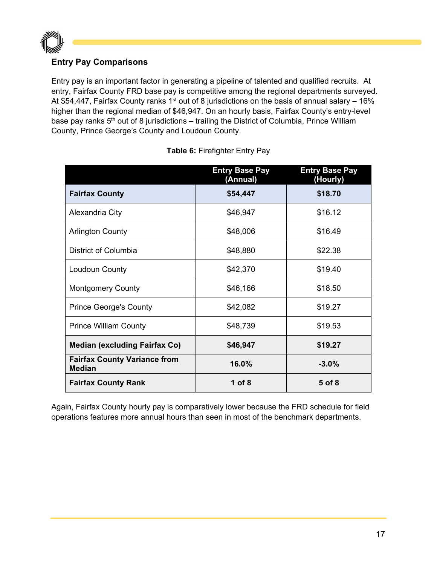

#### **Entry Pay Comparisons**

Entry pay is an important factor in generating a pipeline of talented and qualified recruits. At entry, Fairfax County FRD base pay is competitive among the regional departments surveyed. At \$54,447, Fairfax County ranks 1<sup>st</sup> out of 8 jurisdictions on the basis of annual salary – 16% higher than the regional median of \$46,947. On an hourly basis, Fairfax County's entry-level base pay ranks  $5<sup>th</sup>$  out of 8 jurisdictions – trailing the District of Columbia, Prince William County, Prince George's County and Loudoun County.

|                                                      | <b>Entry Base Pay</b><br>(Annual) | <b>Entry Base Pay</b><br>(Hourly) |
|------------------------------------------------------|-----------------------------------|-----------------------------------|
| <b>Fairfax County</b>                                | \$54,447                          | \$18.70                           |
| Alexandria City                                      | \$46,947                          | \$16.12                           |
| <b>Arlington County</b>                              | \$48,006                          | \$16.49                           |
| District of Columbia                                 | \$48,880                          | \$22.38                           |
| Loudoun County                                       | \$42,370                          | \$19.40                           |
| <b>Montgomery County</b>                             | \$46,166                          | \$18.50                           |
| <b>Prince George's County</b>                        | \$42,082                          | \$19.27                           |
| <b>Prince William County</b>                         | \$48,739                          | \$19.53                           |
| <b>Median (excluding Fairfax Co)</b>                 | \$46,947                          | \$19.27                           |
| <b>Fairfax County Variance from</b><br><b>Median</b> | 16.0%                             | $-3.0%$                           |
| <b>Fairfax County Rank</b>                           | 1 of $8$                          | 5 of 8                            |

|  | <b>Table 6: Firefighter Entry Pay</b> |  |
|--|---------------------------------------|--|
|  |                                       |  |

Again, Fairfax County hourly pay is comparatively lower because the FRD schedule for field operations features more annual hours than seen in most of the benchmark departments.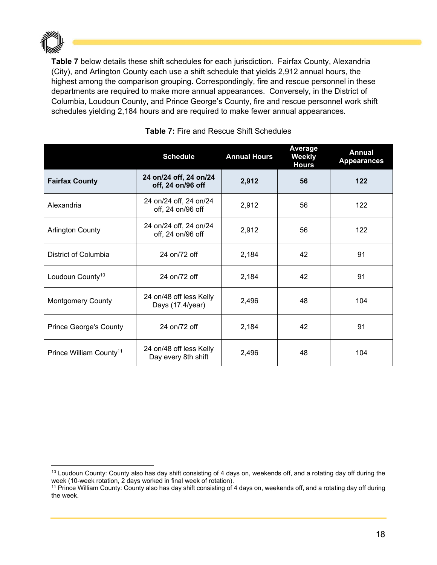

**Table 7** below details these shift schedules for each jurisdiction. Fairfax County, Alexandria (City), and Arlington County each use a shift schedule that yields 2,912 annual hours, the highest among the comparison grouping. Correspondingly, fire and rescue personnel in these departments are required to make more annual appearances. Conversely, in the District of Columbia, Loudoun County, and Prince George's County, fire and rescue personnel work shift schedules yielding 2,184 hours and are required to make fewer annual appearances.

|                                     | <b>Schedule</b>                                | <b>Annual Hours</b> | <b>Average</b><br>Weekly<br><b>Hours</b> | <b>Annual</b><br><b>Appearances</b> |
|-------------------------------------|------------------------------------------------|---------------------|------------------------------------------|-------------------------------------|
| <b>Fairfax County</b>               | 24 on/24 off, 24 on/24<br>off, 24 on/96 off    | 2,912               | 56                                       | 122                                 |
| Alexandria                          | 24 on/24 off, 24 on/24<br>off, 24 on/96 off    | 2,912               | 56                                       | 122                                 |
| <b>Arlington County</b>             | 24 on/24 off, 24 on/24<br>off, 24 on/96 off    | 2,912               | 56                                       | 122                                 |
| District of Columbia                | 24 on/72 off                                   | 2,184               | 42                                       | 91                                  |
| Loudoun County <sup>10</sup>        | 24 on/72 off                                   | 2,184               | 42                                       | 91                                  |
| <b>Montgomery County</b>            | 24 on/48 off less Kelly<br>Days (17.4/year)    | 2,496               | 48                                       | 104                                 |
| <b>Prince George's County</b>       | 24 on/72 off                                   | 2,184               | 42                                       | 91                                  |
| Prince William County <sup>11</sup> | 24 on/48 off less Kelly<br>Day every 8th shift | 2,496               | 48                                       | 104                                 |

#### **Table 7:** Fire and Rescue Shift Schedules

 <sup>10</sup> Loudoun County: County also has day shift consisting of 4 days on, weekends off, and a rotating day off during the week (10-week rotation, 2 days worked in final week of rotation).<br><sup>11</sup> Prince William County: County also has day shift consisting of 4 days on, weekends off, and a rotating day off during

the week.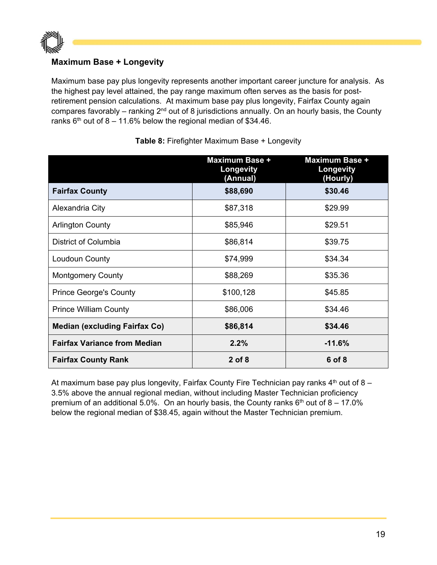

#### **Maximum Base + Longevity**

Maximum base pay plus longevity represents another important career juncture for analysis. As the highest pay level attained, the pay range maximum often serves as the basis for postretirement pension calculations. At maximum base pay plus longevity, Fairfax County again compares favorably – ranking  $2<sup>nd</sup>$  out of 8 jurisdictions annually. On an hourly basis, the County ranks  $6<sup>th</sup>$  out of 8 – 11.6% below the regional median of \$34.46.

|                                      | <b>Maximum Base +</b><br>Longevity<br>(Annual) | <b>Maximum Base +</b><br>Longevity<br>(Hourly) |
|--------------------------------------|------------------------------------------------|------------------------------------------------|
| <b>Fairfax County</b>                | \$88,690                                       | \$30.46                                        |
| Alexandria City                      | \$87,318                                       | \$29.99                                        |
| <b>Arlington County</b>              | \$85,946                                       | \$29.51                                        |
| District of Columbia                 | \$86,814                                       | \$39.75                                        |
| Loudoun County                       | \$74,999                                       | \$34.34                                        |
| <b>Montgomery County</b>             | \$88,269                                       | \$35.36                                        |
| <b>Prince George's County</b>        | \$100,128                                      | \$45.85                                        |
| <b>Prince William County</b>         | \$86,006                                       | \$34.46                                        |
| <b>Median (excluding Fairfax Co)</b> | \$86,814                                       | \$34.46                                        |
| <b>Fairfax Variance from Median</b>  | 2.2%                                           | $-11.6%$                                       |
| <b>Fairfax County Rank</b>           | $2$ of 8                                       | 6 of 8                                         |

**Table 8:** Firefighter Maximum Base + Longevity

At maximum base pay plus longevity, Fairfax County Fire Technician pay ranks  $4<sup>th</sup>$  out of 8 – 3.5% above the annual regional median, without including Master Technician proficiency premium of an additional 5.0%. On an hourly basis, the County ranks  $6<sup>th</sup>$  out of 8 – 17.0% below the regional median of \$38.45, again without the Master Technician premium.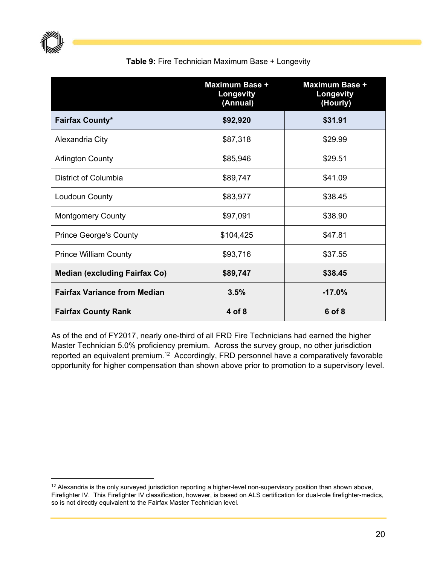

#### **Table 9:** Fire Technician Maximum Base + Longevity

|                                      | Maximum Base +<br>Longevity<br>(Annual) | <b>Maximum Base +</b><br>Longevity<br>(Hourly) |
|--------------------------------------|-----------------------------------------|------------------------------------------------|
| <b>Fairfax County*</b>               | \$92,920                                | \$31.91                                        |
| Alexandria City                      | \$87,318                                | \$29.99                                        |
| <b>Arlington County</b>              | \$85,946                                | \$29.51                                        |
| District of Columbia                 | \$89,747                                | \$41.09                                        |
| Loudoun County                       | \$83,977                                | \$38.45                                        |
| <b>Montgomery County</b>             | \$97,091                                | \$38.90                                        |
| <b>Prince George's County</b>        | \$104,425                               | \$47.81                                        |
| <b>Prince William County</b>         | \$93,716                                | \$37.55                                        |
| <b>Median (excluding Fairfax Co)</b> | \$89,747                                | \$38.45                                        |
| <b>Fairfax Variance from Median</b>  | 3.5%                                    | $-17.0%$                                       |
| <b>Fairfax County Rank</b>           | 4 of 8                                  | 6 of 8                                         |

As of the end of FY2017, nearly one-third of all FRD Fire Technicians had earned the higher Master Technician 5.0% proficiency premium. Across the survey group, no other jurisdiction reported an equivalent premium.12 Accordingly, FRD personnel have a comparatively favorable opportunity for higher compensation than shown above prior to promotion to a supervisory level.

<sup>&</sup>lt;sup>12</sup> Alexandria is the only surveyed jurisdiction reporting a higher-level non-supervisory position than shown above, Firefighter IV. This Firefighter IV classification, however, is based on ALS certification for dual-role firefighter-medics, so is not directly equivalent to the Fairfax Master Technician level.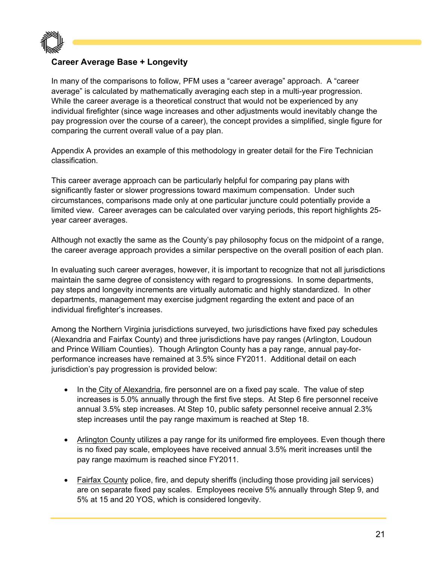

#### **Career Average Base + Longevity**

In many of the comparisons to follow, PFM uses a "career average" approach. A "career average" is calculated by mathematically averaging each step in a multi-year progression. While the career average is a theoretical construct that would not be experienced by any individual firefighter (since wage increases and other adjustments would inevitably change the pay progression over the course of a career), the concept provides a simplified, single figure for comparing the current overall value of a pay plan.

Appendix A provides an example of this methodology in greater detail for the Fire Technician classification.

This career average approach can be particularly helpful for comparing pay plans with significantly faster or slower progressions toward maximum compensation. Under such circumstances, comparisons made only at one particular juncture could potentially provide a limited view. Career averages can be calculated over varying periods, this report highlights 25 year career averages.

Although not exactly the same as the County's pay philosophy focus on the midpoint of a range, the career average approach provides a similar perspective on the overall position of each plan.

In evaluating such career averages, however, it is important to recognize that not all jurisdictions maintain the same degree of consistency with regard to progressions. In some departments, pay steps and longevity increments are virtually automatic and highly standardized. In other departments, management may exercise judgment regarding the extent and pace of an individual firefighter's increases.

Among the Northern Virginia jurisdictions surveyed, two jurisdictions have fixed pay schedules (Alexandria and Fairfax County) and three jurisdictions have pay ranges (Arlington, Loudoun and Prince William Counties). Though Arlington County has a pay range, annual pay-forperformance increases have remained at 3.5% since FY2011. Additional detail on each jurisdiction's pay progression is provided below:

- In the City of Alexandria, fire personnel are on a fixed pay scale. The value of step increases is 5.0% annually through the first five steps. At Step 6 fire personnel receive annual 3.5% step increases. At Step 10, public safety personnel receive annual 2.3% step increases until the pay range maximum is reached at Step 18.
- Arlington County utilizes a pay range for its uniformed fire employees. Even though there is no fixed pay scale, employees have received annual 3.5% merit increases until the pay range maximum is reached since FY2011.
- Fairfax County police, fire, and deputy sheriffs (including those providing jail services) are on separate fixed pay scales. Employees receive 5% annually through Step 9, and 5% at 15 and 20 YOS, which is considered longevity.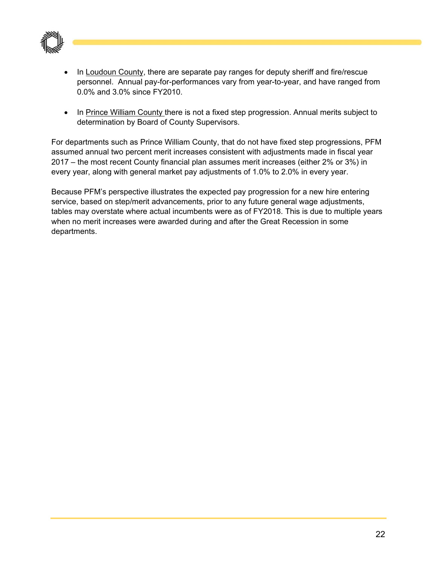

- In Loudoun County, there are separate pay ranges for deputy sheriff and fire/rescue personnel. Annual pay-for-performances vary from year-to-year, and have ranged from 0.0% and 3.0% since FY2010.
- In Prince William County there is not a fixed step progression. Annual merits subject to determination by Board of County Supervisors.

For departments such as Prince William County, that do not have fixed step progressions, PFM assumed annual two percent merit increases consistent with adjustments made in fiscal year 2017 – the most recent County financial plan assumes merit increases (either 2% or 3%) in every year, along with general market pay adjustments of 1.0% to 2.0% in every year.

Because PFM's perspective illustrates the expected pay progression for a new hire entering service, based on step/merit advancements, prior to any future general wage adjustments, tables may overstate where actual incumbents were as of FY2018. This is due to multiple years when no merit increases were awarded during and after the Great Recession in some departments.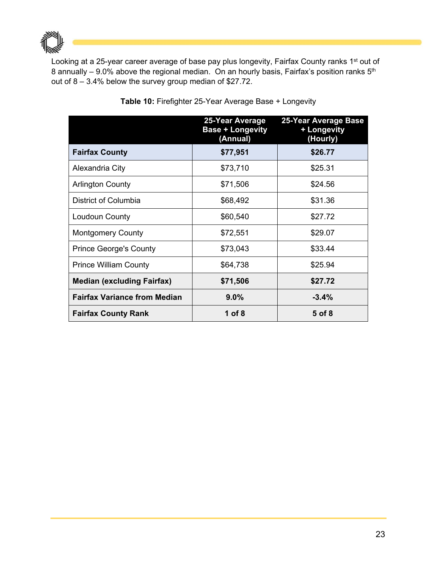

Looking at a 25-year career average of base pay plus longevity, Fairfax County ranks 1<sup>st</sup> out of 8 annually – 9.0% above the regional median. On an hourly basis, Fairfax's position ranks  $5<sup>th</sup>$ out of 8 – 3.4% below the survey group median of \$27.72.

|                                     | 25-Year Average<br><b>Base + Longevity</b><br>(Annual) | 25-Year Average Base<br>+ Longevity<br>(Hourly) |
|-------------------------------------|--------------------------------------------------------|-------------------------------------------------|
| <b>Fairfax County</b>               | \$77,951                                               | \$26.77                                         |
| Alexandria City                     | \$73,710                                               | \$25.31                                         |
| <b>Arlington County</b>             | \$71,506                                               | \$24.56                                         |
| District of Columbia                | \$68,492                                               | \$31.36                                         |
| Loudoun County                      | \$60,540                                               | \$27.72                                         |
| <b>Montgomery County</b>            | \$72,551                                               | \$29.07                                         |
| <b>Prince George's County</b>       | \$73,043                                               | \$33.44                                         |
| <b>Prince William County</b>        | \$64,738                                               | \$25.94                                         |
| <b>Median (excluding Fairfax)</b>   | \$71,506                                               | \$27.72                                         |
| <b>Fairfax Variance from Median</b> | $9.0\%$                                                | $-3.4%$                                         |
| <b>Fairfax County Rank</b>          | 1 of $8$                                               | 5 of 8                                          |

#### **Table 10:** Firefighter 25-Year Average Base + Longevity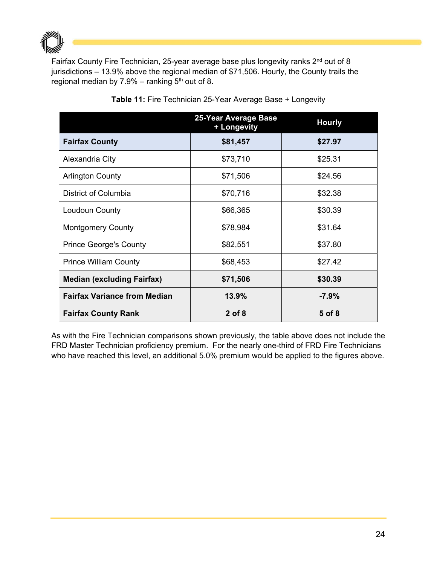

Fairfax County Fire Technician, 25-year average base plus longevity ranks 2<sup>nd</sup> out of 8 jurisdictions – 13.9% above the regional median of \$71,506. Hourly, the County trails the regional median by  $7.9\%$  – ranking  $5<sup>th</sup>$  out of 8.

|                                     | 25-Year Average Base<br>+ Longevity | <b>Hourly</b> |
|-------------------------------------|-------------------------------------|---------------|
| <b>Fairfax County</b>               | \$81,457                            | \$27.97       |
| Alexandria City                     | \$73,710                            | \$25.31       |
| <b>Arlington County</b>             | \$71,506                            | \$24.56       |
| District of Columbia                | \$70,716                            | \$32.38       |
| Loudoun County                      | \$66,365                            | \$30.39       |
| <b>Montgomery County</b>            | \$78,984                            | \$31.64       |
| <b>Prince George's County</b>       | \$82,551                            | \$37.80       |
| <b>Prince William County</b>        | \$68,453                            | \$27.42       |
| <b>Median (excluding Fairfax)</b>   | \$71,506                            | \$30.39       |
| <b>Fairfax Variance from Median</b> | 13.9%                               | $-7.9%$       |
| <b>Fairfax County Rank</b>          | $2$ of 8                            | 5 of 8        |

#### **Table 11:** Fire Technician 25-Year Average Base + Longevity

As with the Fire Technician comparisons shown previously, the table above does not include the FRD Master Technician proficiency premium. For the nearly one-third of FRD Fire Technicians who have reached this level, an additional 5.0% premium would be applied to the figures above.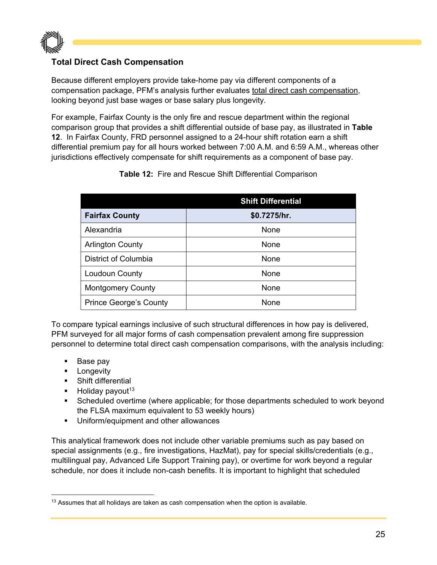

#### **Total Direct Cash Compensation**

Because different employers provide take-home pay via different components of a compensation package, PFM's analysis further evaluates total direct cash compensation, looking beyond just base wages or base salary plus longevity.

For example, Fairfax County is the only fire and rescue department within the regional comparison group that provides a shift differential outside of base pay, as illustrated in **Table 12**. In Fairfax County, FRD personnel assigned to a 24-hour shift rotation earn a shift differential premium pay for all hours worked between 7:00 A.M. and 6:59 A.M., whereas other jurisdictions effectively compensate for shift requirements as a component of base pay.

|                               | <b>Shift Differential</b> |
|-------------------------------|---------------------------|
| <b>Fairfax County</b>         | \$0.7275/hr.              |
| Alexandria                    | <b>None</b>               |
| <b>Arlington County</b>       | None                      |
| District of Columbia          | <b>None</b>               |
| Loudoun County                | None                      |
| <b>Montgomery County</b>      | None                      |
| <b>Prince George's County</b> | <b>None</b>               |

**Table 12:** Fire and Rescue Shift Differential Comparison

To compare typical earnings inclusive of such structural differences in how pay is delivered, PFM surveyed for all major forms of cash compensation prevalent among fire suppression personnel to determine total direct cash compensation comparisons, with the analysis including:

- **Base pay**
- **-** Longevity
- **-** Shift differential
- $\blacksquare$  Holiday payout<sup>13</sup>
- Scheduled overtime (where applicable; for those departments scheduled to work beyond the FLSA maximum equivalent to 53 weekly hours)
- **Uniform/equipment and other allowances**

This analytical framework does not include other variable premiums such as pay based on special assignments (e.g., fire investigations, HazMat), pay for special skills/credentials (e.g., multilingual pay, Advanced Life Support Training pay), or overtime for work beyond a regular schedule, nor does it include non-cash benefits. It is important to highlight that scheduled

  $13$  Assumes that all holidays are taken as cash compensation when the option is available.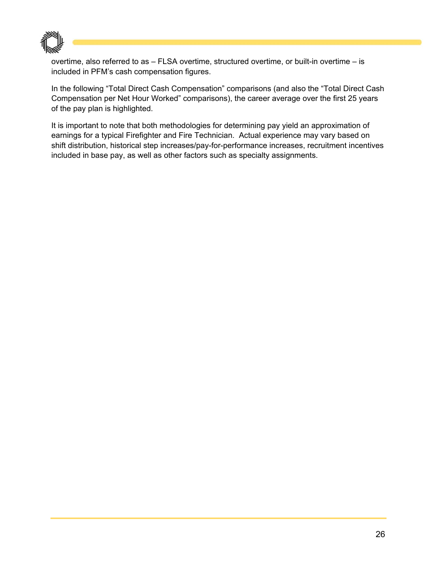

overtime, also referred to as – FLSA overtime, structured overtime, or built-in overtime – is included in PFM's cash compensation figures.

In the following "Total Direct Cash Compensation" comparisons (and also the "Total Direct Cash Compensation per Net Hour Worked" comparisons), the career average over the first 25 years of the pay plan is highlighted.

It is important to note that both methodologies for determining pay yield an approximation of earnings for a typical Firefighter and Fire Technician. Actual experience may vary based on shift distribution, historical step increases/pay-for-performance increases, recruitment incentives included in base pay, as well as other factors such as specialty assignments.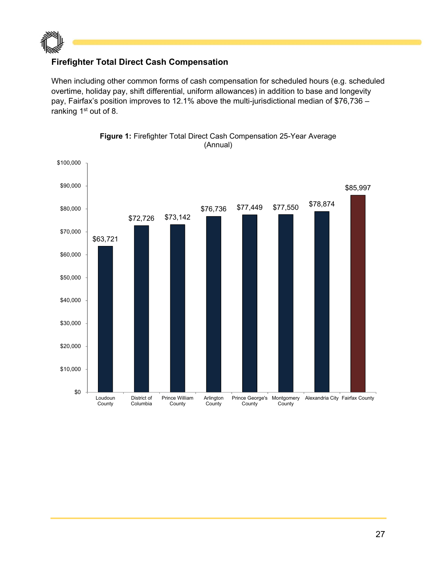

#### **Firefighter Total Direct Cash Compensation**

When including other common forms of cash compensation for scheduled hours (e.g. scheduled overtime, holiday pay, shift differential, uniform allowances) in addition to base and longevity pay, Fairfax's position improves to 12.1% above the multi-jurisdictional median of \$76,736 – ranking 1<sup>st</sup> out of 8.



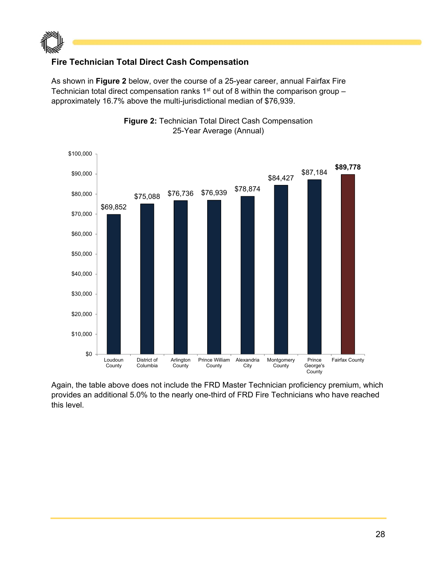

#### **Fire Technician Total Direct Cash Compensation**

As shown in **Figure 2** below, over the course of a 25-year career, annual Fairfax Fire Technician total direct compensation ranks  $1<sup>st</sup>$  out of 8 within the comparison group – approximately 16.7% above the multi-jurisdictional median of \$76,939.





Again, the table above does not include the FRD Master Technician proficiency premium, which provides an additional 5.0% to the nearly one-third of FRD Fire Technicians who have reached this level.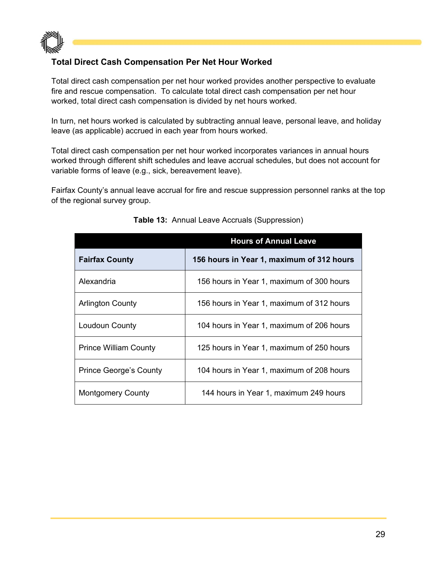

#### **Total Direct Cash Compensation Per Net Hour Worked**

Total direct cash compensation per net hour worked provides another perspective to evaluate fire and rescue compensation. To calculate total direct cash compensation per net hour worked, total direct cash compensation is divided by net hours worked.

In turn, net hours worked is calculated by subtracting annual leave, personal leave, and holiday leave (as applicable) accrued in each year from hours worked.

Total direct cash compensation per net hour worked incorporates variances in annual hours worked through different shift schedules and leave accrual schedules, but does not account for variable forms of leave (e.g., sick, bereavement leave).

Fairfax County's annual leave accrual for fire and rescue suppression personnel ranks at the top of the regional survey group.

|                               | <b>Hours of Annual Leave</b>              |
|-------------------------------|-------------------------------------------|
| <b>Fairfax County</b>         | 156 hours in Year 1, maximum of 312 hours |
| Alexandria                    | 156 hours in Year 1, maximum of 300 hours |
| <b>Arlington County</b>       | 156 hours in Year 1, maximum of 312 hours |
| Loudoun County                | 104 hours in Year 1, maximum of 206 hours |
| <b>Prince William County</b>  | 125 hours in Year 1, maximum of 250 hours |
| <b>Prince George's County</b> | 104 hours in Year 1, maximum of 208 hours |
| <b>Montgomery County</b>      | 144 hours in Year 1, maximum 249 hours    |

#### **Table 13:** Annual Leave Accruals (Suppression)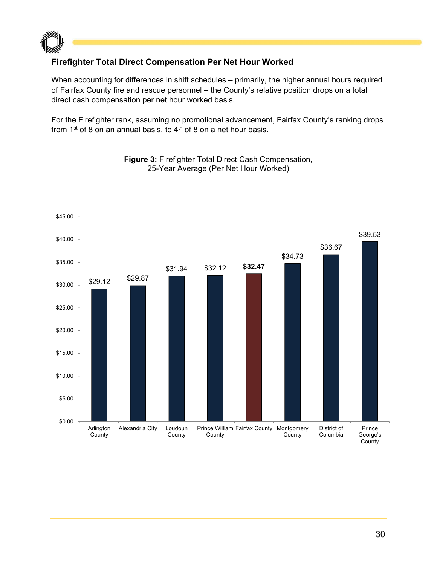

#### **Firefighter Total Direct Compensation Per Net Hour Worked**

When accounting for differences in shift schedules – primarily, the higher annual hours required of Fairfax County fire and rescue personnel – the County's relative position drops on a total direct cash compensation per net hour worked basis.

For the Firefighter rank, assuming no promotional advancement, Fairfax County's ranking drops from 1<sup>st</sup> of 8 on an annual basis, to  $4<sup>th</sup>$  of 8 on a net hour basis.



**Figure 3:** Firefighter Total Direct Cash Compensation, 25-Year Average (Per Net Hour Worked)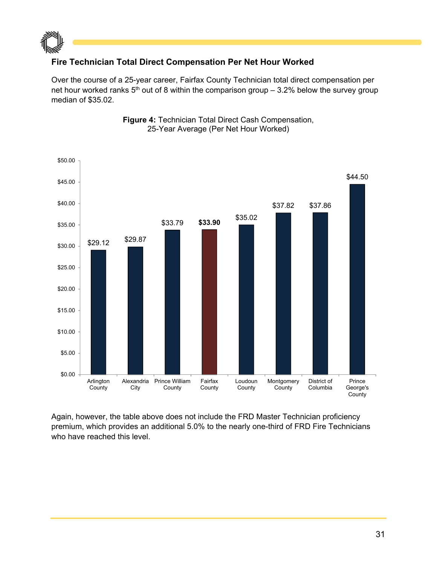

#### **Fire Technician Total Direct Compensation Per Net Hour Worked**

Over the course of a 25-year career, Fairfax County Technician total direct compensation per net hour worked ranks  $5<sup>th</sup>$  out of 8 within the comparison group – 3.2% below the survey group median of \$35.02.



**Figure 4:** Technician Total Direct Cash Compensation, 25-Year Average (Per Net Hour Worked)

Again, however, the table above does not include the FRD Master Technician proficiency premium, which provides an additional 5.0% to the nearly one-third of FRD Fire Technicians who have reached this level.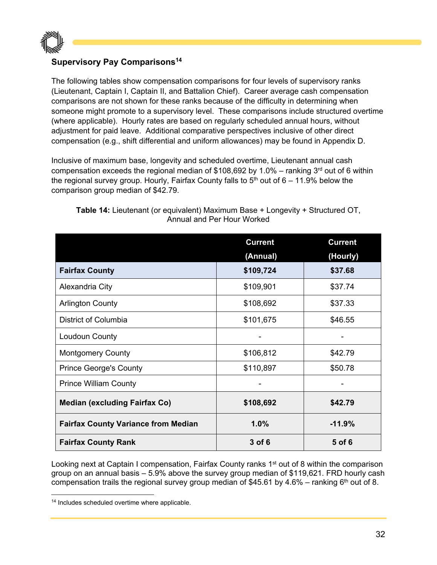

#### **Supervisory Pay Comparisons14**

The following tables show compensation comparisons for four levels of supervisory ranks (Lieutenant, Captain I, Captain II, and Battalion Chief). Career average cash compensation comparisons are not shown for these ranks because of the difficulty in determining when someone might promote to a supervisory level. These comparisons include structured overtime (where applicable). Hourly rates are based on regularly scheduled annual hours, without adjustment for paid leave. Additional comparative perspectives inclusive of other direct compensation (e.g., shift differential and uniform allowances) may be found in Appendix D.

Inclusive of maximum base, longevity and scheduled overtime, Lieutenant annual cash compensation exceeds the regional median of \$108,692 by 1.0% – ranking  $3<sup>rd</sup>$  out of 6 within the regional survey group. Hourly, Fairfax County falls to  $5<sup>th</sup>$  out of  $6 - 11.9\%$  below the comparison group median of \$42.79.

|                                            | <b>Current</b> | <b>Current</b> |
|--------------------------------------------|----------------|----------------|
|                                            | (Annual)       | (Hourly)       |
| <b>Fairfax County</b>                      | \$109,724      | \$37.68        |
| Alexandria City                            | \$109,901      | \$37.74        |
| <b>Arlington County</b>                    | \$108,692      | \$37.33        |
| District of Columbia                       | \$101,675      | \$46.55        |
| Loudoun County                             |                |                |
| <b>Montgomery County</b>                   | \$106,812      | \$42.79        |
| <b>Prince George's County</b>              | \$110,897      | \$50.78        |
| <b>Prince William County</b>               |                |                |
| <b>Median (excluding Fairfax Co)</b>       | \$108,692      | \$42.79        |
| <b>Fairfax County Variance from Median</b> | 1.0%           | $-11.9%$       |
| <b>Fairfax County Rank</b>                 | 3 of 6         | 5 of 6         |

**Table 14:** Lieutenant (or equivalent) Maximum Base + Longevity + Structured OT, Annual and Per Hour Worked

Looking next at Captain I compensation, Fairfax County ranks 1<sup>st</sup> out of 8 within the comparison group on an annual basis – 5.9% above the survey group median of \$119,621. FRD hourly cash compensation trails the regional survey group median of \$45.61 by 4.6% – ranking  $6<sup>th</sup>$  out of 8.

<sup>14</sup> Includes scheduled overtime where applicable.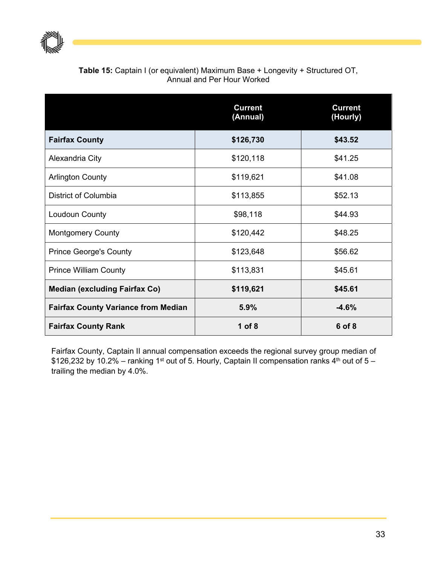

| <b>Table 15:</b> Captain I (or equivalent) Maximum Base + Longevity + Structured OT, |
|--------------------------------------------------------------------------------------|
| Annual and Per Hour Worked                                                           |

|                                            | <b>Current</b><br>(Annual) | <b>Current</b><br>(Hourly) |
|--------------------------------------------|----------------------------|----------------------------|
| <b>Fairfax County</b>                      | \$126,730                  | \$43.52                    |
| Alexandria City                            | \$120,118                  | \$41.25                    |
| <b>Arlington County</b>                    | \$119,621                  | \$41.08                    |
| District of Columbia                       | \$113,855                  | \$52.13                    |
| Loudoun County                             | \$98,118                   | \$44.93                    |
| <b>Montgomery County</b>                   | \$120,442                  | \$48.25                    |
| <b>Prince George's County</b>              | \$123,648                  | \$56.62                    |
| <b>Prince William County</b>               | \$113,831                  | \$45.61                    |
| <b>Median (excluding Fairfax Co)</b>       | \$119,621                  | \$45.61                    |
| <b>Fairfax County Variance from Median</b> | 5.9%                       | $-4.6%$                    |
| <b>Fairfax County Rank</b>                 | $1$ of $8$                 | 6 of 8                     |

Fairfax County, Captain II annual compensation exceeds the regional survey group median of \$126,232 by 10.2% – ranking 1<sup>st</sup> out of 5. Hourly, Captain II compensation ranks 4<sup>th</sup> out of 5 – trailing the median by 4.0%.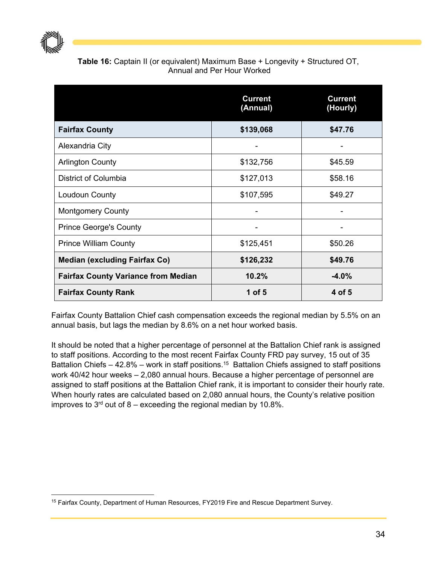

#### **Table 16:** Captain II (or equivalent) Maximum Base + Longevity + Structured OT, Annual and Per Hour Worked

|                                            | <b>Current</b><br>(Annual) | <b>Current</b><br>(Hourly) |
|--------------------------------------------|----------------------------|----------------------------|
| <b>Fairfax County</b>                      | \$139,068                  | \$47.76                    |
| Alexandria City                            |                            |                            |
| <b>Arlington County</b>                    | \$132,756                  | \$45.59                    |
| District of Columbia                       | \$127,013                  | \$58.16                    |
| Loudoun County                             | \$107,595                  | \$49.27                    |
| <b>Montgomery County</b>                   |                            |                            |
| <b>Prince George's County</b>              |                            |                            |
| <b>Prince William County</b>               | \$125,451                  | \$50.26                    |
| <b>Median (excluding Fairfax Co)</b>       | \$126,232                  | \$49.76                    |
| <b>Fairfax County Variance from Median</b> | 10.2%                      | $-4.0%$                    |
| <b>Fairfax County Rank</b>                 | 1 of $5$                   | 4 of 5                     |

Fairfax County Battalion Chief cash compensation exceeds the regional median by 5.5% on an annual basis, but lags the median by 8.6% on a net hour worked basis.

It should be noted that a higher percentage of personnel at the Battalion Chief rank is assigned to staff positions. According to the most recent Fairfax County FRD pay survey, 15 out of 35 Battalion Chiefs – 42.8% – work in staff positions.<sup>15</sup> Battalion Chiefs assigned to staff positions work 40/42 hour weeks – 2,080 annual hours. Because a higher percentage of personnel are assigned to staff positions at the Battalion Chief rank, it is important to consider their hourly rate. When hourly rates are calculated based on 2,080 annual hours, the County's relative position improves to  $3<sup>rd</sup>$  out of 8 – exceeding the regional median by 10.8%.

<sup>&</sup>lt;sup>15</sup> Fairfax County, Department of Human Resources, FY2019 Fire and Rescue Department Survey.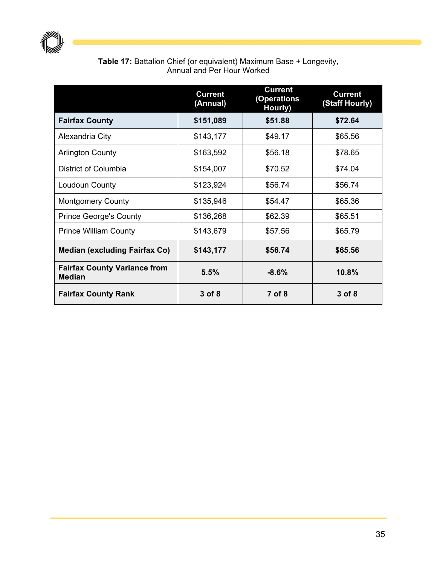

#### **Table 17:** Battalion Chief (or equivalent) Maximum Base + Longevity, Annual and Per Hour Worked

|                                                      | <b>Current</b><br>(Annual) | <b>Current</b><br>(Operations<br>Hourly) | <b>Current</b><br>(Staff Hourly) |
|------------------------------------------------------|----------------------------|------------------------------------------|----------------------------------|
| <b>Fairfax County</b>                                | \$151,089                  | \$51.88                                  | \$72.64                          |
| Alexandria City                                      | \$143,177                  | \$49.17                                  | \$65.56                          |
| <b>Arlington County</b>                              | \$163,592                  | \$56.18                                  | \$78.65                          |
| District of Columbia                                 | \$154,007                  | \$70.52                                  | \$74.04                          |
| Loudoun County                                       | \$123,924                  | \$56.74                                  | \$56.74                          |
| <b>Montgomery County</b>                             | \$135,946                  | \$54.47                                  | \$65.36                          |
| <b>Prince George's County</b>                        | \$136,268                  | \$62.39                                  | \$65.51                          |
| <b>Prince William County</b>                         | \$143,679                  | \$57.56                                  | \$65.79                          |
| <b>Median (excluding Fairfax Co)</b>                 | \$143,177                  | \$56.74                                  | \$65.56                          |
| <b>Fairfax County Variance from</b><br><b>Median</b> | 5.5%                       | $-8.6%$                                  | 10.8%                            |
| <b>Fairfax County Rank</b>                           | 3 of 8                     | 7 of 8                                   | 3 of 8                           |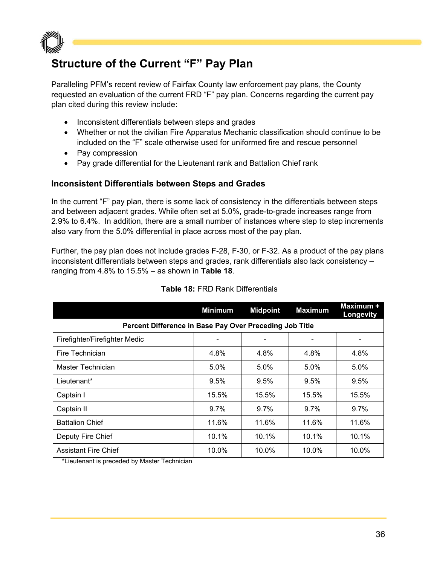

## **Structure of the Current "F" Pay Plan**

Paralleling PFM's recent review of Fairfax County law enforcement pay plans, the County requested an evaluation of the current FRD "F" pay plan. Concerns regarding the current pay plan cited during this review include:

- Inconsistent differentials between steps and grades
- Whether or not the civilian Fire Apparatus Mechanic classification should continue to be included on the "F" scale otherwise used for uniformed fire and rescue personnel
- Pay compression
- Pay grade differential for the Lieutenant rank and Battalion Chief rank

#### **Inconsistent Differentials between Steps and Grades**

In the current "F" pay plan, there is some lack of consistency in the differentials between steps and between adjacent grades. While often set at 5.0%, grade-to-grade increases range from 2.9% to 6.4%. In addition, there are a small number of instances where step to step increments also vary from the 5.0% differential in place across most of the pay plan.

Further, the pay plan does not include grades F-28, F-30, or F-32. As a product of the pay plans inconsistent differentials between steps and grades, rank differentials also lack consistency – ranging from 4.8% to 15.5% – as shown in **Table 18**.

|                                                         | <b>Minimum</b> | <b>Midpoint</b> | <b>Maximum</b> | Maximum +<br>Longevity |  |  |
|---------------------------------------------------------|----------------|-----------------|----------------|------------------------|--|--|
| Percent Difference in Base Pay Over Preceding Job Title |                |                 |                |                        |  |  |
| Firefighter/Firefighter Medic                           |                |                 |                |                        |  |  |
| Fire Technician                                         | 4.8%           | 4.8%            | 4.8%           | 4.8%                   |  |  |
| Master Technician                                       | $5.0\%$        | $5.0\%$         | $5.0\%$        | 5.0%                   |  |  |
| Lieutenant*                                             | 9.5%           | 9.5%            | 9.5%           | 9.5%                   |  |  |
| Captain I                                               | 15.5%          | 15.5%           | 15.5%          | 15.5%                  |  |  |
| Captain II                                              | $9.7\%$        | $9.7\%$         | $9.7\%$        | $9.7\%$                |  |  |
| <b>Battalion Chief</b>                                  | 11.6%          | 11.6%           | 11.6%          | 11.6%                  |  |  |
| Deputy Fire Chief                                       | 10.1%          | 10.1%           | 10.1%          | 10.1%                  |  |  |
| <b>Assistant Fire Chief</b>                             | 10.0%          | 10.0%           | $10.0\%$       | 10.0%                  |  |  |

#### **Table 18:** FRD Rank Differentials

\*Lieutenant is preceded by Master Technician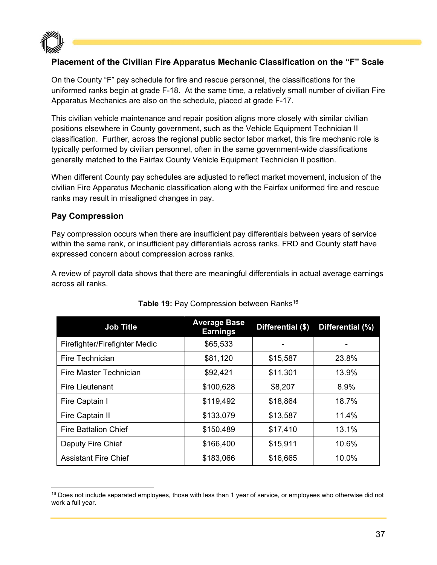

# **Placement of the Civilian Fire Apparatus Mechanic Classification on the "F" Scale**

On the County "F" pay schedule for fire and rescue personnel, the classifications for the uniformed ranks begin at grade F-18. At the same time, a relatively small number of civilian Fire Apparatus Mechanics are also on the schedule, placed at grade F-17.

This civilian vehicle maintenance and repair position aligns more closely with similar civilian positions elsewhere in County government, such as the Vehicle Equipment Technician II classification. Further, across the regional public sector labor market, this fire mechanic role is typically performed by civilian personnel, often in the same government-wide classifications generally matched to the Fairfax County Vehicle Equipment Technician II position.

When different County pay schedules are adjusted to reflect market movement, inclusion of the civilian Fire Apparatus Mechanic classification along with the Fairfax uniformed fire and rescue ranks may result in misaligned changes in pay.

### **Pay Compression**

Pay compression occurs when there are insufficient pay differentials between years of service within the same rank, or insufficient pay differentials across ranks. FRD and County staff have expressed concern about compression across ranks.

A review of payroll data shows that there are meaningful differentials in actual average earnings across all ranks.

| <b>Job Title</b>              | <b>Average Base</b><br><b>Earnings</b> | Differential (\$) | Differential (%) |
|-------------------------------|----------------------------------------|-------------------|------------------|
| Firefighter/Firefighter Medic | \$65,533                               |                   |                  |
| Fire Technician               | \$81,120                               | \$15,587          | 23.8%            |
| Fire Master Technician        | \$92,421                               | \$11,301          | 13.9%            |
| <b>Fire Lieutenant</b>        | \$100,628                              | \$8,207           | 8.9%             |
| Fire Captain I                | \$119,492                              | \$18,864          | 18.7%            |
| Fire Captain II               | \$133,079                              | \$13,587          | 11.4%            |
| <b>Fire Battalion Chief</b>   | \$150,489                              | \$17,410          | 13.1%            |
| Deputy Fire Chief             | \$166,400                              | \$15,911          | 10.6%            |
| <b>Assistant Fire Chief</b>   | \$183,066                              | \$16,665          | 10.0%            |

### Table 19: Pay Compression between Ranks<sup>16</sup>

<sup>&</sup>lt;sup>16</sup> Does not include separated employees, those with less than 1 year of service, or employees who otherwise did not work a full year.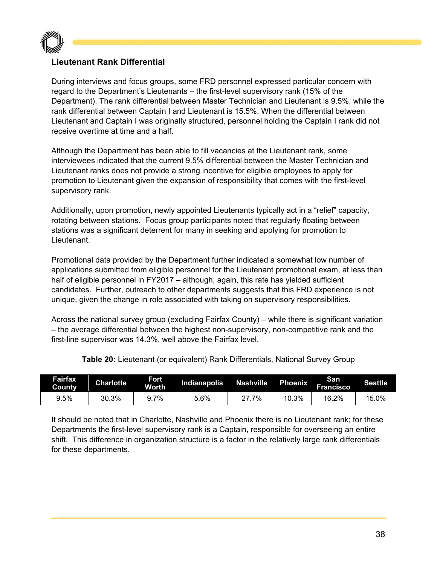

# **Lieutenant Rank Differential**

During interviews and focus groups, some FRD personnel expressed particular concern with regard to the Department's Lieutenants – the first-level supervisory rank (15% of the Department). The rank differential between Master Technician and Lieutenant is 9.5%, while the rank differential between Captain I and Lieutenant is 15.5%. When the differential between Lieutenant and Captain I was originally structured, personnel holding the Captain I rank did not receive overtime at time and a half.

Although the Department has been able to fill vacancies at the Lieutenant rank, some interviewees indicated that the current 9.5% differential between the Master Technician and Lieutenant ranks does not provide a strong incentive for eligible employees to apply for promotion to Lieutenant given the expansion of responsibility that comes with the first-level supervisory rank.

Additionally, upon promotion, newly appointed Lieutenants typically act in a "relief" capacity, rotating between stations. Focus group participants noted that regularly floating between stations was a significant deterrent for many in seeking and applying for promotion to Lieutenant.

Promotional data provided by the Department further indicated a somewhat low number of applications submitted from eligible personnel for the Lieutenant promotional exam, at less than half of eligible personnel in FY2017 – although, again, this rate has yielded sufficient candidates. Further, outreach to other departments suggests that this FRD experience is not unique, given the change in role associated with taking on supervisory responsibilities.

Across the national survey group (excluding Fairfax County) – while there is significant variation – the average differential between the highest non-supervisory, non-competitive rank and the first-line supervisor was 14.3%, well above the Fairfax level.

| Fairfax<br>County | <b>Charlotte</b> | Fort<br>Worth | Indianapolis | Nashville | <b>Phoenix</b> | San<br><b>Francisco</b> | <b>Seattle</b> |
|-------------------|------------------|---------------|--------------|-----------|----------------|-------------------------|----------------|
| 9.5%              | 30.3%            | 7%            | 5.6%         | 7%        | 10.3%          | 16.2%                   | 15.0%          |

**Table 20:** Lieutenant (or equivalent) Rank Differentials, National Survey Group

It should be noted that in Charlotte, Nashville and Phoenix there is no Lieutenant rank; for these Departments the first-level supervisory rank is a Captain, responsible for overseeing an entire shift. This difference in organization structure is a factor in the relatively large rank differentials for these departments.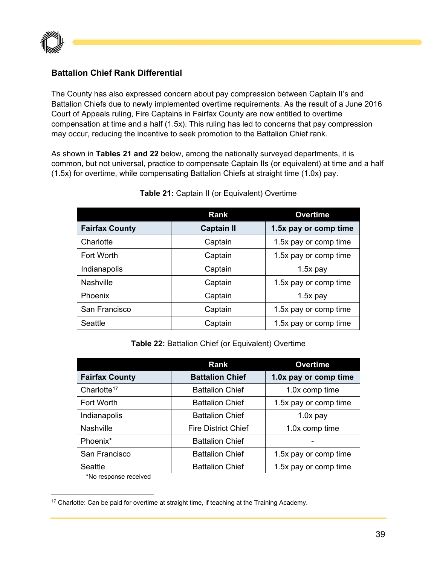

## **Battalion Chief Rank Differential**

The County has also expressed concern about pay compression between Captain II's and Battalion Chiefs due to newly implemented overtime requirements. As the result of a June 2016 Court of Appeals ruling, Fire Captains in Fairfax County are now entitled to overtime compensation at time and a half (1.5x). This ruling has led to concerns that pay compression may occur, reducing the incentive to seek promotion to the Battalion Chief rank.

As shown in **Tables 21 and 22** below, among the nationally surveyed departments, it is common, but not universal, practice to compensate Captain IIs (or equivalent) at time and a half (1.5x) for overtime, while compensating Battalion Chiefs at straight time (1.0x) pay.

|                       | <b>Rank</b>       | <b>Overtime</b>       |
|-----------------------|-------------------|-----------------------|
| <b>Fairfax County</b> | <b>Captain II</b> | 1.5x pay or comp time |
| Charlotte             | Captain           | 1.5x pay or comp time |
| Fort Worth            | Captain           | 1.5x pay or comp time |
| Indianapolis          | Captain           | $1.5x$ pay            |
| <b>Nashville</b>      | Captain           | 1.5x pay or comp time |
| Phoenix               | Captain           | $1.5x$ pay            |
| San Francisco         | Captain           | 1.5x pay or comp time |
| Seattle               | Captain           | 1.5x pay or comp time |

#### **Table 21:** Captain II (or Equivalent) Overtime

#### **Table 22:** Battalion Chief (or Equivalent) Overtime

|                         | Rank                       | <b>Overtime</b>       |
|-------------------------|----------------------------|-----------------------|
| <b>Fairfax County</b>   | <b>Battalion Chief</b>     | 1.0x pay or comp time |
| Charlotte <sup>17</sup> | <b>Battalion Chief</b>     | 1.0x comp time        |
| Fort Worth              | <b>Battalion Chief</b>     | 1.5x pay or comp time |
| Indianapolis            | <b>Battalion Chief</b>     | $1.0x$ pay            |
| Nashville               | <b>Fire District Chief</b> | 1.0x comp time        |
| Phoenix*                | <b>Battalion Chief</b>     |                       |
| San Francisco           | <b>Battalion Chief</b>     | 1.5x pay or comp time |
| Seattle                 | <b>Battalion Chief</b>     | 1.5x pay or comp time |

\*No response received

 <sup>17</sup> Charlotte: Can be paid for overtime at straight time, if teaching at the Training Academy.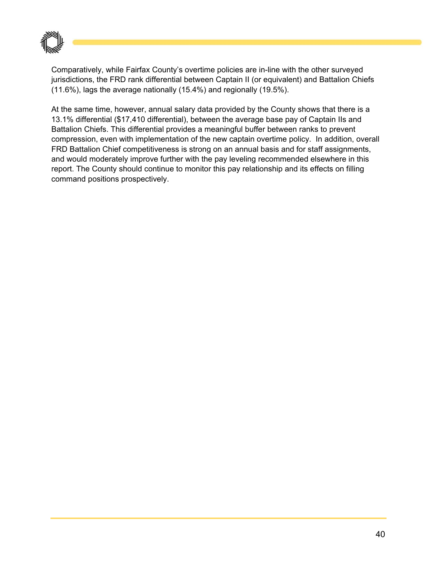

Comparatively, while Fairfax County's overtime policies are in-line with the other surveyed jurisdictions, the FRD rank differential between Captain II (or equivalent) and Battalion Chiefs (11.6%), lags the average nationally (15.4%) and regionally (19.5%).

At the same time, however, annual salary data provided by the County shows that there is a 13.1% differential (\$17,410 differential), between the average base pay of Captain IIs and Battalion Chiefs. This differential provides a meaningful buffer between ranks to prevent compression, even with implementation of the new captain overtime policy. In addition, overall FRD Battalion Chief competitiveness is strong on an annual basis and for staff assignments, and would moderately improve further with the pay leveling recommended elsewhere in this report. The County should continue to monitor this pay relationship and its effects on filling command positions prospectively.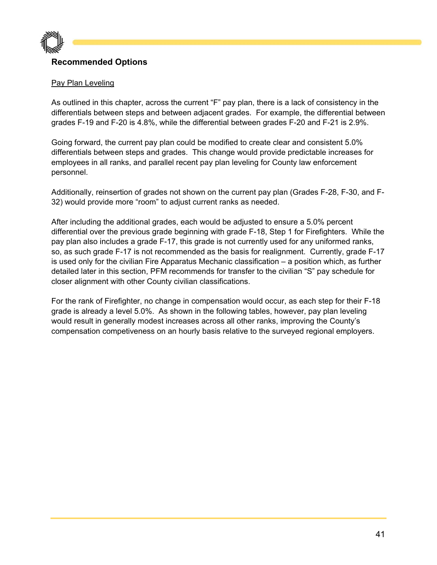

# **Recommended Options**

#### Pay Plan Leveling

As outlined in this chapter, across the current "F" pay plan, there is a lack of consistency in the differentials between steps and between adjacent grades. For example, the differential between grades F-19 and F-20 is 4.8%, while the differential between grades F-20 and F-21 is 2.9%.

Going forward, the current pay plan could be modified to create clear and consistent 5.0% differentials between steps and grades. This change would provide predictable increases for employees in all ranks, and parallel recent pay plan leveling for County law enforcement personnel.

Additionally, reinsertion of grades not shown on the current pay plan (Grades F-28, F-30, and F-32) would provide more "room" to adjust current ranks as needed.

After including the additional grades, each would be adjusted to ensure a 5.0% percent differential over the previous grade beginning with grade F-18, Step 1 for Firefighters. While the pay plan also includes a grade F-17, this grade is not currently used for any uniformed ranks, so, as such grade F-17 is not recommended as the basis for realignment. Currently, grade F-17 is used only for the civilian Fire Apparatus Mechanic classification – a position which, as further detailed later in this section, PFM recommends for transfer to the civilian "S" pay schedule for closer alignment with other County civilian classifications.

For the rank of Firefighter, no change in compensation would occur, as each step for their F-18 grade is already a level 5.0%. As shown in the following tables, however, pay plan leveling would result in generally modest increases across all other ranks, improving the County's compensation competiveness on an hourly basis relative to the surveyed regional employers.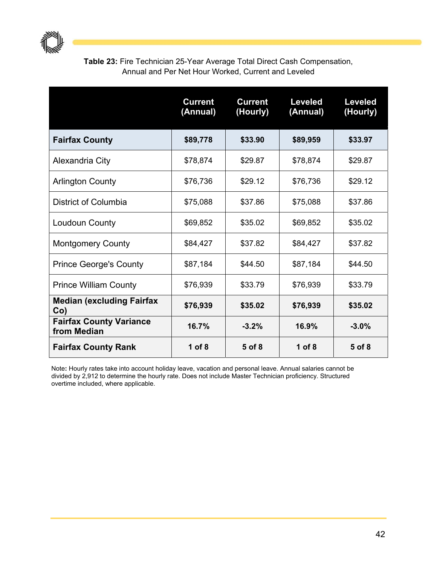

**Table 23:** Fire Technician 25-Year Average Total Direct Cash Compensation, Annual and Per Net Hour Worked, Current and Leveled

|                                               | <b>Current</b><br>(Annual) | <b>Current</b><br>(Hourly) | <b>Leveled</b><br>(Annual) | <b>Leveled</b><br>(Hourly) |
|-----------------------------------------------|----------------------------|----------------------------|----------------------------|----------------------------|
| <b>Fairfax County</b>                         | \$89,778                   | \$33.90                    | \$89,959                   | \$33.97                    |
| Alexandria City                               | \$78,874                   | \$29.87                    | \$78,874                   | \$29.87                    |
| <b>Arlington County</b>                       | \$76,736                   | \$29.12                    | \$76,736                   | \$29.12                    |
| District of Columbia                          | \$75,088                   | \$37.86                    | \$75,088                   | \$37.86                    |
| <b>Loudoun County</b>                         | \$69,852                   | \$35.02                    | \$69,852                   | \$35.02                    |
| <b>Montgomery County</b>                      | \$84,427                   | \$37.82                    | \$84,427                   | \$37.82                    |
| <b>Prince George's County</b>                 | \$87,184                   | \$44.50                    | \$87,184                   | \$44.50                    |
| <b>Prince William County</b>                  | \$76,939                   | \$33.79                    | \$76,939                   | \$33.79                    |
| <b>Median (excluding Fairfax</b><br>$Co$ )    | \$76,939                   | \$35.02                    | \$76,939                   | \$35.02                    |
| <b>Fairfax County Variance</b><br>from Median | 16.7%                      | $-3.2%$                    | 16.9%                      | $-3.0%$                    |
| <b>Fairfax County Rank</b>                    | 1 of $8$                   | 5 of 8                     | 1 of $8$                   | 5 of 8                     |

Note**:** Hourly rates take into account holiday leave, vacation and personal leave. Annual salaries cannot be divided by 2,912 to determine the hourly rate. Does not include Master Technician proficiency. Structured overtime included, where applicable.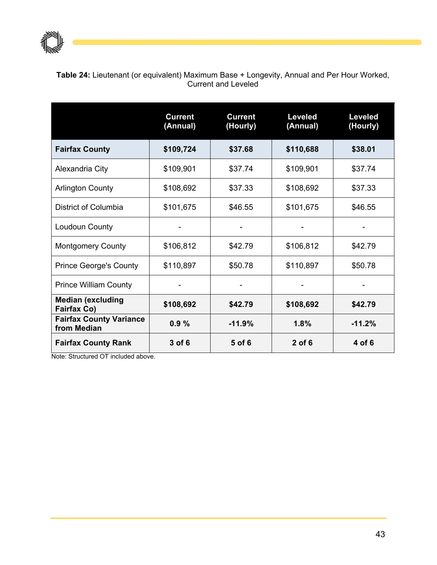

**Table 24:** Lieutenant (or equivalent) Maximum Base + Longevity, Annual and Per Hour Worked, Current and Leveled

|                                               | <b>Current</b><br>(Annual) | <b>Current</b><br>(Hourly) | <b>Leveled</b><br>(Annual) | <b>Leveled</b><br>(Hourly) |
|-----------------------------------------------|----------------------------|----------------------------|----------------------------|----------------------------|
| <b>Fairfax County</b>                         | \$109,724                  | \$37.68                    | \$110,688                  | \$38.01                    |
| Alexandria City                               | \$109,901                  | \$37.74                    | \$109,901                  | \$37.74                    |
| <b>Arlington County</b>                       | \$108,692                  | \$37.33                    | \$108,692                  | \$37.33                    |
| District of Columbia                          | \$101,675                  | \$46.55                    | \$101,675                  | \$46.55                    |
| Loudoun County                                |                            |                            |                            |                            |
| <b>Montgomery County</b>                      | \$106,812                  | \$42.79                    | \$106,812                  | \$42.79                    |
| <b>Prince George's County</b>                 | \$110,897                  | \$50.78                    | \$110,897                  | \$50.78                    |
| <b>Prince William County</b>                  |                            |                            |                            |                            |
| <b>Median (excluding</b><br>Fairfax Co)       | \$108,692                  | \$42.79                    | \$108,692                  | \$42.79                    |
| <b>Fairfax County Variance</b><br>from Median | 0.9%                       | $-11.9%$                   | 1.8%                       | $-11.2%$                   |
| <b>Fairfax County Rank</b>                    | 3 of 6                     | 5 of 6                     | $2$ of 6                   | 4 of 6                     |

Note: Structured OT included above.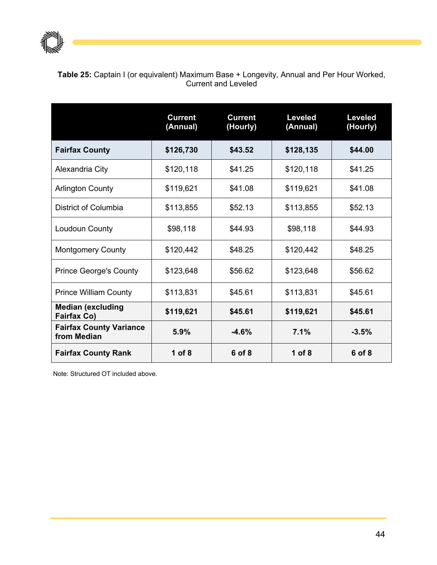

| <b>Table 25:</b> Captain I (or equivalent) Maximum Base + Longevity, Annual and Per Hour Worked, |  |
|--------------------------------------------------------------------------------------------------|--|
| Current and Leveled                                                                              |  |

|                                                | <b>Current</b><br>(Annual) | <b>Current</b><br>(Hourly) | <b>Leveled</b><br>(Annual) | <b>Leveled</b><br>(Hourly) |
|------------------------------------------------|----------------------------|----------------------------|----------------------------|----------------------------|
| <b>Fairfax County</b>                          | \$126,730                  | \$43.52                    | \$128,135                  | \$44.00                    |
| Alexandria City                                | \$120,118                  | \$41.25                    | \$120,118                  | \$41.25                    |
| <b>Arlington County</b>                        | \$119,621                  | \$41.08                    | \$119,621                  | \$41.08                    |
| District of Columbia                           | \$113,855                  | \$52.13                    | \$113,855                  | \$52.13                    |
| Loudoun County                                 | \$98,118                   | \$44.93                    | \$98,118                   | \$44.93                    |
| <b>Montgomery County</b>                       | \$120,442                  | \$48.25                    | \$120,442                  | \$48.25                    |
| <b>Prince George's County</b>                  | \$123,648                  | \$56.62                    | \$123,648                  | \$56.62                    |
| <b>Prince William County</b>                   | \$113,831                  | \$45.61                    | \$113,831                  | \$45.61                    |
| <b>Median (excluding</b><br><b>Fairfax Co)</b> | \$119,621                  | \$45.61                    | \$119,621                  | \$45.61                    |
| <b>Fairfax County Variance</b><br>from Median  | 5.9%                       | $-4.6%$                    | 7.1%                       | $-3.5%$                    |
| <b>Fairfax County Rank</b>                     | 1 of $8$                   | 6 of 8                     | 1 of 8                     | 6 of 8                     |

Note: Structured OT included above.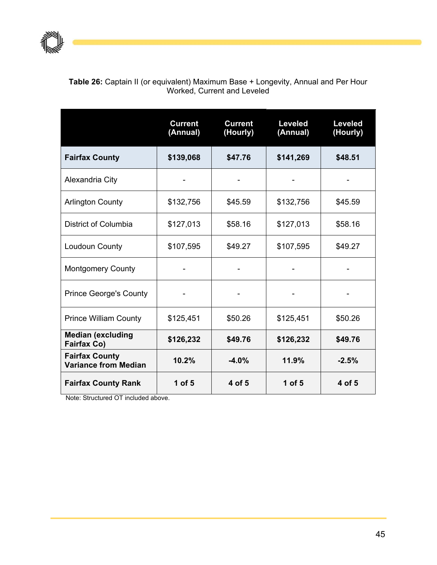

### **Table 26:** Captain II (or equivalent) Maximum Base + Longevity, Annual and Per Hour Worked, Current and Leveled

|                                                      | <b>Current</b><br>(Annual) | <b>Current</b><br>(Hourly) | <b>Leveled</b><br>(Annual) | <b>Leveled</b><br>(Hourly) |
|------------------------------------------------------|----------------------------|----------------------------|----------------------------|----------------------------|
| <b>Fairfax County</b>                                | \$139,068                  | \$47.76                    | \$141,269                  | \$48.51                    |
| Alexandria City                                      |                            |                            |                            |                            |
| <b>Arlington County</b>                              | \$132,756                  | \$45.59                    | \$132,756                  | \$45.59                    |
| District of Columbia                                 | \$127,013                  | \$58.16                    | \$127,013                  | \$58.16                    |
| Loudoun County                                       | \$107,595                  | \$49.27                    | \$107,595                  | \$49.27                    |
| <b>Montgomery County</b>                             |                            |                            |                            |                            |
| <b>Prince George's County</b>                        |                            |                            |                            |                            |
| <b>Prince William County</b>                         | \$125,451                  | \$50.26                    | \$125,451                  | \$50.26                    |
| <b>Median (excluding</b><br>Fairfax Co)              | \$126,232                  | \$49.76                    | \$126,232                  | \$49.76                    |
| <b>Fairfax County</b><br><b>Variance from Median</b> | 10.2%                      | $-4.0%$                    | 11.9%                      | $-2.5%$                    |
| <b>Fairfax County Rank</b>                           | $1$ of $5$                 | 4 of 5                     | 1 of $5$                   | 4 of 5                     |

Note: Structured OT included above.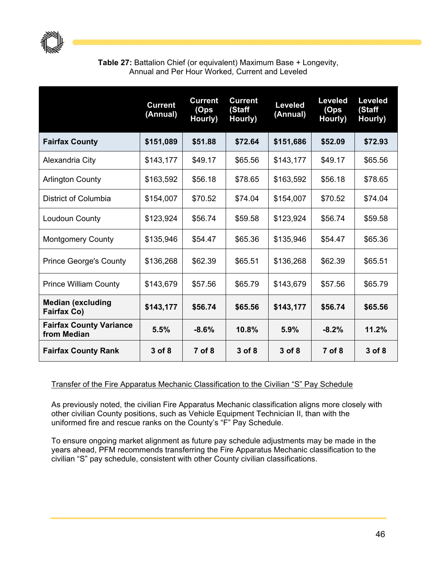

## **Table 27:** Battalion Chief (or equivalent) Maximum Base + Longevity, Annual and Per Hour Worked, Current and Leveled

|                                                | <b>Current</b><br>(Annual) | <b>Current</b><br>(Ops<br>Hourly) | <b>Current</b><br>(Staff<br>Hourly) | <b>Leveled</b><br>(Annual) | <b>Leveled</b><br>(Ops<br>Hourly) | <b>Leveled</b><br>(Staff<br>Hourly) |
|------------------------------------------------|----------------------------|-----------------------------------|-------------------------------------|----------------------------|-----------------------------------|-------------------------------------|
| <b>Fairfax County</b>                          | \$151,089                  | \$51.88                           | \$72.64                             | \$151,686                  | \$52.09                           | \$72.93                             |
| Alexandria City                                | \$143,177                  | \$49.17                           | \$65.56                             | \$143,177                  | \$49.17                           | \$65.56                             |
| <b>Arlington County</b>                        | \$163,592                  | \$56.18                           | \$78.65                             | \$163,592                  | \$56.18                           | \$78.65                             |
| District of Columbia                           | \$154,007                  | \$70.52                           | \$74.04                             | \$154,007                  | \$70.52                           | \$74.04                             |
| Loudoun County                                 | \$123,924                  | \$56.74                           | \$59.58                             | \$123,924                  | \$56.74                           | \$59.58                             |
| <b>Montgomery County</b>                       | \$135,946                  | \$54.47                           | \$65.36                             | \$135,946                  | \$54.47                           | \$65.36                             |
| <b>Prince George's County</b>                  | \$136,268                  | \$62.39                           | \$65.51                             | \$136,268                  | \$62.39                           | \$65.51                             |
| <b>Prince William County</b>                   | \$143,679                  | \$57.56                           | \$65.79                             | \$143,679                  | \$57.56                           | \$65.79                             |
| <b>Median (excluding</b><br><b>Fairfax Co)</b> | \$143,177                  | \$56.74                           | \$65.56                             | \$143,177                  | \$56.74                           | \$65.56                             |
| <b>Fairfax County Variance</b><br>from Median  | 5.5%                       | $-8.6%$                           | 10.8%                               | 5.9%                       | $-8.2%$                           | 11.2%                               |
| <b>Fairfax County Rank</b>                     | 3 of 8                     | $7$ of $8$                        | 3 of 8                              | $3$ of $8$                 | $7$ of $8$                        | $3$ of $8$                          |

### Transfer of the Fire Apparatus Mechanic Classification to the Civilian "S" Pay Schedule

As previously noted, the civilian Fire Apparatus Mechanic classification aligns more closely with other civilian County positions, such as Vehicle Equipment Technician II, than with the uniformed fire and rescue ranks on the County's "F" Pay Schedule.

To ensure ongoing market alignment as future pay schedule adjustments may be made in the years ahead, PFM recommends transferring the Fire Apparatus Mechanic classification to the civilian "S" pay schedule, consistent with other County civilian classifications.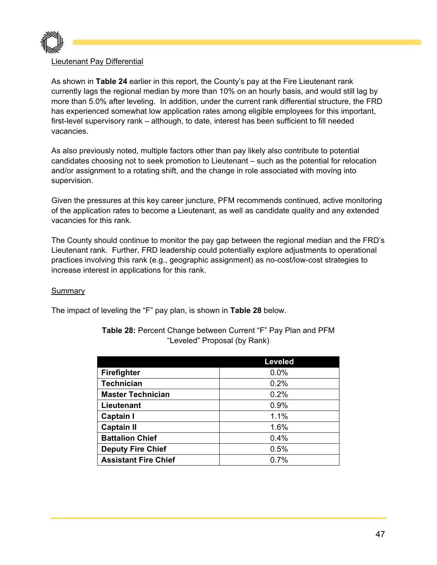

#### Lieutenant Pay Differential

As shown in **Table 24** earlier in this report, the County's pay at the Fire Lieutenant rank currently lags the regional median by more than 10% on an hourly basis, and would still lag by more than 5.0% after leveling. In addition, under the current rank differential structure, the FRD has experienced somewhat low application rates among eligible employees for this important, first-level supervisory rank – although, to date, interest has been sufficient to fill needed vacancies.

As also previously noted, multiple factors other than pay likely also contribute to potential candidates choosing not to seek promotion to Lieutenant – such as the potential for relocation and/or assignment to a rotating shift, and the change in role associated with moving into supervision.

Given the pressures at this key career juncture, PFM recommends continued, active monitoring of the application rates to become a Lieutenant, as well as candidate quality and any extended vacancies for this rank.

The County should continue to monitor the pay gap between the regional median and the FRD's Lieutenant rank. Further, FRD leadership could potentially explore adjustments to operational practices involving this rank (e.g., geographic assignment) as no-cost/low-cost strategies to increase interest in applications for this rank.

#### Summary

The impact of leveling the "F" pay plan, is shown in **Table 28** below.

|                             | <b>Leveled</b> |
|-----------------------------|----------------|
| <b>Firefighter</b>          | 0.0%           |
| <b>Technician</b>           | 0.2%           |
| <b>Master Technician</b>    | 0.2%           |
| Lieutenant                  | 0.9%           |
| <b>Captain I</b>            | 1.1%           |
| <b>Captain II</b>           | 1.6%           |
| <b>Battalion Chief</b>      | 0.4%           |
| <b>Deputy Fire Chief</b>    | 0.5%           |
| <b>Assistant Fire Chief</b> | 0.7%           |

**Table 28:** Percent Change between Current "F" Pay Plan and PFM "Leveled" Proposal (by Rank)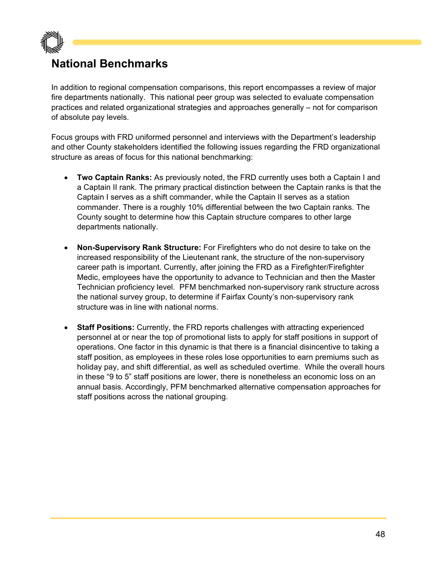

# **National Benchmarks**

In addition to regional compensation comparisons, this report encompasses a review of major fire departments nationally. This national peer group was selected to evaluate compensation practices and related organizational strategies and approaches generally – not for comparison of absolute pay levels.

Focus groups with FRD uniformed personnel and interviews with the Department's leadership and other County stakeholders identified the following issues regarding the FRD organizational structure as areas of focus for this national benchmarking:

- **Two Captain Ranks:** As previously noted, the FRD currently uses both a Captain I and a Captain II rank. The primary practical distinction between the Captain ranks is that the Captain I serves as a shift commander, while the Captain II serves as a station commander. There is a roughly 10% differential between the two Captain ranks. The County sought to determine how this Captain structure compares to other large departments nationally.
- **Non-Supervisory Rank Structure:** For Firefighters who do not desire to take on the increased responsibility of the Lieutenant rank, the structure of the non-supervisory career path is important. Currently, after joining the FRD as a Firefighter/Firefighter Medic, employees have the opportunity to advance to Technician and then the Master Technician proficiency level. PFM benchmarked non-supervisory rank structure across the national survey group, to determine if Fairfax County's non-supervisory rank structure was in line with national norms.
- **Staff Positions:** Currently, the FRD reports challenges with attracting experienced personnel at or near the top of promotional lists to apply for staff positions in support of operations. One factor in this dynamic is that there is a financial disincentive to taking a staff position, as employees in these roles lose opportunities to earn premiums such as holiday pay, and shift differential, as well as scheduled overtime. While the overall hours in these "9 to 5" staff positions are lower, there is nonetheless an economic loss on an annual basis. Accordingly, PFM benchmarked alternative compensation approaches for staff positions across the national grouping.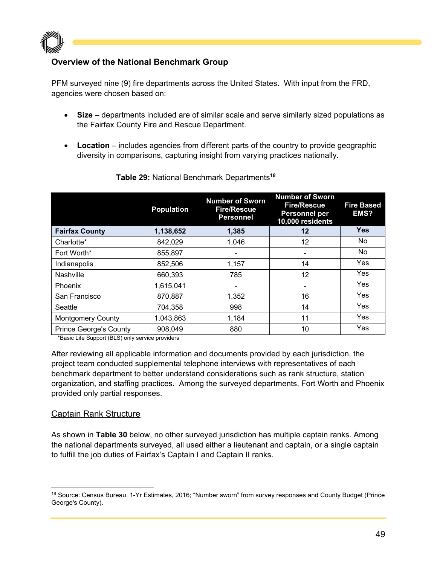

# **Overview of the National Benchmark Group**

PFM surveyed nine (9) fire departments across the United States. With input from the FRD, agencies were chosen based on:

- **Size** departments included are of similar scale and serve similarly sized populations as the Fairfax County Fire and Rescue Department.
- **Location** includes agencies from different parts of the country to provide geographic diversity in comparisons, capturing insight from varying practices nationally.

|                               | <b>Population</b> | <b>Number of Sworn</b><br><b>Fire/Rescue</b><br><b>Personnel</b> | <b>Number of Sworn</b><br><b>Fire/Rescue</b><br><b>Personnel per</b><br>10,000 residents | <b>Fire Based</b><br>EMS? |
|-------------------------------|-------------------|------------------------------------------------------------------|------------------------------------------------------------------------------------------|---------------------------|
| <b>Fairfax County</b>         | 1,138,652         | 1,385                                                            | 12                                                                                       | <b>Yes</b>                |
| Charlotte*                    | 842,029           | 1,046                                                            | 12                                                                                       | No                        |
| Fort Worth*                   | 855,897           |                                                                  |                                                                                          | No.                       |
| Indianapolis                  | 852,506           | 1,157                                                            | 14                                                                                       | Yes                       |
| Nashville                     | 660,393           | 785                                                              | 12                                                                                       | Yes                       |
| Phoenix                       | 1,615,041         |                                                                  |                                                                                          | Yes                       |
| San Francisco                 | 870,887           | 1,352                                                            | 16                                                                                       | Yes                       |
| Seattle                       | 704,358           | 998                                                              | 14                                                                                       | Yes                       |
| <b>Montgomery County</b>      | 1,043,863         | 1,184                                                            | 11                                                                                       | Yes                       |
| <b>Prince George's County</b> | 908,049           | 880                                                              | 10                                                                                       | Yes                       |

#### **Table 29:** National Benchmark Departments**<sup>18</sup>**

\*Basic Life Support (BLS) only service providers

After reviewing all applicable information and documents provided by each jurisdiction, the project team conducted supplemental telephone interviews with representatives of each benchmark department to better understand considerations such as rank structure, station organization, and staffing practices. Among the surveyed departments, Fort Worth and Phoenix provided only partial responses.

#### Captain Rank Structure

As shown in **Table 30** below, no other surveyed jurisdiction has multiple captain ranks. Among the national departments surveyed, all used either a lieutenant and captain, or a single captain to fulfill the job duties of Fairfax's Captain I and Captain II ranks.

<sup>18</sup> Source: Census Bureau, 1-Yr Estimates, 2016; "Number sworn" from survey responses and County Budget (Prince George's County).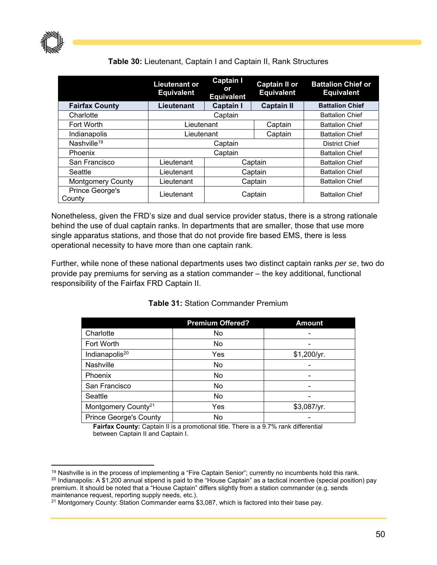

# **Table 30:** Lieutenant, Captain I and Captain II, Rank Structures

|                           | Lieutenant or<br><b>Equivalent</b> | <b>Captain I</b><br>or<br><b>Equivalent</b>     | <b>Captain II or</b><br><b>Equivalent</b> | <b>Battalion Chief or</b><br><b>Equivalent</b> |
|---------------------------|------------------------------------|-------------------------------------------------|-------------------------------------------|------------------------------------------------|
| <b>Fairfax County</b>     | Lieutenant                         | <b>Captain I</b>                                | <b>Captain II</b>                         | <b>Battalion Chief</b>                         |
| Charlotte                 |                                    | Captain                                         |                                           | <b>Battalion Chief</b>                         |
| Fort Worth                |                                    | Lieutenant<br>Captain<br><b>Battalion Chief</b> |                                           |                                                |
| Indianapolis              |                                    | Lieutenant<br>Captain                           |                                           | <b>Battalion Chief</b>                         |
| Nashville <sup>19</sup>   |                                    | Captain                                         | <b>District Chief</b>                     |                                                |
| Phoenix                   |                                    | Captain                                         | <b>Battalion Chief</b>                    |                                                |
| San Francisco             | Lieutenant                         |                                                 | Captain                                   | <b>Battalion Chief</b>                         |
| Seattle                   | Lieutenant                         |                                                 | Captain                                   | <b>Battalion Chief</b>                         |
| <b>Montgomery County</b>  | Lieutenant                         | Captain                                         |                                           | <b>Battalion Chief</b>                         |
| Prince George's<br>County | Lieutenant                         | Captain                                         |                                           | <b>Battalion Chief</b>                         |

Nonetheless, given the FRD's size and dual service provider status, there is a strong rationale behind the use of dual captain ranks. In departments that are smaller, those that use more single apparatus stations, and those that do not provide fire based EMS, there is less operational necessity to have more than one captain rank.

Further, while none of these national departments uses two distinct captain ranks *per se*, two do provide pay premiums for serving as a station commander – the key additional, functional responsibility of the Fairfax FRD Captain II.

|                                 | <b>Premium Offered?</b> | <b>Amount</b>            |
|---------------------------------|-------------------------|--------------------------|
| Charlotte                       | No                      |                          |
| Fort Worth                      | No                      |                          |
| Indianapolis <sup>20</sup>      | Yes                     | \$1,200/yr.              |
| Nashville                       | No                      |                          |
| Phoenix                         | No                      |                          |
| San Francisco                   | No                      | $\overline{\phantom{0}}$ |
| Seattle                         | No                      |                          |
| Montgomery County <sup>21</sup> | Yes                     | \$3,087/yr.              |
| <b>Prince George's County</b>   | No                      |                          |

#### **Table 31:** Station Commander Premium

**Fairfax County:** Captain II is a promotional title. There is a 9.7% rank differential between Captain II and Captain I.

 <sup>19</sup> Nashville is in the process of implementing a "Fire Captain Senior"; currently no incumbents hold this rank.<br><sup>20</sup> Indianapolis: A \$1,200 annual stipend is paid to the "House Captain" as a tactical incentive (special premium. It should be noted that a "House Captain" differs slightly from a station commander (e.g. sends maintenance request, reporting supply needs, etc.).

<sup>&</sup>lt;sup>21</sup> Montgomery County: Station Commander earns \$3,087, which is factored into their base pay.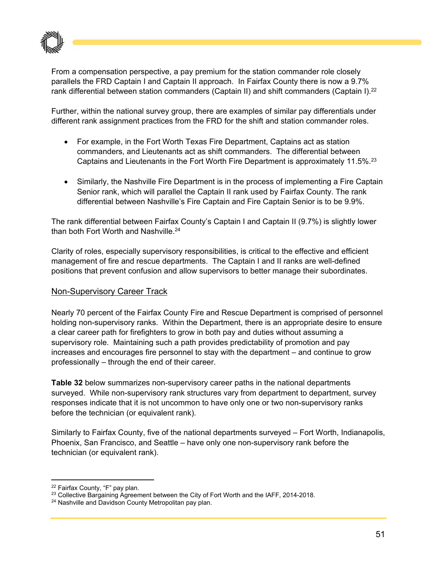

From a compensation perspective, a pay premium for the station commander role closely parallels the FRD Captain I and Captain II approach. In Fairfax County there is now a 9.7% rank differential between station commanders (Captain II) and shift commanders (Captain I).<sup>22</sup>

Further, within the national survey group, there are examples of similar pay differentials under different rank assignment practices from the FRD for the shift and station commander roles.

- For example, in the Fort Worth Texas Fire Department, Captains act as station commanders, and Lieutenants act as shift commanders. The differential between Captains and Lieutenants in the Fort Worth Fire Department is approximately 11.5%.23
- Similarly, the Nashville Fire Department is in the process of implementing a Fire Captain Senior rank, which will parallel the Captain II rank used by Fairfax County. The rank differential between Nashville's Fire Captain and Fire Captain Senior is to be 9.9%.

The rank differential between Fairfax County's Captain I and Captain II (9.7%) is slightly lower than both Fort Worth and Nashville.<sup>24</sup>

Clarity of roles, especially supervisory responsibilities, is critical to the effective and efficient management of fire and rescue departments. The Captain I and II ranks are well-defined positions that prevent confusion and allow supervisors to better manage their subordinates.

### Non-Supervisory Career Track

Nearly 70 percent of the Fairfax County Fire and Rescue Department is comprised of personnel holding non-supervisory ranks. Within the Department, there is an appropriate desire to ensure a clear career path for firefighters to grow in both pay and duties without assuming a supervisory role. Maintaining such a path provides predictability of promotion and pay increases and encourages fire personnel to stay with the department – and continue to grow professionally – through the end of their career.

**Table 32** below summarizes non-supervisory career paths in the national departments surveyed. While non-supervisory rank structures vary from department to department, survey responses indicate that it is not uncommon to have only one or two non-supervisory ranks before the technician (or equivalent rank).

Similarly to Fairfax County, five of the national departments surveyed – Fort Worth, Indianapolis, Phoenix, San Francisco, and Seattle – have only one non-supervisory rank before the technician (or equivalent rank).

<sup>22</sup> Fairfax County, "F" pay plan.

<sup>&</sup>lt;sup>23</sup> Collective Bargaining Agreement between the City of Fort Worth and the IAFF, 2014-2018.

<sup>&</sup>lt;sup>24</sup> Nashville and Davidson County Metropolitan pay plan.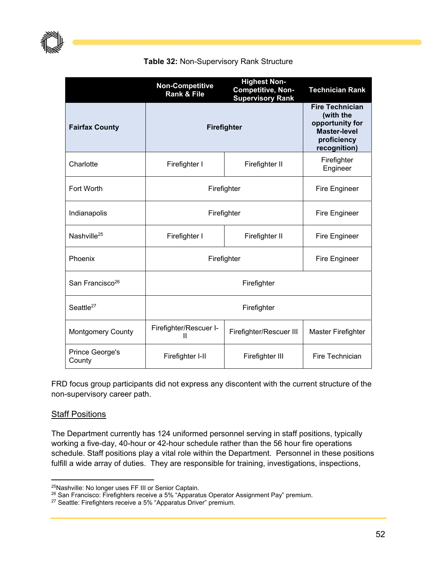

|  |  | Table 32: Non-Supervisory Rank Structure |  |  |
|--|--|------------------------------------------|--|--|
|--|--|------------------------------------------|--|--|

|                                  | <b>Non-Competitive</b><br><b>Rank &amp; File</b>       | <b>Highest Non-</b><br><b>Competitive, Non-</b><br><b>Supervisory Rank</b>                                   | <b>Technician Rank</b>    |  |                      |
|----------------------------------|--------------------------------------------------------|--------------------------------------------------------------------------------------------------------------|---------------------------|--|----------------------|
| <b>Fairfax County</b>            | Firefighter                                            | <b>Fire Technician</b><br>(with the<br>opportunity for<br><b>Master-level</b><br>proficiency<br>recognition) |                           |  |                      |
| Charlotte                        | Firefighter I                                          | Firefighter II                                                                                               | Firefighter<br>Engineer   |  |                      |
| Fort Worth                       | Firefighter                                            |                                                                                                              |                           |  | <b>Fire Engineer</b> |
| Indianapolis                     | Firefighter                                            | <b>Fire Engineer</b>                                                                                         |                           |  |                      |
| Nashville <sup>25</sup>          | Firefighter I<br>Firefighter II                        |                                                                                                              | <b>Fire Engineer</b>      |  |                      |
| Phoenix                          | Firefighter                                            | <b>Fire Engineer</b>                                                                                         |                           |  |                      |
| San Francisco <sup>26</sup>      | Firefighter                                            |                                                                                                              |                           |  |                      |
| Seattle <sup>27</sup>            |                                                        |                                                                                                              |                           |  |                      |
| <b>Montgomery County</b>         | Firefighter/Rescuer I-<br>Firefighter/Rescuer III<br>Ш |                                                                                                              | <b>Master Firefighter</b> |  |                      |
| <b>Prince George's</b><br>County | Firefighter I-II                                       | Firefighter III                                                                                              | Fire Technician           |  |                      |

FRD focus group participants did not express any discontent with the current structure of the non-supervisory career path.

### **Staff Positions**

The Department currently has 124 uniformed personnel serving in staff positions, typically working a five-day, 40-hour or 42-hour schedule rather than the 56 hour fire operations schedule. Staff positions play a vital role within the Department. Personnel in these positions fulfill a wide array of duties. They are responsible for training, investigations, inspections,

 25Nashville: No longer uses FF III or Senior Captain.

<sup>&</sup>lt;sup>26</sup> San Francisco: Firefighters receive a 5% "Apparatus Operator Assignment Pay" premium.<br><sup>27</sup> Seattle: Firefighters receive a 5% "Apparatus Driver" premium.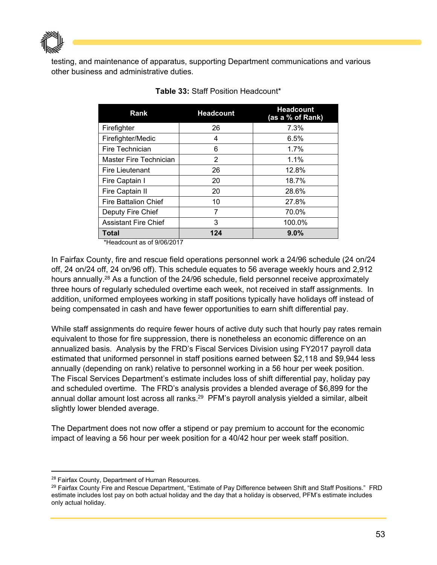$\mathbb P$  and the set of  $\mathbb P$ 

testing, and maintenance of apparatus, supporting Department communications and various other business and administrative duties.

| Rank                          | <b>Headcount</b> | <b>Headcount</b><br>(as a % of Rank) |
|-------------------------------|------------------|--------------------------------------|
| Firefighter                   | 26               | 7.3%                                 |
| Firefighter/Medic             | 4                | 6.5%                                 |
| Fire Technician               | 6                | 1.7%                                 |
| <b>Master Fire Technician</b> | 2                | 1.1%                                 |
| Fire Lieutenant               | 26               | 12.8%                                |
| Fire Captain I                | 20               | 18.7%                                |
| Fire Captain II               | 20               | 28.6%                                |
| <b>Fire Battalion Chief</b>   | 10               | 27.8%                                |
| Deputy Fire Chief             | 7                | 70.0%                                |
| <b>Assistant Fire Chief</b>   | 3                | 100.0%                               |
| Total                         | 124              | 9.0%                                 |

**Table 33:** Staff Position Headcount\*

\*Headcount as of 9/06/2017

In Fairfax County, fire and rescue field operations personnel work a 24/96 schedule (24 on/24 off, 24 on/24 off, 24 on/96 off). This schedule equates to 56 average weekly hours and 2,912 hours annually.<sup>28</sup> As a function of the 24/96 schedule, field personnel receive approximately three hours of regularly scheduled overtime each week, not received in staff assignments. In addition, uniformed employees working in staff positions typically have holidays off instead of being compensated in cash and have fewer opportunities to earn shift differential pay.

While staff assignments do require fewer hours of active duty such that hourly pay rates remain equivalent to those for fire suppression, there is nonetheless an economic difference on an annualized basis. Analysis by the FRD's Fiscal Services Division using FY2017 payroll data estimated that uniformed personnel in staff positions earned between \$2,118 and \$9,944 less annually (depending on rank) relative to personnel working in a 56 hour per week position. The Fiscal Services Department's estimate includes loss of shift differential pay, holiday pay and scheduled overtime. The FRD's analysis provides a blended average of \$6,899 for the annual dollar amount lost across all ranks.<sup>29</sup> PFM's payroll analysis yielded a similar, albeit slightly lower blended average.

The Department does not now offer a stipend or pay premium to account for the economic impact of leaving a 56 hour per week position for a 40/42 hour per week staff position.

<sup>&</sup>lt;sup>28</sup> Fairfax County, Department of Human Resources.<br><sup>29</sup> Fairfax County Fire and Rescue Department, "Estimate of Pay Difference between Shift and Staff Positions." FRD estimate includes lost pay on both actual holiday and the day that a holiday is observed, PFM's estimate includes only actual holiday.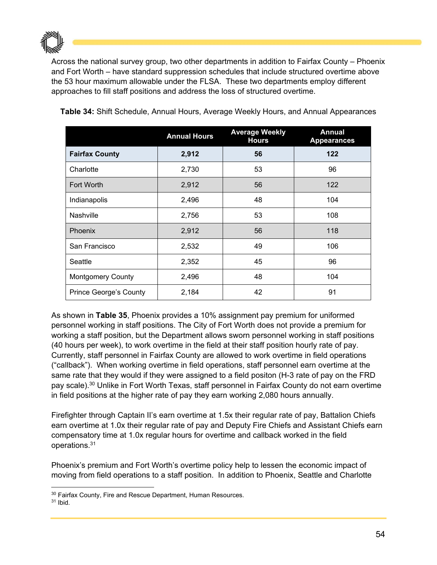

Across the national survey group, two other departments in addition to Fairfax County – Phoenix and Fort Worth – have standard suppression schedules that include structured overtime above the 53 hour maximum allowable under the FLSA. These two departments employ different approaches to fill staff positions and address the loss of structured overtime.

|                               | <b>Annual Hours</b> | <b>Average Weekly</b><br><b>Hours</b> | <b>Annual</b><br><b>Appearances</b> |
|-------------------------------|---------------------|---------------------------------------|-------------------------------------|
| <b>Fairfax County</b>         | 2,912               | 56                                    | 122                                 |
| Charlotte                     | 2,730               | 53                                    | 96                                  |
| <b>Fort Worth</b>             | 2,912               | 56                                    | 122                                 |
| Indianapolis                  | 2,496               | 48                                    | 104                                 |
| <b>Nashville</b>              | 2,756               | 53                                    | 108                                 |
| Phoenix                       | 2,912               | 56                                    | 118                                 |
| San Francisco                 | 2,532               | 49                                    | 106                                 |
| Seattle                       | 2,352               | 45                                    | 96                                  |
| <b>Montgomery County</b>      | 2,496               | 48                                    | 104                                 |
| <b>Prince George's County</b> | 2,184               | 42                                    | 91                                  |

**Table 34:** Shift Schedule, Annual Hours, Average Weekly Hours, and Annual Appearances

As shown in **Table 35**, Phoenix provides a 10% assignment pay premium for uniformed personnel working in staff positions. The City of Fort Worth does not provide a premium for working a staff position, but the Department allows sworn personnel working in staff positions (40 hours per week), to work overtime in the field at their staff position hourly rate of pay. Currently, staff personnel in Fairfax County are allowed to work overtime in field operations ("callback"). When working overtime in field operations, staff personnel earn overtime at the same rate that they would if they were assigned to a field positon (H-3 rate of pay on the FRD pay scale).30 Unlike in Fort Worth Texas, staff personnel in Fairfax County do not earn overtime in field positions at the higher rate of pay they earn working 2,080 hours annually.

Firefighter through Captain II's earn overtime at 1.5x their regular rate of pay, Battalion Chiefs earn overtime at 1.0x their regular rate of pay and Deputy Fire Chiefs and Assistant Chiefs earn compensatory time at 1.0x regular hours for overtime and callback worked in the field operations.31

Phoenix's premium and Fort Worth's overtime policy help to lessen the economic impact of moving from field operations to a staff position. In addition to Phoenix, Seattle and Charlotte

  $30$  Fairfax County, Fire and Rescue Department, Human Resources.  $31$  Ibid.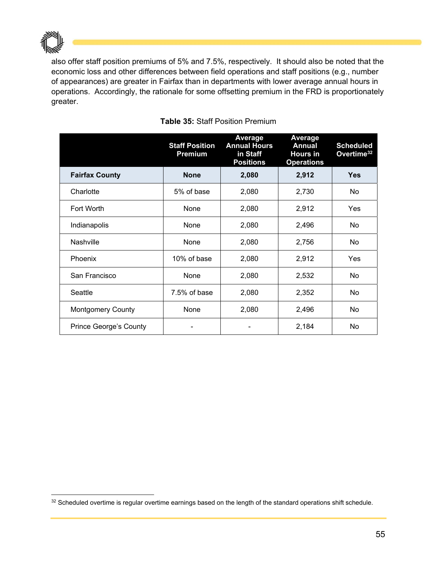

also offer staff position premiums of 5% and 7.5%, respectively. It should also be noted that the economic loss and other differences between field operations and staff positions (e.g., number of appearances) are greater in Fairfax than in departments with lower average annual hours in operations. Accordingly, the rationale for some offsetting premium in the FRD is proportionately greater.

|                               | <b>Staff Position</b><br>Premium | <b>Average</b><br><b>Annual Hours</b><br>in Staff<br><b>Positions</b> | <b>Average</b><br><b>Annual</b><br><b>Hours in</b><br><b>Operations</b> | <b>Scheduled</b><br>Overtime <sup>32</sup> |
|-------------------------------|----------------------------------|-----------------------------------------------------------------------|-------------------------------------------------------------------------|--------------------------------------------|
| <b>Fairfax County</b>         | <b>None</b>                      | 2,080                                                                 | 2,912                                                                   | <b>Yes</b>                                 |
| Charlotte                     | 5% of base                       | 2,080                                                                 | 2,730                                                                   | No.                                        |
| Fort Worth                    | None                             | 2,080                                                                 | 2,912                                                                   | Yes                                        |
| Indianapolis                  | None                             | 2,080                                                                 | 2,496                                                                   | No.                                        |
| <b>Nashville</b>              | None                             | 2,080                                                                 | 2,756                                                                   | No.                                        |
| <b>Phoenix</b>                | 10% of base                      | 2,080                                                                 | 2,912                                                                   | Yes                                        |
| San Francisco                 | None                             | 2,080                                                                 | 2,532                                                                   | No.                                        |
| Seattle                       | 7.5% of base                     | 2,080                                                                 | 2,352                                                                   | No                                         |
| <b>Montgomery County</b>      | None                             | 2,080                                                                 | 2,496                                                                   | No                                         |
| <b>Prince George's County</b> |                                  |                                                                       | 2,184                                                                   | No                                         |

## **Table 35:** Staff Position Premium

<sup>32</sup> Scheduled overtime is regular overtime earnings based on the length of the standard operations shift schedule.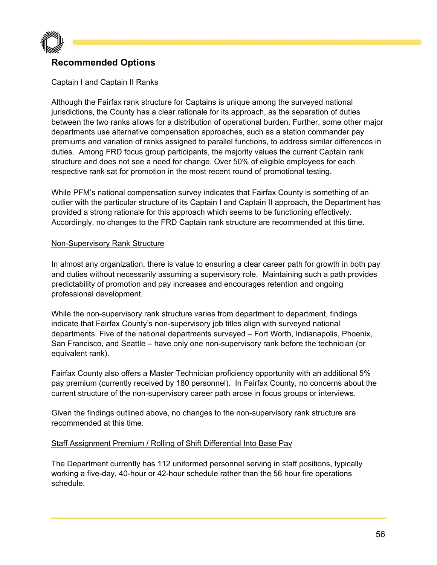

# **Recommended Options**

## Captain I and Captain II Ranks

Although the Fairfax rank structure for Captains is unique among the surveyed national jurisdictions, the County has a clear rationale for its approach, as the separation of duties between the two ranks allows for a distribution of operational burden. Further, some other major departments use alternative compensation approaches, such as a station commander pay premiums and variation of ranks assigned to parallel functions, to address similar differences in duties. Among FRD focus group participants, the majority values the current Captain rank structure and does not see a need for change. Over 50% of eligible employees for each respective rank sat for promotion in the most recent round of promotional testing.

While PFM's national compensation survey indicates that Fairfax County is something of an outlier with the particular structure of its Captain I and Captain II approach, the Department has provided a strong rationale for this approach which seems to be functioning effectively. Accordingly, no changes to the FRD Captain rank structure are recommended at this time.

#### Non-Supervisory Rank Structure

In almost any organization, there is value to ensuring a clear career path for growth in both pay and duties without necessarily assuming a supervisory role. Maintaining such a path provides predictability of promotion and pay increases and encourages retention and ongoing professional development.

While the non-supervisory rank structure varies from department to department, findings indicate that Fairfax County's non-supervisory job titles align with surveyed national departments. Five of the national departments surveyed – Fort Worth, Indianapolis, Phoenix, San Francisco, and Seattle – have only one non-supervisory rank before the technician (or equivalent rank).

Fairfax County also offers a Master Technician proficiency opportunity with an additional 5% pay premium (currently received by 180 personnel). In Fairfax County, no concerns about the current structure of the non-supervisory career path arose in focus groups or interviews.

Given the findings outlined above, no changes to the non-supervisory rank structure are recommended at this time.

#### Staff Assignment Premium / Rolling of Shift Differential Into Base Pay

The Department currently has 112 uniformed personnel serving in staff positions, typically working a five-day, 40-hour or 42-hour schedule rather than the 56 hour fire operations schedule.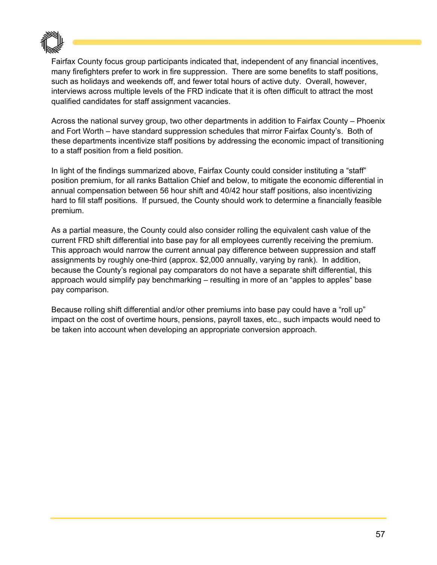

Fairfax County focus group participants indicated that, independent of any financial incentives, many firefighters prefer to work in fire suppression. There are some benefits to staff positions, such as holidays and weekends off, and fewer total hours of active duty. Overall, however, interviews across multiple levels of the FRD indicate that it is often difficult to attract the most qualified candidates for staff assignment vacancies.

Across the national survey group, two other departments in addition to Fairfax County – Phoenix and Fort Worth – have standard suppression schedules that mirror Fairfax County's. Both of these departments incentivize staff positions by addressing the economic impact of transitioning to a staff position from a field position.

In light of the findings summarized above, Fairfax County could consider instituting a "staff" position premium, for all ranks Battalion Chief and below, to mitigate the economic differential in annual compensation between 56 hour shift and 40/42 hour staff positions, also incentivizing hard to fill staff positions. If pursued, the County should work to determine a financially feasible premium.

As a partial measure, the County could also consider rolling the equivalent cash value of the current FRD shift differential into base pay for all employees currently receiving the premium. This approach would narrow the current annual pay difference between suppression and staff assignments by roughly one-third (approx. \$2,000 annually, varying by rank). In addition, because the County's regional pay comparators do not have a separate shift differential, this approach would simplify pay benchmarking – resulting in more of an "apples to apples" base pay comparison.

Because rolling shift differential and/or other premiums into base pay could have a "roll up" impact on the cost of overtime hours, pensions, payroll taxes, etc., such impacts would need to be taken into account when developing an appropriate conversion approach.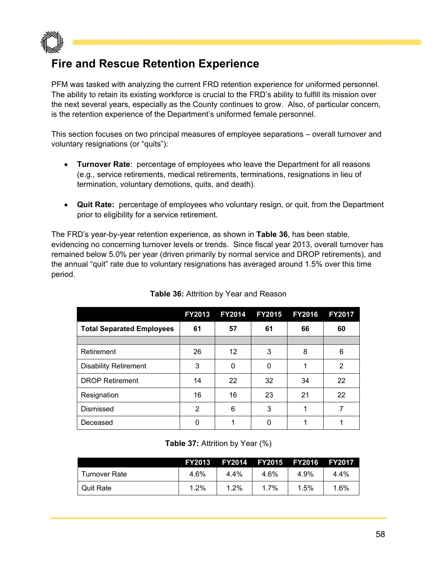

# **Fire and Rescue Retention Experience**

PFM was tasked with analyzing the current FRD retention experience for uniformed personnel. The ability to retain its existing workforce is crucial to the FRD's ability to fulfill its mission over the next several years, especially as the County continues to grow. Also, of particular concern, is the retention experience of the Department's uniformed female personnel.

This section focuses on two principal measures of employee separations – overall turnover and voluntary resignations (or "quits"):

- **Turnover Rate**: percentage of employees who leave the Department for all reasons (e.g., service retirements, medical retirements, terminations, resignations in lieu of termination, voluntary demotions, quits, and death).
- **Quit Rate:** percentage of employees who voluntary resign, or quit, from the Department prior to eligibility for a service retirement.

The FRD's year-by-year retention experience, as shown in **Table 36**, has been stable, evidencing no concerning turnover levels or trends. Since fiscal year 2013, overall turnover has remained below 5.0% per year (driven primarily by normal service and DROP retirements), and the annual "quit" rate due to voluntary resignations has averaged around 1.5% over this time period.

|                                  | FY2013 | <b>FY2014</b> | <b>FY2015</b> | <b>FY2016</b> | <b>FY2017</b> |
|----------------------------------|--------|---------------|---------------|---------------|---------------|
| <b>Total Separated Employees</b> | 61     | 57            | 61            | 66            | 60            |
|                                  |        |               |               |               |               |
| Retirement                       | 26     | 12            | 3             | 8             | 6             |
| <b>Disability Retirement</b>     | 3      | 0             | 0             |               | 2             |
| <b>DROP Retirement</b>           | 14     | 22            | 32            | 34            | 22            |
| Resignation                      | 16     | 16            | 23            | 21            | 22            |
| Dismissed                        | 2      | 6             | 3             | 1             | 7             |
| Deceased                         | 0      |               | 0             |               |               |

# **Table 36:** Attrition by Year and Reason

**Table 37:** Attrition by Year (%)

|                  | <b>FY2013</b> |         | FY2014 FY2015 FY2016 |      | <b>FY2017</b> |
|------------------|---------------|---------|----------------------|------|---------------|
| Turnover Rate    | 4.6%          | 4.4%    | 4.6%                 | 4.9% | 4.4%          |
| <b>Quit Rate</b> | $1.2\%$       | $1.2\%$ | $1.7\%$              | 1.5% | 1.6%          |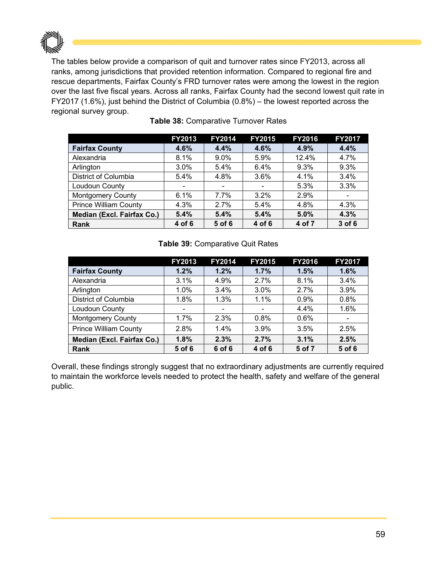

The tables below provide a comparison of quit and turnover rates since FY2013, across all ranks, among jurisdictions that provided retention information. Compared to regional fire and rescue departments, Fairfax County's FRD turnover rates were among the lowest in the region over the last five fiscal years. Across all ranks, Fairfax County had the second lowest quit rate in FY2017 (1.6%), just behind the District of Columbia (0.8%) – the lowest reported across the regional survey group.

|                              | FY2013 | <b>FY2014</b>            | <b>FY2015</b>            | <b>FY2016</b> | <b>FY2017</b>            |
|------------------------------|--------|--------------------------|--------------------------|---------------|--------------------------|
| <b>Fairfax County</b>        | 4.6%   | 4.4%                     | 4.6%                     | 4.9%          | 4.4%                     |
| Alexandria                   | 8.1%   | $9.0\%$                  | 5.9%                     | 12.4%         | 4.7%                     |
| Arlington                    | 3.0%   | 5.4%                     | 6.4%                     | 9.3%          | 9.3%                     |
| <b>District of Columbia</b>  | 5.4%   | 4.8%                     | 3.6%                     | 4.1%          | 3.4%                     |
| Loudoun County               |        | $\overline{\phantom{a}}$ | $\overline{\phantom{a}}$ | 5.3%          | 3.3%                     |
| <b>Montgomery County</b>     | 6.1%   | 7.7%                     | $3.2\%$                  | 2.9%          | $\overline{\phantom{a}}$ |
| <b>Prince William County</b> | 4.3%   | 2.7%                     | 5.4%                     | 4.8%          | 4.3%                     |
| Median (Excl. Fairfax Co.)   | 5.4%   | 5.4%                     | 5.4%                     | 5.0%          | 4.3%                     |
| Rank                         | 4 of 6 | 5 of 6                   | 4 of 6                   | 4 of 7        | 3 of 6                   |

### **Table 38:** Comparative Turnover Rates

#### **Table 39:** Comparative Quit Rates

|                              | <b>FY2013</b> | <b>FY2014</b>            | <b>FY2015</b> | <b>FY2016</b> | <b>FY2017</b> |
|------------------------------|---------------|--------------------------|---------------|---------------|---------------|
| <b>Fairfax County</b>        | 1.2%          | 1.2%                     | 1.7%          | 1.5%          | 1.6%          |
| Alexandria                   | 3.1%          | 4.9%                     | 2.7%          | 8.1%          | 3.4%          |
| Arlington                    | 1.0%          | 3.4%                     | 3.0%          | 2.7%          | 3.9%          |
| District of Columbia         | 1.8%          | 1.3%                     | 1.1%          | 0.9%          | 0.8%          |
| Loudoun County               |               | $\overline{\phantom{0}}$ |               | 4.4%          | 1.6%          |
| <b>Montgomery County</b>     | 1.7%          | 2.3%                     | 0.8%          | 0.6%          |               |
| <b>Prince William County</b> | 2.8%          | 1.4%                     | 3.9%          | 3.5%          | 2.5%          |
| Median (Excl. Fairfax Co.)   | 1.8%          | 2.3%                     | 2.7%          | 3.1%          | 2.5%          |
| Rank                         | 5 of 6        | 6 of 6                   | 4 of 6        | 5 of 7        | 5 of 6        |

Overall, these findings strongly suggest that no extraordinary adjustments are currently required to maintain the workforce levels needed to protect the health, safety and welfare of the general public.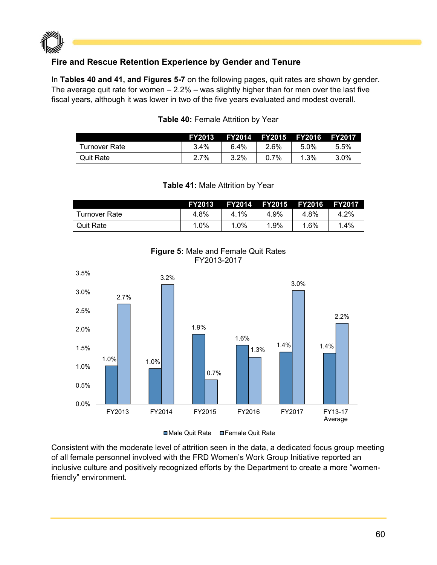

# **Fire and Rescue Retention Experience by Gender and Tenure**

In **Tables 40 and 41, and Figures 5-7** on the following pages, quit rates are shown by gender. The average quit rate for women  $-2.2%$  – was slightly higher than for men over the last five fiscal years, although it was lower in two of the five years evaluated and modest overall.

|                  | <b>FY2013</b> |      | FY2014 FY2015 FY2016 |      | <b>FY2017</b> |
|------------------|---------------|------|----------------------|------|---------------|
| Turnover Rate    | $3.4\%$       | 6.4% | 2.6%                 | 5.0% | 5.5%          |
| <b>Quit Rate</b> | $2.7\%$       | 3.2% | $0.7\%$              | 1.3% | $3.0\%$       |

#### **Table 40:** Female Attrition by Year

|                  | <b>FY2013</b> |         | FY2014 FY2015 | <b>FY2016</b> | <b>FY2017</b> |
|------------------|---------------|---------|---------------|---------------|---------------|
| Turnover Rate    | 4.8%          | 4.1%    | 4.9%          | 4.8%          | 4.2%          |
| <b>Quit Rate</b> | $1.0\%$       | $1.0\%$ | 1.9%          | $1.6\%$       | .4%           |
|                  |               |         |               |               |               |

**Table 41:** Male Attrition by Year





■Male Quit Rate ■Female Quit Rate

Consistent with the moderate level of attrition seen in the data, a dedicated focus group meeting of all female personnel involved with the FRD Women's Work Group Initiative reported an inclusive culture and positively recognized efforts by the Department to create a more "womenfriendly" environment.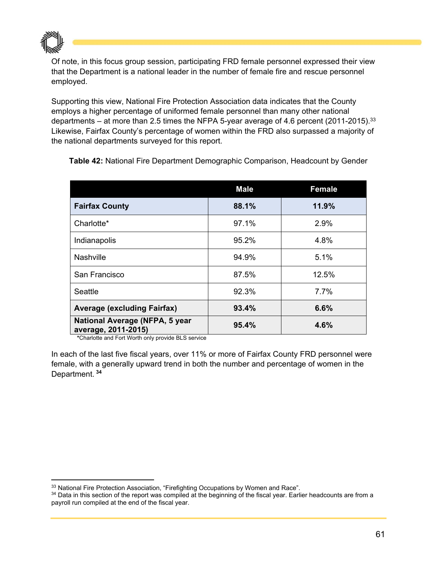

Of note, in this focus group session, participating FRD female personnel expressed their view that the Department is a national leader in the number of female fire and rescue personnel employed.

Supporting this view, National Fire Protection Association data indicates that the County employs a higher percentage of uniformed female personnel than many other national departments – at more than 2.5 times the NFPA 5-year average of 4.6 percent (2011-2015).<sup>33</sup> Likewise, Fairfax County's percentage of women within the FRD also surpassed a majority of the national departments surveyed for this report.

|                                                       | <b>Male</b> | <b>Female</b> |
|-------------------------------------------------------|-------------|---------------|
| <b>Fairfax County</b>                                 | 88.1%       | 11.9%         |
| Charlotte*                                            | 97.1%       | 2.9%          |
| Indianapolis                                          | 95.2%       | 4.8%          |
| Nashville                                             | 94.9%       | 5.1%          |
| San Francisco                                         | 87.5%       | 12.5%         |
| Seattle                                               | 92.3%       | 7.7%          |
| <b>Average (excluding Fairfax)</b>                    | 93.4%       | 6.6%          |
| National Average (NFPA, 5 year<br>average, 2011-2015) | 95.4%       | 4.6%          |

**Table 42:** National Fire Department Demographic Comparison, Headcount by Gender

 **\***Charlotte and Fort Worth only provide BLS service

In each of the last five fiscal years, over 11% or more of Fairfax County FRD personnel were female, with a generally upward trend in both the number and percentage of women in the Department. **<sup>34</sup>**

<sup>&</sup>lt;sup>33</sup> National Fire Protection Association, "Firefighting Occupations by Women and Race".<br><sup>34</sup> Data in this section of the report was compiled at the beginning of the fiscal year. Earlier headcounts are from a payroll run compiled at the end of the fiscal year.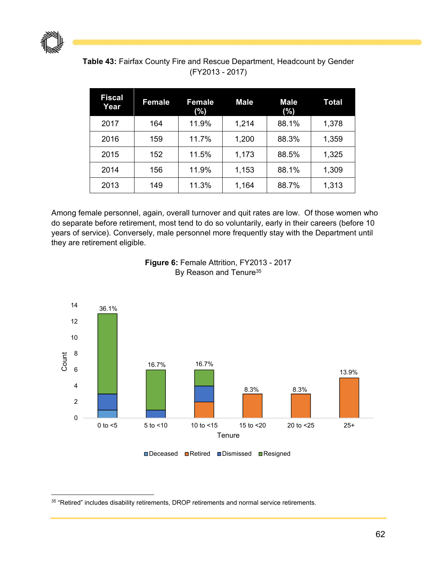

| <b>Table 43: Fairfax County Fire and Rescue Department, Headcount by Gender</b> |                 |  |
|---------------------------------------------------------------------------------|-----------------|--|
|                                                                                 | (FY2013 - 2017) |  |

| <b>Fiscal</b><br>Year | <b>Female</b> | <b>Female</b><br>(%) | <b>Male</b> | <b>Male</b><br>(%) | Total |
|-----------------------|---------------|----------------------|-------------|--------------------|-------|
| 2017                  | 164           | 11.9%                | 1,214       | 88.1%              | 1,378 |
| 2016                  | 159           | 11.7%                | 1,200       | 88.3%              | 1,359 |
| 2015                  | 152           | 11.5%                | 1,173       | 88.5%              | 1,325 |
| 2014                  | 156           | 11.9%                | 1,153       | 88.1%              | 1,309 |
| 2013                  | 149           | 11.3%                | 1,164       | 88.7%              | 1,313 |

Among female personnel, again, overall turnover and quit rates are low. Of those women who do separate before retirement, most tend to do so voluntarily, early in their careers (before 10 years of service). Conversely, male personnel more frequently stay with the Department until they are retirement eligible.



**Figure 6:** Female Attrition, FY2013 - 2017 By Reason and Tenure<sup>35</sup>

  $35$  "Retired" includes disability retirements, DROP retirements and normal service retirements.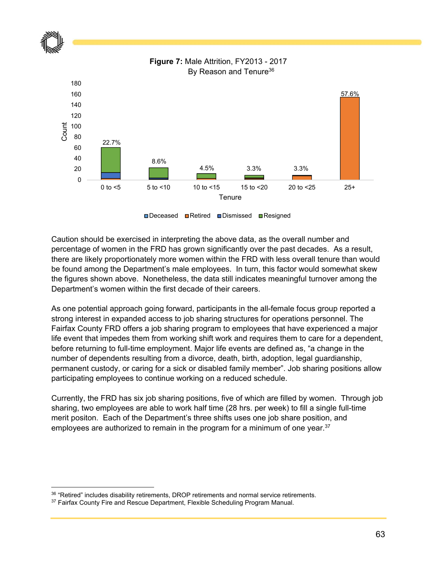

**□Deceased ■Retired ■Dismissed ■Resigned** 

Caution should be exercised in interpreting the above data, as the overall number and percentage of women in the FRD has grown significantly over the past decades. As a result, there are likely proportionately more women within the FRD with less overall tenure than would be found among the Department's male employees. In turn, this factor would somewhat skew the figures shown above. Nonetheless, the data still indicates meaningful turnover among the Department's women within the first decade of their careers.

As one potential approach going forward, participants in the all-female focus group reported a strong interest in expanded access to job sharing structures for operations personnel. The Fairfax County FRD offers a job sharing program to employees that have experienced a major life event that impedes them from working shift work and requires them to care for a dependent, before returning to full-time employment. Major life events are defined as, "a change in the number of dependents resulting from a divorce, death, birth, adoption, legal guardianship, permanent custody, or caring for a sick or disabled family member". Job sharing positions allow participating employees to continue working on a reduced schedule.

Currently, the FRD has six job sharing positions, five of which are filled by women. Through job sharing, two employees are able to work half time (28 hrs. per week) to fill a single full-time merit positon. Each of the Department's three shifts uses one job share position, and employees are authorized to remain in the program for a minimum of one year.<sup>37</sup>

 $36$  "Retired" includes disability retirements, DROP retirements and normal service retirements.<br> $37$  Fairfax County Fire and Rescue Department, Flexible Scheduling Program Manual.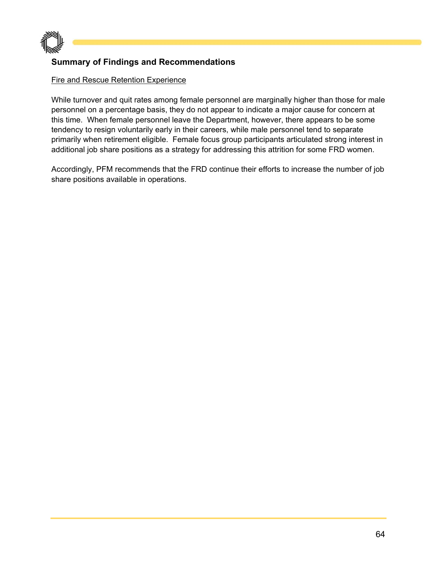

# **Summary of Findings and Recommendations**

#### Fire and Rescue Retention Experience

While turnover and quit rates among female personnel are marginally higher than those for male personnel on a percentage basis, they do not appear to indicate a major cause for concern at this time. When female personnel leave the Department, however, there appears to be some tendency to resign voluntarily early in their careers, while male personnel tend to separate primarily when retirement eligible. Female focus group participants articulated strong interest in additional job share positions as a strategy for addressing this attrition for some FRD women.

Accordingly, PFM recommends that the FRD continue their efforts to increase the number of job share positions available in operations.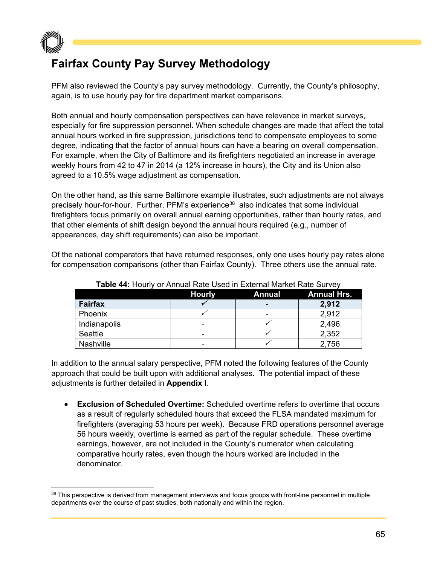

# **Fairfax County Pay Survey Methodology**

PFM also reviewed the County's pay survey methodology. Currently, the County's philosophy, again, is to use hourly pay for fire department market comparisons.

Both annual and hourly compensation perspectives can have relevance in market surveys, especially for fire suppression personnel. When schedule changes are made that affect the total annual hours worked in fire suppression, jurisdictions tend to compensate employees to some degree, indicating that the factor of annual hours can have a bearing on overall compensation. For example, when the City of Baltimore and its firefighters negotiated an increase in average weekly hours from 42 to 47 in 2014 (a 12% increase in hours), the City and its Union also agreed to a 10.5% wage adjustment as compensation.

On the other hand, as this same Baltimore example illustrates, such adjustments are not always precisely hour-for-hour. Further, PFM's experience38 also indicates that some individual firefighters focus primarily on overall annual earning opportunities, rather than hourly rates, and that other elements of shift design beyond the annual hours required (e.g., number of appearances, day shift requirements) can also be important.

Of the national comparators that have returned responses, only one uses hourly pay rates alone for compensation comparisons (other than Fairfax County). Three others use the annual rate.

|                | <b>Hourly</b> | <b>Annual</b> | <b>Annual Hrs.</b> |  |  |
|----------------|---------------|---------------|--------------------|--|--|
| <b>Fairfax</b> |               |               | 2,912              |  |  |
| Phoenix        |               |               | 2,912              |  |  |
| Indianapolis   | -             |               | 2,496              |  |  |
| Seattle        | -             |               | 2,352              |  |  |
| Nashville      |               |               | 2,756              |  |  |

**Table 44:** Hourly or Annual Rate Used in External Market Rate Survey

In addition to the annual salary perspective, PFM noted the following features of the County approach that could be built upon with additional analyses. The potential impact of these adjustments is further detailed in **Appendix I**.

 **Exclusion of Scheduled Overtime:** Scheduled overtime refers to overtime that occurs as a result of regularly scheduled hours that exceed the FLSA mandated maximum for firefighters (averaging 53 hours per week). Because FRD operations personnel average 56 hours weekly, overtime is earned as part of the regular schedule. These overtime earnings, however, are not included in the County's numerator when calculating comparative hourly rates, even though the hours worked are included in the denominator.

<sup>&</sup>lt;sup>38</sup> This perspective is derived from management interviews and focus groups with front-line personnel in multiple departments over the course of past studies, both nationally and within the region.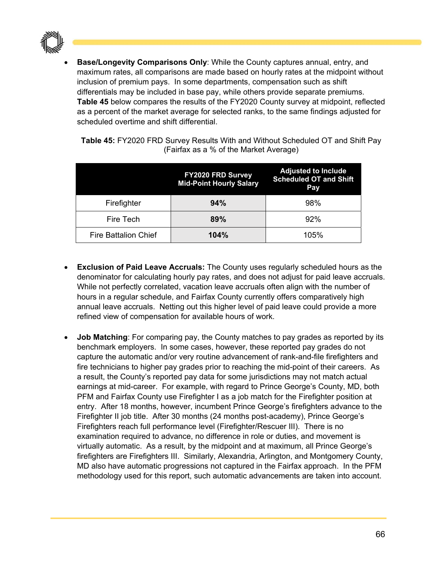

 **Base/Longevity Comparisons Only**: While the County captures annual, entry, and maximum rates, all comparisons are made based on hourly rates at the midpoint without inclusion of premium pays. In some departments, compensation such as shift differentials may be included in base pay, while others provide separate premiums. **Table 45** below compares the results of the FY2020 County survey at midpoint, reflected as a percent of the market average for selected ranks, to the same findings adjusted for scheduled overtime and shift differential.

**Table 45:** FY2020 FRD Survey Results With and Without Scheduled OT and Shift Pay (Fairfax as a % of the Market Average)

|                             | FY2020 FRD Survey<br><b>Mid-Point Hourly Salary</b> | <b>Adjusted to Include</b><br><b>Scheduled OT and Shift</b><br>Pay |
|-----------------------------|-----------------------------------------------------|--------------------------------------------------------------------|
| Firefighter                 | 94%                                                 | 98%                                                                |
| Fire Tech                   | 89%                                                 | 92%                                                                |
| <b>Fire Battalion Chief</b> | 104%                                                | 105%                                                               |

- **Exclusion of Paid Leave Accruals:** The County uses regularly scheduled hours as the denominator for calculating hourly pay rates, and does not adjust for paid leave accruals. While not perfectly correlated, vacation leave accruals often align with the number of hours in a regular schedule, and Fairfax County currently offers comparatively high annual leave accruals. Netting out this higher level of paid leave could provide a more refined view of compensation for available hours of work.
- **Job Matching**: For comparing pay, the County matches to pay grades as reported by its benchmark employers. In some cases, however, these reported pay grades do not capture the automatic and/or very routine advancement of rank-and-file firefighters and fire technicians to higher pay grades prior to reaching the mid-point of their careers. As a result, the County's reported pay data for some jurisdictions may not match actual earnings at mid-career. For example, with regard to Prince George's County, MD, both PFM and Fairfax County use Firefighter I as a job match for the Firefighter position at entry. After 18 months, however, incumbent Prince George's firefighters advance to the Firefighter II job title. After 30 months (24 months post-academy), Prince George's Firefighters reach full performance level (Firefighter/Rescuer III). There is no examination required to advance, no difference in role or duties, and movement is virtually automatic. As a result, by the midpoint and at maximum, all Prince George's firefighters are Firefighters III. Similarly, Alexandria, Arlington, and Montgomery County, MD also have automatic progressions not captured in the Fairfax approach. In the PFM methodology used for this report, such automatic advancements are taken into account.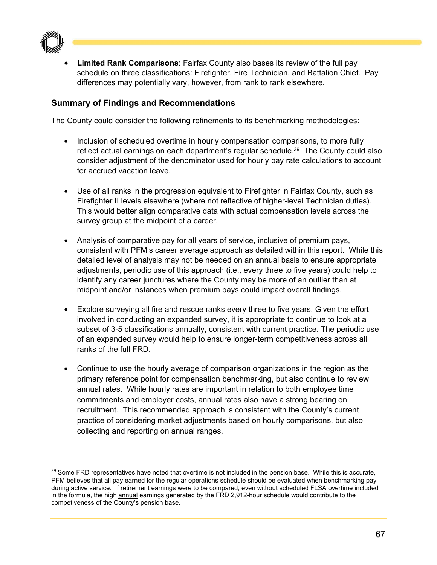

 **Limited Rank Comparisons**: Fairfax County also bases its review of the full pay schedule on three classifications: Firefighter, Fire Technician, and Battalion Chief. Pay differences may potentially vary, however, from rank to rank elsewhere.

# **Summary of Findings and Recommendations**

The County could consider the following refinements to its benchmarking methodologies:

- Inclusion of scheduled overtime in hourly compensation comparisons, to more fully reflect actual earnings on each department's regular schedule.<sup>39</sup> The County could also consider adjustment of the denominator used for hourly pay rate calculations to account for accrued vacation leave.
- Use of all ranks in the progression equivalent to Firefighter in Fairfax County, such as Firefighter II levels elsewhere (where not reflective of higher-level Technician duties). This would better align comparative data with actual compensation levels across the survey group at the midpoint of a career.
- Analysis of comparative pay for all years of service, inclusive of premium pays, consistent with PFM's career average approach as detailed within this report. While this detailed level of analysis may not be needed on an annual basis to ensure appropriate adjustments, periodic use of this approach (i.e., every three to five years) could help to identify any career junctures where the County may be more of an outlier than at midpoint and/or instances when premium pays could impact overall findings.
- Explore surveying all fire and rescue ranks every three to five years. Given the effort involved in conducting an expanded survey, it is appropriate to continue to look at a subset of 3-5 classifications annually, consistent with current practice. The periodic use of an expanded survey would help to ensure longer-term competitiveness across all ranks of the full FRD.
- Continue to use the hourly average of comparison organizations in the region as the primary reference point for compensation benchmarking, but also continue to review annual rates. While hourly rates are important in relation to both employee time commitments and employer costs, annual rates also have a strong bearing on recruitment. This recommended approach is consistent with the County's current practice of considering market adjustments based on hourly comparisons, but also collecting and reporting on annual ranges.

<sup>&</sup>lt;sup>39</sup> Some FRD representatives have noted that overtime is not included in the pension base. While this is accurate, PFM believes that all pay earned for the regular operations schedule should be evaluated when benchmarking pay during active service. If retirement earnings were to be compared, even without scheduled FLSA overtime included in the formula, the high annual earnings generated by the FRD 2,912-hour schedule would contribute to the competiveness of the County's pension base.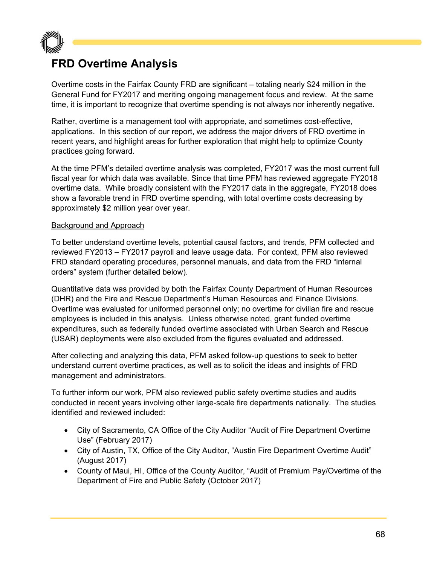

# **FRD Overtime Analysis**

Overtime costs in the Fairfax County FRD are significant – totaling nearly \$24 million in the General Fund for FY2017 and meriting ongoing management focus and review. At the same time, it is important to recognize that overtime spending is not always nor inherently negative.

Rather, overtime is a management tool with appropriate, and sometimes cost-effective, applications. In this section of our report, we address the major drivers of FRD overtime in recent years, and highlight areas for further exploration that might help to optimize County practices going forward.

At the time PFM's detailed overtime analysis was completed, FY2017 was the most current full fiscal year for which data was available. Since that time PFM has reviewed aggregate FY2018 overtime data. While broadly consistent with the FY2017 data in the aggregate, FY2018 does show a favorable trend in FRD overtime spending, with total overtime costs decreasing by approximately \$2 million year over year.

#### Background and Approach

To better understand overtime levels, potential causal factors, and trends, PFM collected and reviewed FY2013 – FY2017 payroll and leave usage data. For context, PFM also reviewed FRD standard operating procedures, personnel manuals, and data from the FRD "internal orders" system (further detailed below).

Quantitative data was provided by both the Fairfax County Department of Human Resources (DHR) and the Fire and Rescue Department's Human Resources and Finance Divisions. Overtime was evaluated for uniformed personnel only; no overtime for civilian fire and rescue employees is included in this analysis. Unless otherwise noted, grant funded overtime expenditures, such as federally funded overtime associated with Urban Search and Rescue (USAR) deployments were also excluded from the figures evaluated and addressed.

After collecting and analyzing this data, PFM asked follow-up questions to seek to better understand current overtime practices, as well as to solicit the ideas and insights of FRD management and administrators.

To further inform our work, PFM also reviewed public safety overtime studies and audits conducted in recent years involving other large-scale fire departments nationally. The studies identified and reviewed included:

- City of Sacramento, CA Office of the City Auditor "Audit of Fire Department Overtime Use" (February 2017)
- City of Austin, TX, Office of the City Auditor, "Austin Fire Department Overtime Audit" (August 2017)
- County of Maui, HI, Office of the County Auditor, "Audit of Premium Pay/Overtime of the Department of Fire and Public Safety (October 2017)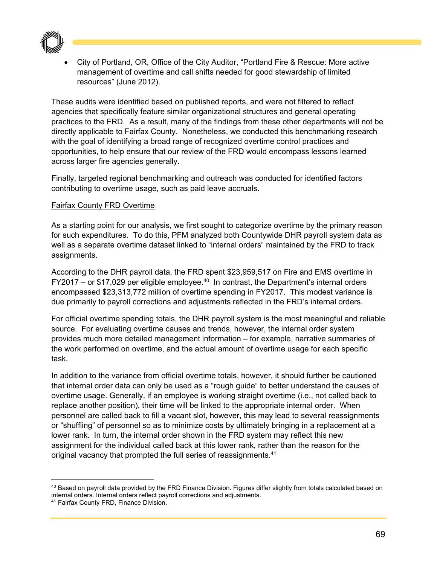

 City of Portland, OR, Office of the City Auditor, "Portland Fire & Rescue: More active management of overtime and call shifts needed for good stewardship of limited resources" (June 2012).

These audits were identified based on published reports, and were not filtered to reflect agencies that specifically feature similar organizational structures and general operating practices to the FRD. As a result, many of the findings from these other departments will not be directly applicable to Fairfax County. Nonetheless, we conducted this benchmarking research with the goal of identifying a broad range of recognized overtime control practices and opportunities, to help ensure that our review of the FRD would encompass lessons learned across larger fire agencies generally.

Finally, targeted regional benchmarking and outreach was conducted for identified factors contributing to overtime usage, such as paid leave accruals.

#### Fairfax County FRD Overtime

As a starting point for our analysis, we first sought to categorize overtime by the primary reason for such expenditures. To do this, PFM analyzed both Countywide DHR payroll system data as well as a separate overtime dataset linked to "internal orders" maintained by the FRD to track assignments.

According to the DHR payroll data, the FRD spent \$23,959,517 on Fire and EMS overtime in  $FY2017 - or $17,029$  per eligible employee.<sup>40</sup> In contrast, the Department's internal orders encompassed \$23,313,772 million of overtime spending in FY2017. This modest variance is due primarily to payroll corrections and adjustments reflected in the FRD's internal orders.

For official overtime spending totals, the DHR payroll system is the most meaningful and reliable source. For evaluating overtime causes and trends, however, the internal order system provides much more detailed management information – for example, narrative summaries of the work performed on overtime, and the actual amount of overtime usage for each specific task.

In addition to the variance from official overtime totals, however, it should further be cautioned that internal order data can only be used as a "rough guide" to better understand the causes of overtime usage. Generally, if an employee is working straight overtime (i.e., not called back to replace another position), their time will be linked to the appropriate internal order. When personnel are called back to fill a vacant slot, however, this may lead to several reassignments or "shuffling" of personnel so as to minimize costs by ultimately bringing in a replacement at a lower rank. In turn, the internal order shown in the FRD system may reflect this new assignment for the individual called back at this lower rank, rather than the reason for the original vacancy that prompted the full series of reassignments.<sup>41</sup>

<sup>40</sup> Based on payroll data provided by the FRD Finance Division. Figures differ slightly from totals calculated based on internal orders. Internal orders reflect payroll corrections and adjustments.

<sup>41</sup> Fairfax County FRD, Finance Division.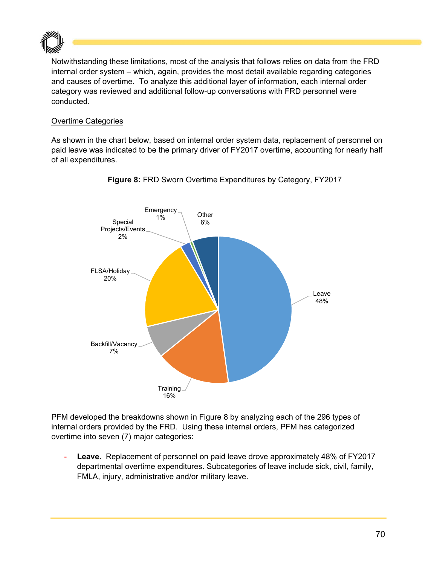

Notwithstanding these limitations, most of the analysis that follows relies on data from the FRD internal order system – which, again, provides the most detail available regarding categories and causes of overtime. To analyze this additional layer of information, each internal order category was reviewed and additional follow-up conversations with FRD personnel were conducted.

#### Overtime Categories

As shown in the chart below, based on internal order system data, replacement of personnel on paid leave was indicated to be the primary driver of FY2017 overtime, accounting for nearly half of all expenditures.



**Figure 8:** FRD Sworn Overtime Expenditures by Category, FY2017

PFM developed the breakdowns shown in Figure 8 by analyzing each of the 296 types of internal orders provided by the FRD. Using these internal orders, PFM has categorized overtime into seven (7) major categories:

**Leave.** Replacement of personnel on paid leave drove approximately 48% of FY2017 departmental overtime expenditures. Subcategories of leave include sick, civil, family, FMLA, injury, administrative and/or military leave.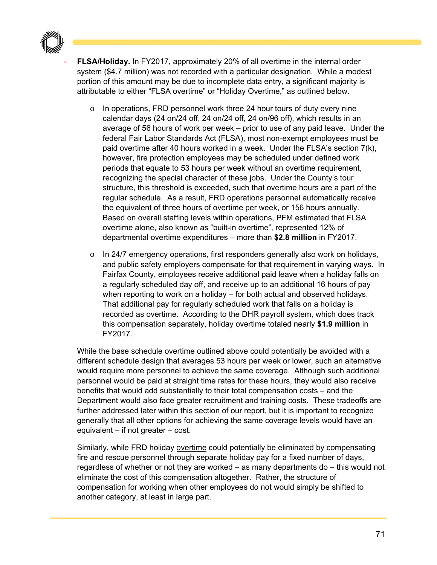

**FLSA/Holiday.** In FY2017, approximately 20% of all overtime in the internal order system (\$4.7 million) was not recorded with a particular designation. While a modest portion of this amount may be due to incomplete data entry, a significant majority is attributable to either "FLSA overtime" or "Holiday Overtime," as outlined below.

- $\circ$  In operations, FRD personnel work three 24 hour tours of duty every nine calendar days (24 on/24 off, 24 on/24 off, 24 on/96 off), which results in an average of 56 hours of work per week – prior to use of any paid leave. Under the federal Fair Labor Standards Act (FLSA), most non-exempt employees must be paid overtime after 40 hours worked in a week. Under the FLSA's section 7(k), however, fire protection employees may be scheduled under defined work periods that equate to 53 hours per week without an overtime requirement, recognizing the special character of these jobs. Under the County's tour structure, this threshold is exceeded, such that overtime hours are a part of the regular schedule. As a result, FRD operations personnel automatically receive the equivalent of three hours of overtime per week, or 156 hours annually. Based on overall staffing levels within operations, PFM estimated that FLSA overtime alone, also known as "built-in overtime", represented 12% of departmental overtime expenditures – more than **\$2.8 million** in FY2017.
- $\circ$  In 24/7 emergency operations, first responders generally also work on holidays, and public safety employers compensate for that requirement in varying ways. In Fairfax County, employees receive additional paid leave when a holiday falls on a regularly scheduled day off, and receive up to an additional 16 hours of pay when reporting to work on a holiday – for both actual and observed holidays. That additional pay for regularly scheduled work that falls on a holiday is recorded as overtime. According to the DHR payroll system, which does track this compensation separately, holiday overtime totaled nearly **\$1.9 million** in FY2017.

While the base schedule overtime outlined above could potentially be avoided with a different schedule design that averages 53 hours per week or lower, such an alternative would require more personnel to achieve the same coverage. Although such additional personnel would be paid at straight time rates for these hours, they would also receive benefits that would add substantially to their total compensation costs – and the Department would also face greater recruitment and training costs. These tradeoffs are further addressed later within this section of our report, but it is important to recognize generally that all other options for achieving the same coverage levels would have an equivalent – if not greater – cost.

Similarly, while FRD holiday overtime could potentially be eliminated by compensating fire and rescue personnel through separate holiday pay for a fixed number of days, regardless of whether or not they are worked – as many departments do – this would not eliminate the cost of this compensation altogether. Rather, the structure of compensation for working when other employees do not would simply be shifted to another category, at least in large part.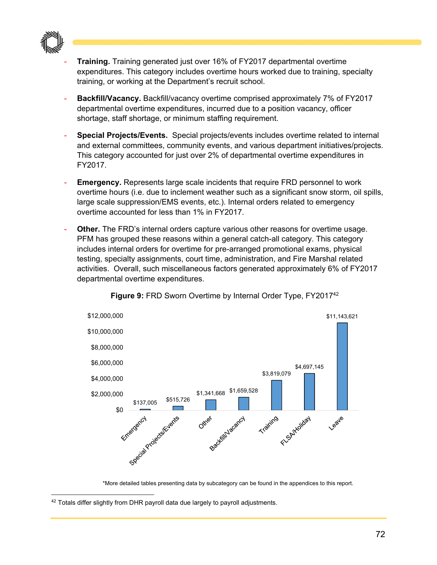

- **Training.** Training generated just over 16% of FY2017 departmental overtime expenditures. This category includes overtime hours worked due to training, specialty training, or working at the Department's recruit school.
- **Backfill/Vacancy.** Backfill/vacancy overtime comprised approximately 7% of FY2017 departmental overtime expenditures, incurred due to a position vacancy, officer shortage, staff shortage, or minimum staffing requirement.
- **Special Projects/Events.** Special projects/events includes overtime related to internal and external committees, community events, and various department initiatives/projects. This category accounted for just over 2% of departmental overtime expenditures in FY2017.
- **Emergency.** Represents large scale incidents that require FRD personnel to work overtime hours (i.e. due to inclement weather such as a significant snow storm, oil spills, large scale suppression/EMS events, etc.). Internal orders related to emergency overtime accounted for less than 1% in FY2017.
- **Other.** The FRD's internal orders capture various other reasons for overtime usage. PFM has grouped these reasons within a general catch-all category. This category includes internal orders for overtime for pre-arranged promotional exams, physical testing, specialty assignments, court time, administration, and Fire Marshal related activities. Overall, such miscellaneous factors generated approximately 6% of FY2017 departmental overtime expenditures.



**Figure 9: FRD Sworn Overtime by Internal Order Type, FY2017<sup>42</sup>** 

\*More detailed tables presenting data by subcategory can be found in the appendices to this report.

<sup>&</sup>lt;sup>42</sup> Totals differ slightly from DHR payroll data due largely to payroll adjustments.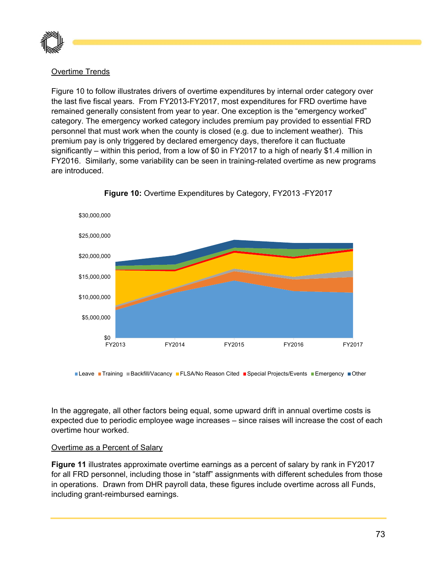

#### Overtime Trends

Figure 10 to follow illustrates drivers of overtime expenditures by internal order category over the last five fiscal years. From FY2013-FY2017, most expenditures for FRD overtime have remained generally consistent from year to year. One exception is the "emergency worked" category. The emergency worked category includes premium pay provided to essential FRD personnel that must work when the county is closed (e.g. due to inclement weather). This premium pay is only triggered by declared emergency days, therefore it can fluctuate significantly – within this period, from a low of \$0 in FY2017 to a high of nearly \$1.4 million in FY2016. Similarly, some variability can be seen in training-related overtime as new programs are introduced.



**Figure 10:** Overtime Expenditures by Category, FY2013 -FY2017

Leave Training Backfill/Vacancy FLSA/No Reason Cited Special Projects/Events Emergency Other

In the aggregate, all other factors being equal, some upward drift in annual overtime costs is expected due to periodic employee wage increases – since raises will increase the cost of each overtime hour worked.

#### Overtime as a Percent of Salary

**Figure 11** illustrates approximate overtime earnings as a percent of salary by rank in FY2017 for all FRD personnel, including those in "staff" assignments with different schedules from those in operations. Drawn from DHR payroll data, these figures include overtime across all Funds, including grant-reimbursed earnings.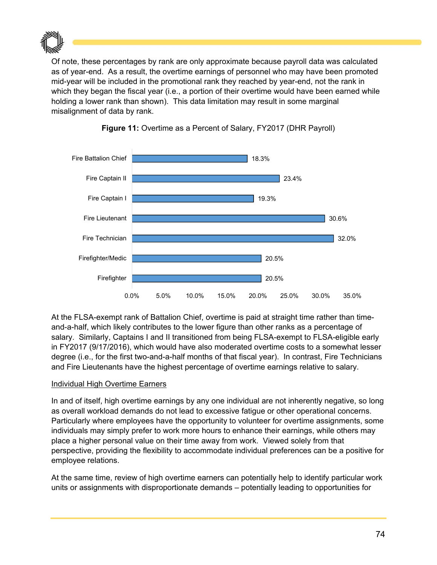

Of note, these percentages by rank are only approximate because payroll data was calculated as of year-end. As a result, the overtime earnings of personnel who may have been promoted mid-year will be included in the promotional rank they reached by year-end, not the rank in which they began the fiscal year (i.e., a portion of their overtime would have been earned while holding a lower rank than shown). This data limitation may result in some marginal misalignment of data by rank.





At the FLSA-exempt rank of Battalion Chief, overtime is paid at straight time rather than timeand-a-half, which likely contributes to the lower figure than other ranks as a percentage of salary. Similarly, Captains I and II transitioned from being FLSA-exempt to FLSA-eligible early in FY2017 (9/17/2016), which would have also moderated overtime costs to a somewhat lesser degree (i.e., for the first two-and-a-half months of that fiscal year). In contrast, Fire Technicians and Fire Lieutenants have the highest percentage of overtime earnings relative to salary.

#### Individual High Overtime Earners

In and of itself, high overtime earnings by any one individual are not inherently negative, so long as overall workload demands do not lead to excessive fatigue or other operational concerns. Particularly where employees have the opportunity to volunteer for overtime assignments, some individuals may simply prefer to work more hours to enhance their earnings, while others may place a higher personal value on their time away from work. Viewed solely from that perspective, providing the flexibility to accommodate individual preferences can be a positive for employee relations.

At the same time, review of high overtime earners can potentially help to identify particular work units or assignments with disproportionate demands – potentially leading to opportunities for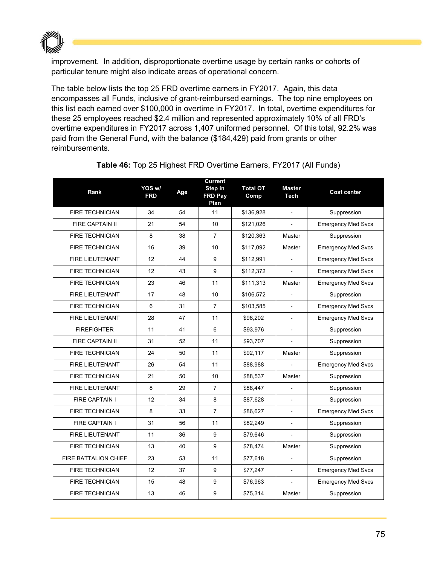

improvement. In addition, disproportionate overtime usage by certain ranks or cohorts of particular tenure might also indicate areas of operational concern.

The table below lists the top 25 FRD overtime earners in FY2017. Again, this data encompasses all Funds, inclusive of grant-reimbursed earnings. The top nine employees on this list each earned over \$100,000 in overtime in FY2017. In total, overtime expenditures for these 25 employees reached \$2.4 million and represented approximately 10% of all FRD's overtime expenditures in FY2017 across 1,407 uniformed personnel. Of this total, 92.2% was paid from the General Fund, with the balance (\$184,429) paid from grants or other reimbursements.

| Rank                   | YOS w/<br><b>FRD</b> | Age | Current<br>Step in<br><b>FRD Pay</b><br>Plan | <b>Total OT</b><br>Comp | <b>Master</b><br>Tech    | <b>Cost center</b>        |
|------------------------|----------------------|-----|----------------------------------------------|-------------------------|--------------------------|---------------------------|
| <b>FIRE TECHNICIAN</b> | 34                   | 54  | 11                                           | \$136,928               |                          | Suppression               |
| <b>FIRE CAPTAIN II</b> | 21                   | 54  | 10                                           | \$121,026               | $\overline{\phantom{a}}$ | <b>Emergency Med Svcs</b> |
| <b>FIRE TECHNICIAN</b> | 8                    | 38  | $\overline{7}$                               | \$120,363               | Master                   | Suppression               |
| <b>FIRE TECHNICIAN</b> | 16                   | 39  | 10                                           | \$117,092               | Master                   | <b>Emergency Med Svcs</b> |
| <b>FIRE LIEUTENANT</b> | 12                   | 44  | 9                                            | \$112,991               |                          | <b>Emergency Med Svcs</b> |
| <b>FIRE TECHNICIAN</b> | 12                   | 43  | 9                                            | \$112,372               |                          | <b>Emergency Med Svcs</b> |
| <b>FIRE TECHNICIAN</b> | 23                   | 46  | 11                                           | \$111,313               | Master                   | <b>Emergency Med Svcs</b> |
| <b>FIRE LIEUTENANT</b> | 17                   | 48  | 10                                           | \$106,572               |                          | Suppression               |
| <b>FIRE TECHNICIAN</b> | 6                    | 31  | $\overline{7}$                               | \$103,585               | $\blacksquare$           | <b>Emergency Med Svcs</b> |
| <b>FIRE LIEUTENANT</b> | 28                   | 47  | 11                                           | \$98,202                | $\overline{\phantom{a}}$ | <b>Emergency Med Svcs</b> |
| <b>FIREFIGHTER</b>     | 11                   | 41  | 6                                            | \$93,976                |                          | Suppression               |
| <b>FIRE CAPTAIN II</b> | 31                   | 52  | 11                                           | \$93,707                |                          | Suppression               |
| <b>FIRE TECHNICIAN</b> | 24                   | 50  | 11                                           | \$92,117                | Master                   | Suppression               |
| <b>FIRE LIEUTENANT</b> | 26                   | 54  | 11                                           | \$88,988                |                          | <b>Emergency Med Svcs</b> |
| <b>FIRE TECHNICIAN</b> | 21                   | 50  | 10                                           | \$88,537                | Master                   | Suppression               |
| <b>FIRE LIEUTENANT</b> | 8                    | 29  | $\overline{7}$                               | \$88,447                | $\overline{\phantom{a}}$ | Suppression               |
| <b>FIRE CAPTAIN I</b>  | 12                   | 34  | 8                                            | \$87,628                |                          | Suppression               |
| <b>FIRE TECHNICIAN</b> | 8                    | 33  | $\overline{7}$                               | \$86,627                |                          | <b>Emergency Med Svcs</b> |
| <b>FIRE CAPTAIN I</b>  | 31                   | 56  | 11                                           | \$82,249                |                          | Suppression               |
| <b>FIRE LIEUTENANT</b> | 11                   | 36  | 9                                            | \$79,646                |                          | Suppression               |
| <b>FIRE TECHNICIAN</b> | 13                   | 40  | 9                                            | \$78,474                | Master                   | Suppression               |
| FIRE BATTALION CHIEF   | 23                   | 53  | 11                                           | \$77,618                |                          | Suppression               |
| <b>FIRE TECHNICIAN</b> | 12                   | 37  | 9                                            | \$77,247                | $\blacksquare$           | <b>Emergency Med Svcs</b> |
| <b>FIRE TECHNICIAN</b> | 15                   | 48  | 9                                            | \$76,963                | $\overline{a}$           | <b>Emergency Med Svcs</b> |
| <b>FIRE TECHNICIAN</b> | 13                   | 46  | 9                                            | \$75,314                | Master                   | Suppression               |

**Table 46:** Top 25 Highest FRD Overtime Earners, FY2017 (All Funds)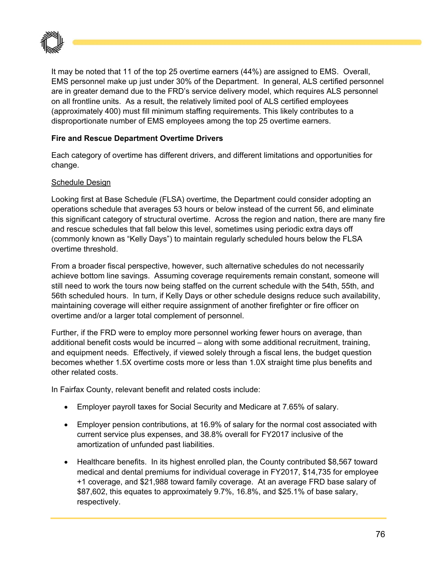

It may be noted that 11 of the top 25 overtime earners (44%) are assigned to EMS. Overall, EMS personnel make up just under 30% of the Department. In general, ALS certified personnel are in greater demand due to the FRD's service delivery model, which requires ALS personnel on all frontline units. As a result, the relatively limited pool of ALS certified employees (approximately 400) must fill minimum staffing requirements. This likely contributes to a disproportionate number of EMS employees among the top 25 overtime earners.

#### **Fire and Rescue Department Overtime Drivers**

Each category of overtime has different drivers, and different limitations and opportunities for change.

#### Schedule Design

Looking first at Base Schedule (FLSA) overtime, the Department could consider adopting an operations schedule that averages 53 hours or below instead of the current 56, and eliminate this significant category of structural overtime. Across the region and nation, there are many fire and rescue schedules that fall below this level, sometimes using periodic extra days off (commonly known as "Kelly Days") to maintain regularly scheduled hours below the FLSA overtime threshold.

From a broader fiscal perspective, however, such alternative schedules do not necessarily achieve bottom line savings. Assuming coverage requirements remain constant, someone will still need to work the tours now being staffed on the current schedule with the 54th, 55th, and 56th scheduled hours. In turn, if Kelly Days or other schedule designs reduce such availability, maintaining coverage will either require assignment of another firefighter or fire officer on overtime and/or a larger total complement of personnel.

Further, if the FRD were to employ more personnel working fewer hours on average, than additional benefit costs would be incurred – along with some additional recruitment, training, and equipment needs. Effectively, if viewed solely through a fiscal lens, the budget question becomes whether 1.5X overtime costs more or less than 1.0X straight time plus benefits and other related costs.

In Fairfax County, relevant benefit and related costs include:

- Employer payroll taxes for Social Security and Medicare at 7.65% of salary.
- Employer pension contributions, at 16.9% of salary for the normal cost associated with current service plus expenses, and 38.8% overall for FY2017 inclusive of the amortization of unfunded past liabilities.
- Healthcare benefits. In its highest enrolled plan, the County contributed \$8,567 toward medical and dental premiums for individual coverage in FY2017, \$14,735 for employee +1 coverage, and \$21,988 toward family coverage. At an average FRD base salary of \$87,602, this equates to approximately 9.7%, 16.8%, and \$25.1% of base salary, respectively.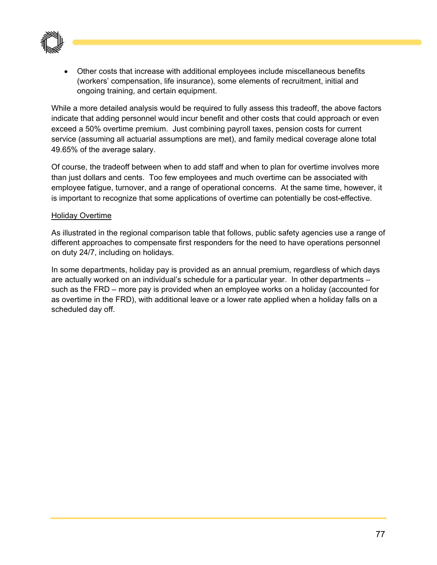

 Other costs that increase with additional employees include miscellaneous benefits (workers' compensation, life insurance), some elements of recruitment, initial and ongoing training, and certain equipment.

While a more detailed analysis would be required to fully assess this tradeoff, the above factors indicate that adding personnel would incur benefit and other costs that could approach or even exceed a 50% overtime premium. Just combining payroll taxes, pension costs for current service (assuming all actuarial assumptions are met), and family medical coverage alone total 49.65% of the average salary.

Of course, the tradeoff between when to add staff and when to plan for overtime involves more than just dollars and cents. Too few employees and much overtime can be associated with employee fatigue, turnover, and a range of operational concerns. At the same time, however, it is important to recognize that some applications of overtime can potentially be cost-effective.

#### Holiday Overtime

As illustrated in the regional comparison table that follows, public safety agencies use a range of different approaches to compensate first responders for the need to have operations personnel on duty 24/7, including on holidays.

In some departments, holiday pay is provided as an annual premium, regardless of which days are actually worked on an individual's schedule for a particular year. In other departments – such as the FRD – more pay is provided when an employee works on a holiday (accounted for as overtime in the FRD), with additional leave or a lower rate applied when a holiday falls on a scheduled day off.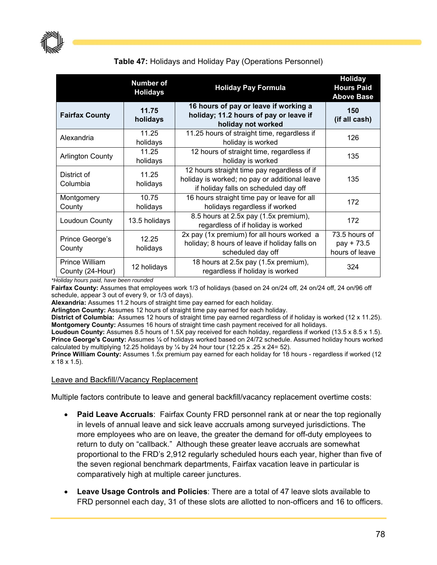

#### **Number of Holidays Holiday Pay Formula Holiday Hours Paid Above Base Fairfax County 11.75 holidays 16 hours of pay or leave if working a holiday; 11.2 hours of pay or leave if holiday not worked 150 (if all cash)**  Alexandria 11.25 holidays 11.25 hours of straight time, regardless if s or straight time, regardless in 126<br>holiday is worked Arlington County 11.25 holidays 12 hours of straight time, regardless if  $h$  straight time, regardiess  $h$  135 District of Columbia 11.25 holidays 12 hours straight time pay regardless of if holiday is worked; no pay or additional leave if holiday falls on scheduled day off 135 Montgomery **County** 10.75 holidays 16 hours straight time pay or leave for all and straight time pay of leave for all 172<br>holidays regardless if worked Loudoun County 13.5 holidays 8.5 hours at 2.5x pay (1.5x premium),  $\frac{1}{2}$  regardless of if holiday is worked 172 Prince George's **County** 12.25 holidays 2x pay (1x premium) for all hours worked a holiday; 8 hours of leave if holiday falls on scheduled day off 73.5 hours of pay + 73.5 hours of leave Prince William Prince William 12 holidays 18 hours at 2.5x pay (1.5x premium),<br>County (24-Hour) 12 holidays regardless if holiday is worked riours at 2.5x pay (1.5x premium),  $\frac{324}{ }$

#### **Table 47:** Holidays and Holiday Pay (Operations Personnel)

*\*Holiday hours paid, have been rounded* 

**Fairfax County:** Assumes that employees work 1/3 of holidays (based on 24 on/24 off, 24 on/24 off, 24 on/96 off schedule, appear 3 out of every 9, or 1/3 of days).

**Alexandria:** Assumes 11.2 hours of straight time pay earned for each holiday.

**Arlington County:** Assumes 12 hours of straight time pay earned for each holiday.

**District of Columbia:** Assumes 12 hours of straight time pay earned regardless of if holiday is worked (12 x 11.25). **Montgomery County:** Assumes 16 hours of straight time cash payment received for all holidays.

**Loudoun County:** Assumes 8.5 hours of 1.5X pay received for each holiday, regardless if worked (13.5 x 8.5 x 1.5). **Prince George's County:** Assumes ¼ of holidays worked based on 24/72 schedule. Assumed holiday hours worked calculated by multiplying 12.25 holidays by  $\frac{1}{4}$  by 24 hour tour (12.25 x .25 x 24= 52).

**Prince William County:** Assumes 1.5x premium pay earned for each holiday for 18 hours - regardless if worked (12 x 18 x 1.5).

#### Leave and Backfill//Vacancy Replacement

Multiple factors contribute to leave and general backfill/vacancy replacement overtime costs:

- **Paid Leave Accruals**: Fairfax County FRD personnel rank at or near the top regionally in levels of annual leave and sick leave accruals among surveyed jurisdictions. The more employees who are on leave, the greater the demand for off-duty employees to return to duty on "callback." Although these greater leave accruals are somewhat proportional to the FRD's 2,912 regularly scheduled hours each year, higher than five of the seven regional benchmark departments, Fairfax vacation leave in particular is comparatively high at multiple career junctures.
- **Leave Usage Controls and Policies**: There are a total of 47 leave slots available to FRD personnel each day, 31 of these slots are allotted to non-officers and 16 to officers.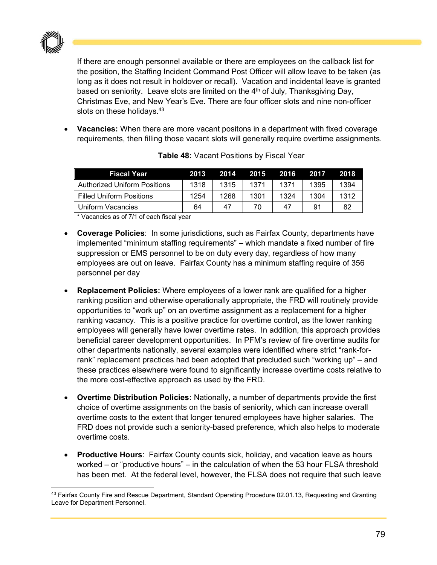

If there are enough personnel available or there are employees on the callback list for the position, the Staffing Incident Command Post Officer will allow leave to be taken (as long as it does not result in holdover or recall). Vacation and incidental leave is granted based on seniority. Leave slots are limited on the  $4<sup>th</sup>$  of July, Thanksgiving Day, Christmas Eve, and New Year's Eve. There are four officer slots and nine non-officer slots on these holidays.<sup>43</sup>

 **Vacancies:** When there are more vacant positons in a department with fixed coverage requirements, then filling those vacant slots will generally require overtime assignments.

| <b>Fiscal Year</b>                  | 2013 | 2014 | 2015 | 2016 | 2017 | 2018 |
|-------------------------------------|------|------|------|------|------|------|
| <b>Authorized Uniform Positions</b> | 1318 | 1315 | 1371 | 1371 | 1395 | 1394 |
| <b>Filled Uniform Positions</b>     | 1254 | 1268 | 1301 | 1324 | 1304 | 1312 |
| Uniform Vacancies                   | 64   | 47   | 70   | 47   | 91   | 82   |

**Table 48:** Vacant Positions by Fiscal Year

\* Vacancies as of 7/1 of each fiscal year

- **Coverage Policies**: In some jurisdictions, such as Fairfax County, departments have implemented "minimum staffing requirements" – which mandate a fixed number of fire suppression or EMS personnel to be on duty every day, regardless of how many employees are out on leave. Fairfax County has a minimum staffing require of 356 personnel per day
- **Replacement Policies:** Where employees of a lower rank are qualified for a higher ranking position and otherwise operationally appropriate, the FRD will routinely provide opportunities to "work up" on an overtime assignment as a replacement for a higher ranking vacancy. This is a positive practice for overtime control, as the lower ranking employees will generally have lower overtime rates. In addition, this approach provides beneficial career development opportunities. In PFM's review of fire overtime audits for other departments nationally, several examples were identified where strict "rank-forrank" replacement practices had been adopted that precluded such "working up" – and these practices elsewhere were found to significantly increase overtime costs relative to the more cost-effective approach as used by the FRD.
- **Overtime Distribution Policies:** Nationally, a number of departments provide the first choice of overtime assignments on the basis of seniority, which can increase overall overtime costs to the extent that longer tenured employees have higher salaries. The FRD does not provide such a seniority-based preference, which also helps to moderate overtime costs.
- **Productive Hours**: Fairfax County counts sick, holiday, and vacation leave as hours worked – or "productive hours" – in the calculation of when the 53 hour FLSA threshold has been met. At the federal level, however, the FLSA does not require that such leave

 43 Fairfax County Fire and Rescue Department, Standard Operating Procedure 02.01.13, Requesting and Granting Leave for Department Personnel.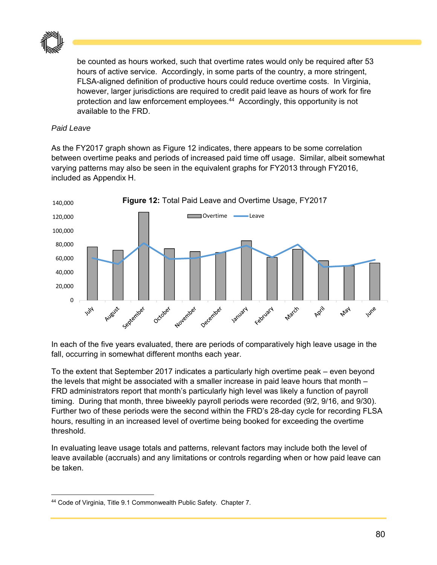

be counted as hours worked, such that overtime rates would only be required after 53 hours of active service. Accordingly, in some parts of the country, a more stringent, FLSA-aligned definition of productive hours could reduce overtime costs. In Virginia, however, larger jurisdictions are required to credit paid leave as hours of work for fire protection and law enforcement employees.<sup>44</sup> Accordingly, this opportunity is not available to the FRD.

#### *Paid Leave*

As the FY2017 graph shown as Figure 12 indicates, there appears to be some correlation between overtime peaks and periods of increased paid time off usage. Similar, albeit somewhat varying patterns may also be seen in the equivalent graphs for FY2013 through FY2016, included as Appendix H.



In each of the five years evaluated, there are periods of comparatively high leave usage in the fall, occurring in somewhat different months each year.

To the extent that September 2017 indicates a particularly high overtime peak – even beyond the levels that might be associated with a smaller increase in paid leave hours that month – FRD administrators report that month's particularly high level was likely a function of payroll timing. During that month, three biweekly payroll periods were recorded (9/2, 9/16, and 9/30). Further two of these periods were the second within the FRD's 28-day cycle for recording FLSA hours, resulting in an increased level of overtime being booked for exceeding the overtime threshold.

In evaluating leave usage totals and patterns, relevant factors may include both the level of leave available (accruals) and any limitations or controls regarding when or how paid leave can be taken.

 44 Code of Virginia, Title 9.1 Commonwealth Public Safety. Chapter 7.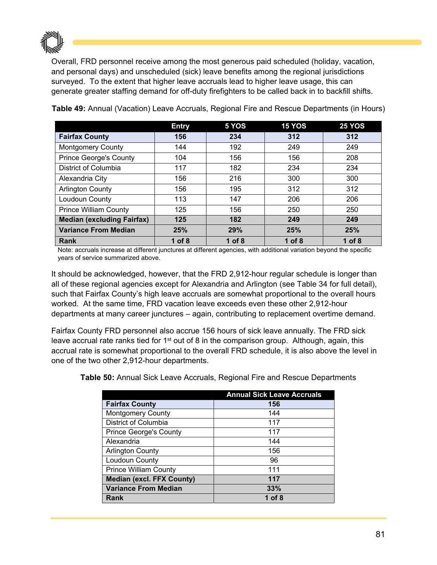

Overall, FRD personnel receive among the most generous paid scheduled (holiday, vacation, and personal days) and unscheduled (sick) leave benefits among the regional jurisdictions surveyed. To the extent that higher leave accruals lead to higher leave usage, this can generate greater staffing demand for off-duty firefighters to be called back in to backfill shifts.

|                                   | <b>Entry</b> | 5 YOS    | <b>15 YOS</b> | <b>25 YOS</b> |
|-----------------------------------|--------------|----------|---------------|---------------|
| <b>Fairfax County</b>             | 156          | 234      | 312           | 312           |
| <b>Montgomery County</b>          | 144          | 192      | 249           | 249           |
| <b>Prince George's County</b>     | 104          | 156      | 156           | 208           |
| District of Columbia              | 117          | 182      | 234           | 234           |
| Alexandria City                   | 156          | 216      | 300           | 300           |
| <b>Arlington County</b>           | 156          | 195      | 312           | 312           |
| Loudoun County                    | 113          | 147      | 206           | 206           |
| <b>Prince William County</b>      | 125          | 156      | 250           | 250           |
| <b>Median (excluding Fairfax)</b> | 125          | 182      | 249           | 249           |
| <b>Variance From Median</b>       | 25%          | 29%      | 25%           | 25%           |
| Rank                              | 1 of $8$     | 1 of $8$ | $1$ of 8      | 1 of $8$      |

**Table 49:** Annual (Vacation) Leave Accruals, Regional Fire and Rescue Departments (in Hours)

Note: accruals increase at different junctures at different agencies, with additional variation beyond the specific years of service summarized above.

It should be acknowledged, however, that the FRD 2,912-hour regular schedule is longer than all of these regional agencies except for Alexandria and Arlington (see Table 34 for full detail), such that Fairfax County's high leave accruals are somewhat proportional to the overall hours worked. At the same time, FRD vacation leave exceeds even these other 2,912-hour departments at many career junctures – again, contributing to replacement overtime demand.

Fairfax County FRD personnel also accrue 156 hours of sick leave annually. The FRD sick leave accrual rate ranks tied for  $1<sup>st</sup>$  out of 8 in the comparison group. Although, again, this accrual rate is somewhat proportional to the overall FRD schedule, it is also above the level in one of the two other 2,912-hour departments.

**Table 50:** Annual Sick Leave Accruals, Regional Fire and Rescue Departments

|                                  | <b>Annual Sick Leave Accruals</b> |
|----------------------------------|-----------------------------------|
| <b>Fairfax County</b>            | 156                               |
| <b>Montgomery County</b>         | 144                               |
| District of Columbia             | 117                               |
| <b>Prince George's County</b>    | 117                               |
| Alexandria                       | 144                               |
| <b>Arlington County</b>          | 156                               |
| Loudoun County                   | 96                                |
| <b>Prince William County</b>     | 111                               |
| <b>Median (excl. FFX County)</b> | 117                               |
| <b>Variance From Median</b>      | 33%                               |
| Rank                             | 1 of $8$                          |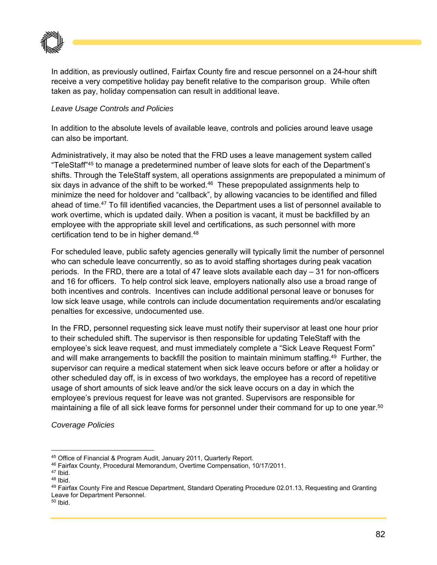

In addition, as previously outlined, Fairfax County fire and rescue personnel on a 24-hour shift receive a very competitive holiday pay benefit relative to the comparison group. While often taken as pay, holiday compensation can result in additional leave.

#### *Leave Usage Controls and Policies*

In addition to the absolute levels of available leave, controls and policies around leave usage can also be important.

Administratively, it may also be noted that the FRD uses a leave management system called "TeleStaff"45 to manage a predetermined number of leave slots for each of the Department's shifts. Through the TeleStaff system, all operations assignments are prepopulated a minimum of six days in advance of the shift to be worked.<sup>46</sup> These prepopulated assignments help to minimize the need for holdover and "callback", by allowing vacancies to be identified and filled ahead of time.<sup>47</sup> To fill identified vacancies, the Department uses a list of personnel available to work overtime, which is updated daily. When a position is vacant, it must be backfilled by an employee with the appropriate skill level and certifications, as such personnel with more certification tend to be in higher demand.48

For scheduled leave, public safety agencies generally will typically limit the number of personnel who can schedule leave concurrently, so as to avoid staffing shortages during peak vacation periods. In the FRD, there are a total of 47 leave slots available each day – 31 for non-officers and 16 for officers. To help control sick leave, employers nationally also use a broad range of both incentives and controls. Incentives can include additional personal leave or bonuses for low sick leave usage, while controls can include documentation requirements and/or escalating penalties for excessive, undocumented use.

In the FRD, personnel requesting sick leave must notify their supervisor at least one hour prior to their scheduled shift. The supervisor is then responsible for updating TeleStaff with the employee's sick leave request, and must immediately complete a "Sick Leave Request Form" and will make arrangements to backfill the position to maintain minimum staffing.<sup>49</sup> Further, the supervisor can require a medical statement when sick leave occurs before or after a holiday or other scheduled day off, is in excess of two workdays, the employee has a record of repetitive usage of short amounts of sick leave and/or the sick leave occurs on a day in which the employee's previous request for leave was not granted. Supervisors are responsible for maintaining a file of all sick leave forms for personnel under their command for up to one year.<sup>50</sup>

*Coverage Policies* 

 $50$  Ibid.

<sup>&</sup>lt;sup>45</sup> Office of Financial & Program Audit, January 2011, Quarterly Report.<br><sup>46</sup> Fairfax County, Procedural Memorandum, Overtime Compensation, 10/17/2011.<br><sup>47</sup> Ibid.

 $48$  Ibid.

<sup>49</sup> Fairfax County Fire and Rescue Department, Standard Operating Procedure 02.01.13, Requesting and Granting Leave for Department Personnel.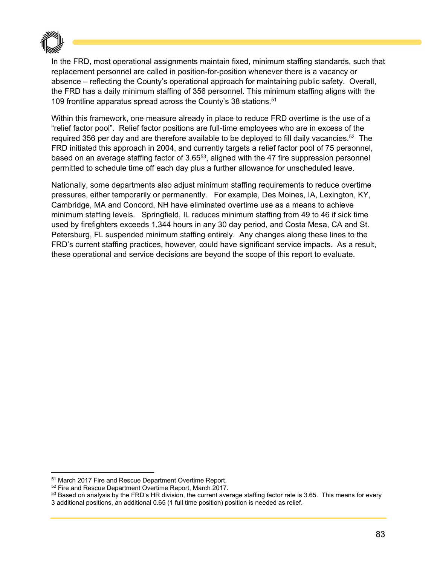

In the FRD, most operational assignments maintain fixed, minimum staffing standards, such that replacement personnel are called in position-for-position whenever there is a vacancy or absence – reflecting the County's operational approach for maintaining public safety. Overall, the FRD has a daily minimum staffing of 356 personnel. This minimum staffing aligns with the 109 frontline apparatus spread across the County's 38 stations.51

Within this framework, one measure already in place to reduce FRD overtime is the use of a "relief factor pool". Relief factor positions are full-time employees who are in excess of the required 356 per day and are therefore available to be deployed to fill daily vacancies.<sup>52</sup> The FRD initiated this approach in 2004, and currently targets a relief factor pool of 75 personnel, based on an average staffing factor of 3.6553, aligned with the 47 fire suppression personnel permitted to schedule time off each day plus a further allowance for unscheduled leave.

Nationally, some departments also adjust minimum staffing requirements to reduce overtime pressures, either temporarily or permanently. For example, Des Moines, IA, Lexington, KY, Cambridge, MA and Concord, NH have eliminated overtime use as a means to achieve minimum staffing levels. Springfield, IL reduces minimum staffing from 49 to 46 if sick time used by firefighters exceeds 1,344 hours in any 30 day period, and Costa Mesa, CA and St. Petersburg, FL suspended minimum staffing entirely. Any changes along these lines to the FRD's current staffing practices, however, could have significant service impacts. As a result, these operational and service decisions are beyond the scope of this report to evaluate.

 $51$  March 2017 Fire and Rescue Department Overtime Report.<br> $52$  Fire and Rescue Department Overtime Report, March 2017.<br> $53$  Based on analysis by the FRD's HR division, the current average staffing factor rate is 3.65. T 3 additional positions, an additional 0.65 (1 full time position) position is needed as relief.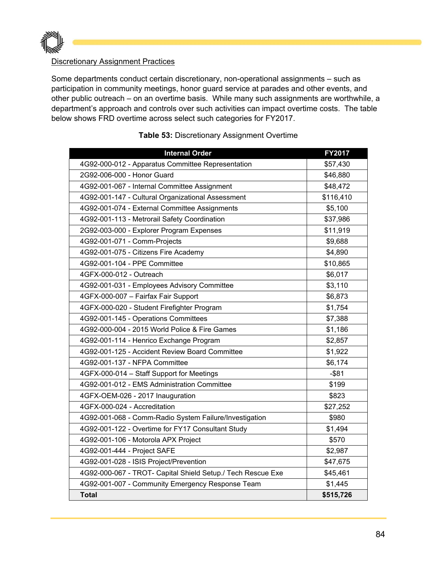

#### Discretionary Assignment Practices

Some departments conduct certain discretionary, non-operational assignments – such as participation in community meetings, honor guard service at parades and other events, and other public outreach – on an overtime basis. While many such assignments are worthwhile, a department's approach and controls over such activities can impact overtime costs. The table below shows FRD overtime across select such categories for FY2017.

| <b>Internal Order</b>                                       | <b>FY2017</b> |
|-------------------------------------------------------------|---------------|
| 4G92-000-012 - Apparatus Committee Representation           | \$57,430      |
| 2G92-006-000 - Honor Guard                                  | \$46,880      |
| 4G92-001-067 - Internal Committee Assignment                | \$48,472      |
| 4G92-001-147 - Cultural Organizational Assessment           | \$116,410     |
| 4G92-001-074 - External Committee Assignments               | \$5,100       |
| 4G92-001-113 - Metrorail Safety Coordination                | \$37,986      |
| 2G92-003-000 - Explorer Program Expenses                    | \$11,919      |
| 4G92-001-071 - Comm-Projects                                | \$9,688       |
| 4G92-001-075 - Citizens Fire Academy                        | \$4,890       |
| 4G92-001-104 - PPE Committee                                | \$10,865      |
| 4GFX-000-012 - Outreach                                     | \$6,017       |
| 4G92-001-031 - Employees Advisory Committee                 | \$3,110       |
| 4GFX-000-007 - Fairfax Fair Support                         | \$6,873       |
| 4GFX-000-020 - Student Firefighter Program                  | \$1,754       |
| 4G92-001-145 - Operations Committees                        | \$7,388       |
| 4G92-000-004 - 2015 World Police & Fire Games               | \$1,186       |
| 4G92-001-114 - Henrico Exchange Program                     | \$2,857       |
| 4G92-001-125 - Accident Review Board Committee              | \$1,922       |
| 4G92-001-137 - NFPA Committee                               | \$6,174       |
| 4GFX-000-014 - Staff Support for Meetings                   | $-$ \$81      |
| 4G92-001-012 - EMS Administration Committee                 | \$199         |
| 4GFX-OEM-026 - 2017 Inauguration                            | \$823         |
| 4GFX-000-024 - Accreditation                                | \$27,252      |
| 4G92-001-068 - Comm-Radio System Failure/Investigation      | \$980         |
| 4G92-001-122 - Overtime for FY17 Consultant Study           | \$1,494       |
| 4G92-001-106 - Motorola APX Project                         | \$570         |
| 4G92-001-444 - Project SAFE                                 | \$2,987       |
| 4G92-001-028 - ISIS Project/Prevention                      | \$47,675      |
| 4G92-000-067 - TROT- Capital Shield Setup./ Tech Rescue Exe | \$45,461      |
| 4G92-001-007 - Community Emergency Response Team            | \$1,445       |
| <b>Total</b>                                                | \$515,726     |

#### **Table 53:** Discretionary Assignment Overtime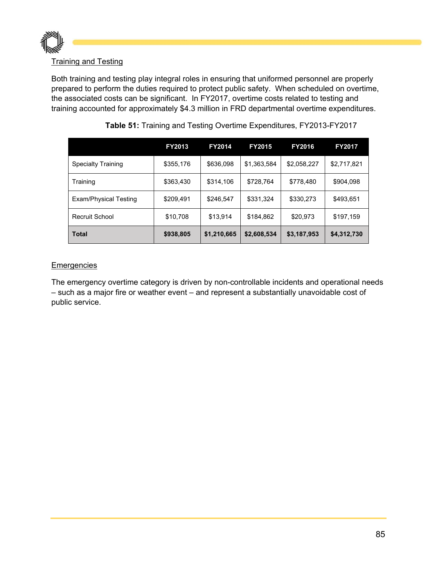

#### Training and Testing

Both training and testing play integral roles in ensuring that uniformed personnel are properly prepared to perform the duties required to protect public safety. When scheduled on overtime, the associated costs can be significant. In FY2017, overtime costs related to testing and training accounted for approximately \$4.3 million in FRD departmental overtime expenditures.

|                           | <b>FY2013</b> | <b>FY2014</b>          | <b>FY2015</b> | <b>FY2016</b> | <b>FY2017</b> |
|---------------------------|---------------|------------------------|---------------|---------------|---------------|
| <b>Specialty Training</b> | \$355,176     | \$636,098              | \$1,363,584   | \$2,058,227   | \$2,717,821   |
| Training                  | \$363,430     | \$314,106              | \$728,764     | \$778,480     | \$904,098     |
| Exam/Physical Testing     | \$209,491     | \$331,324<br>\$246,547 |               | \$330,273     | \$493,651     |
| Recruit School            | \$10,708      | \$13,914               | \$184,862     | \$20,973      | \$197,159     |
| Total                     | \$938,805     | \$1,210,665            | \$2,608,534   | \$3,187,953   | \$4,312,730   |

#### **Table 51:** Training and Testing Overtime Expenditures, FY2013-FY2017

#### **Emergencies**

The emergency overtime category is driven by non-controllable incidents and operational needs – such as a major fire or weather event – and represent a substantially unavoidable cost of public service.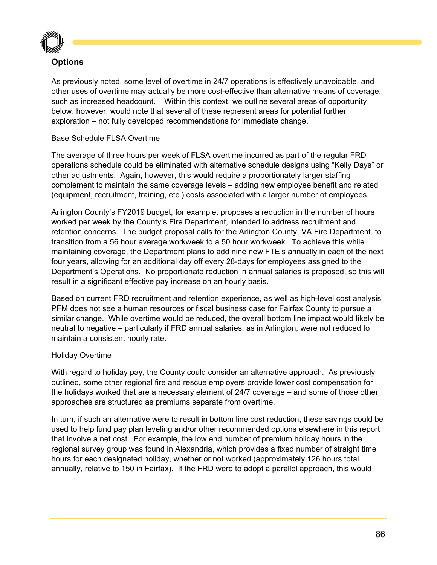

#### **Options**

As previously noted, some level of overtime in 24/7 operations is effectively unavoidable, and other uses of overtime may actually be more cost-effective than alternative means of coverage, such as increased headcount. Within this context, we outline several areas of opportunity below, however, would note that several of these represent areas for potential further exploration – not fully developed recommendations for immediate change.

#### Base Schedule FLSA Overtime

The average of three hours per week of FLSA overtime incurred as part of the regular FRD operations schedule could be eliminated with alternative schedule designs using "Kelly Days" or other adjustments. Again, however, this would require a proportionately larger staffing complement to maintain the same coverage levels – adding new employee benefit and related (equipment, recruitment, training, etc.) costs associated with a larger number of employees.

Arlington County's FY2019 budget, for example, proposes a reduction in the number of hours worked per week by the County's Fire Department, intended to address recruitment and retention concerns. The budget proposal calls for the Arlington County, VA Fire Department, to transition from a 56 hour average workweek to a 50 hour workweek. To achieve this while maintaining coverage, the Department plans to add nine new FTE's annually in each of the next four years, allowing for an additional day off every 28-days for employees assigned to the Department's Operations. No proportionate reduction in annual salaries is proposed, so this will result in a significant effective pay increase on an hourly basis.

Based on current FRD recruitment and retention experience, as well as high-level cost analysis PFM does not see a human resources or fiscal business case for Fairfax County to pursue a similar change. While overtime would be reduced, the overall bottom line impact would likely be neutral to negative – particularly if FRD annual salaries, as in Arlington, were not reduced to maintain a consistent hourly rate.

#### Holiday Overtime

With regard to holiday pay, the County could consider an alternative approach. As previously outlined, some other regional fire and rescue employers provide lower cost compensation for the holidays worked that are a necessary element of 24/7 coverage – and some of those other approaches are structured as premiums separate from overtime.

In turn, if such an alternative were to result in bottom line cost reduction, these savings could be used to help fund pay plan leveling and/or other recommended options elsewhere in this report that involve a net cost. For example, the low end number of premium holiday hours in the regional survey group was found in Alexandria, which provides a fixed number of straight time hours for each designated holiday, whether or not worked (approximately 126 hours total annually, relative to 150 in Fairfax). If the FRD were to adopt a parallel approach, this would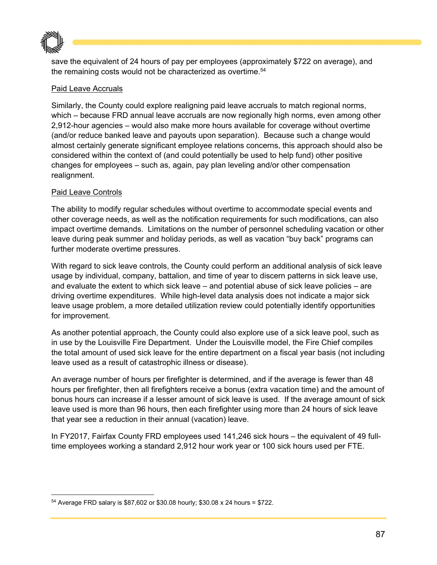

save the equivalent of 24 hours of pay per employees (approximately \$722 on average), and the remaining costs would not be characterized as overtime.<sup>54</sup>

#### Paid Leave Accruals

Similarly, the County could explore realigning paid leave accruals to match regional norms, which – because FRD annual leave accruals are now regionally high norms, even among other 2,912-hour agencies – would also make more hours available for coverage without overtime (and/or reduce banked leave and payouts upon separation). Because such a change would almost certainly generate significant employee relations concerns, this approach should also be considered within the context of (and could potentially be used to help fund) other positive changes for employees – such as, again, pay plan leveling and/or other compensation realignment.

#### Paid Leave Controls

The ability to modify regular schedules without overtime to accommodate special events and other coverage needs, as well as the notification requirements for such modifications, can also impact overtime demands. Limitations on the number of personnel scheduling vacation or other leave during peak summer and holiday periods, as well as vacation "buy back" programs can further moderate overtime pressures.

With regard to sick leave controls, the County could perform an additional analysis of sick leave usage by individual, company, battalion, and time of year to discern patterns in sick leave use, and evaluate the extent to which sick leave – and potential abuse of sick leave policies – are driving overtime expenditures. While high-level data analysis does not indicate a major sick leave usage problem, a more detailed utilization review could potentially identify opportunities for improvement.

As another potential approach, the County could also explore use of a sick leave pool, such as in use by the Louisville Fire Department. Under the Louisville model, the Fire Chief compiles the total amount of used sick leave for the entire department on a fiscal year basis (not including leave used as a result of catastrophic illness or disease).

An average number of hours per firefighter is determined, and if the average is fewer than 48 hours per firefighter, then all firefighters receive a bonus (extra vacation time) and the amount of bonus hours can increase if a lesser amount of sick leave is used. If the average amount of sick leave used is more than 96 hours, then each firefighter using more than 24 hours of sick leave that year see a reduction in their annual (vacation) leave.

In FY2017, Fairfax County FRD employees used 141,246 sick hours – the equivalent of 49 fulltime employees working a standard 2,912 hour work year or 100 sick hours used per FTE.

 54 Average FRD salary is \$87,602 or \$30.08 hourly; \$30.08 x 24 hours = \$722.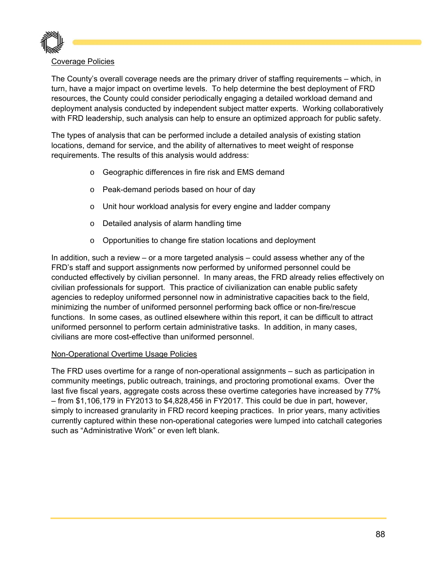

#### Coverage Policies

The County's overall coverage needs are the primary driver of staffing requirements – which, in turn, have a major impact on overtime levels. To help determine the best deployment of FRD resources, the County could consider periodically engaging a detailed workload demand and deployment analysis conducted by independent subject matter experts. Working collaboratively with FRD leadership, such analysis can help to ensure an optimized approach for public safety.

The types of analysis that can be performed include a detailed analysis of existing station locations, demand for service, and the ability of alternatives to meet weight of response requirements. The results of this analysis would address:

- o Geographic differences in fire risk and EMS demand
- o Peak-demand periods based on hour of day
- o Unit hour workload analysis for every engine and ladder company
- o Detailed analysis of alarm handling time
- o Opportunities to change fire station locations and deployment

In addition, such a review – or a more targeted analysis – could assess whether any of the FRD's staff and support assignments now performed by uniformed personnel could be conducted effectively by civilian personnel. In many areas, the FRD already relies effectively on civilian professionals for support. This practice of civilianization can enable public safety agencies to redeploy uniformed personnel now in administrative capacities back to the field, minimizing the number of uniformed personnel performing back office or non-fire/rescue functions. In some cases, as outlined elsewhere within this report, it can be difficult to attract uniformed personnel to perform certain administrative tasks. In addition, in many cases, civilians are more cost-effective than uniformed personnel.

#### Non-Operational Overtime Usage Policies

The FRD uses overtime for a range of non-operational assignments – such as participation in community meetings, public outreach, trainings, and proctoring promotional exams. Over the last five fiscal years, aggregate costs across these overtime categories have increased by 77% – from \$1,106,179 in FY2013 to \$4,828,456 in FY2017. This could be due in part, however, simply to increased granularity in FRD record keeping practices. In prior years, many activities currently captured within these non-operational categories were lumped into catchall categories such as "Administrative Work" or even left blank.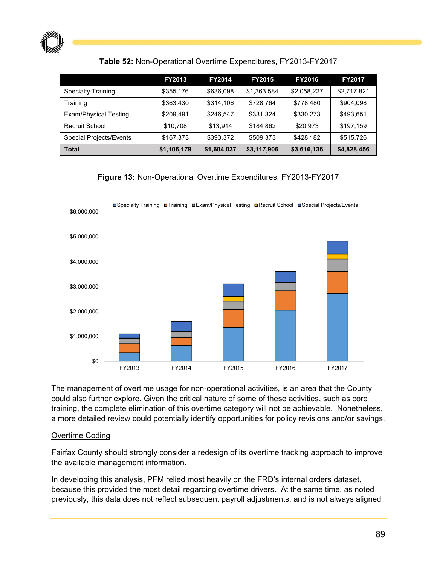

#### **Table 52:** Non-Operational Overtime Expenditures, FY2013-FY2017

|                              | <b>FY2013</b> | <b>FY2014</b> | <b>FY2015</b> | <b>FY2016</b> | <b>FY2017</b> |
|------------------------------|---------------|---------------|---------------|---------------|---------------|
| <b>Specialty Training</b>    | \$355,176     | \$636,098     | \$1,363,584   | \$2,058,227   | \$2,717,821   |
| Training                     | \$363,430     | \$314,106     | \$728,764     | \$778,480     | \$904.098     |
| <b>Exam/Physical Testing</b> | \$209.491     | \$246.547     | \$331.324     | \$330.273     | \$493.651     |
| Recruit School               | \$10,708      | \$13.914      | \$184.862     | \$20.973      | \$197.159     |
| Special Projects/Events      | \$167.373     | \$393.372     | \$509.373     | \$428.182     | \$515.726     |
| <b>Total</b>                 | \$1,106,179   | \$1,604,037   | \$3,117,906   | \$3,616,136   | \$4,828,456   |

**Figure 13:** Non-Operational Overtime Expenditures, FY2013-FY2017



The management of overtime usage for non-operational activities, is an area that the County could also further explore. Given the critical nature of some of these activities, such as core training, the complete elimination of this overtime category will not be achievable. Nonetheless, a more detailed review could potentially identify opportunities for policy revisions and/or savings.

#### Overtime Coding

Fairfax County should strongly consider a redesign of its overtime tracking approach to improve the available management information.

In developing this analysis, PFM relied most heavily on the FRD's internal orders dataset, because this provided the most detail regarding overtime drivers. At the same time, as noted previously, this data does not reflect subsequent payroll adjustments, and is not always aligned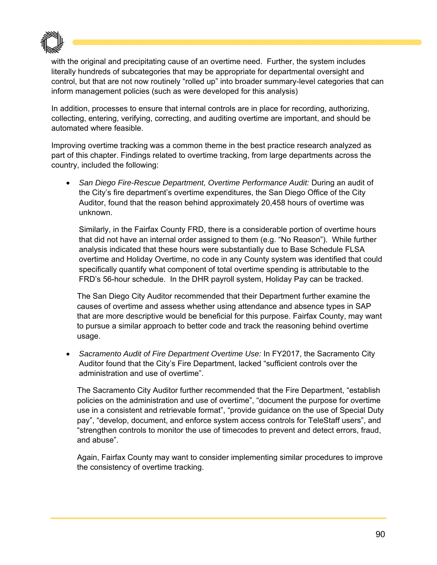

with the original and precipitating cause of an overtime need. Further, the system includes literally hundreds of subcategories that may be appropriate for departmental oversight and control, but that are not now routinely "rolled up" into broader summary-level categories that can inform management policies (such as were developed for this analysis)

In addition, processes to ensure that internal controls are in place for recording, authorizing, collecting, entering, verifying, correcting, and auditing overtime are important, and should be automated where feasible.

Improving overtime tracking was a common theme in the best practice research analyzed as part of this chapter. Findings related to overtime tracking, from large departments across the country, included the following:

 *San Diego Fire-Rescue Department, Overtime Performance Audit:* During an audit of the City's fire department's overtime expenditures, the San Diego Office of the City Auditor, found that the reason behind approximately 20,458 hours of overtime was unknown.

Similarly, in the Fairfax County FRD, there is a considerable portion of overtime hours that did not have an internal order assigned to them (e.g. "No Reason"). While further analysis indicated that these hours were substantially due to Base Schedule FLSA overtime and Holiday Overtime, no code in any County system was identified that could specifically quantify what component of total overtime spending is attributable to the FRD's 56-hour schedule. In the DHR payroll system, Holiday Pay can be tracked.

The San Diego City Auditor recommended that their Department further examine the causes of overtime and assess whether using attendance and absence types in SAP that are more descriptive would be beneficial for this purpose. Fairfax County, may want to pursue a similar approach to better code and track the reasoning behind overtime usage.

 *Sacramento Audit of Fire Department Overtime Use:* In FY2017, the Sacramento City Auditor found that the City's Fire Department, lacked "sufficient controls over the administration and use of overtime".

The Sacramento City Auditor further recommended that the Fire Department, "establish policies on the administration and use of overtime", "document the purpose for overtime use in a consistent and retrievable format", "provide guidance on the use of Special Duty pay", "develop, document, and enforce system access controls for TeleStaff users", and "strengthen controls to monitor the use of timecodes to prevent and detect errors, fraud, and abuse".

Again, Fairfax County may want to consider implementing similar procedures to improve the consistency of overtime tracking.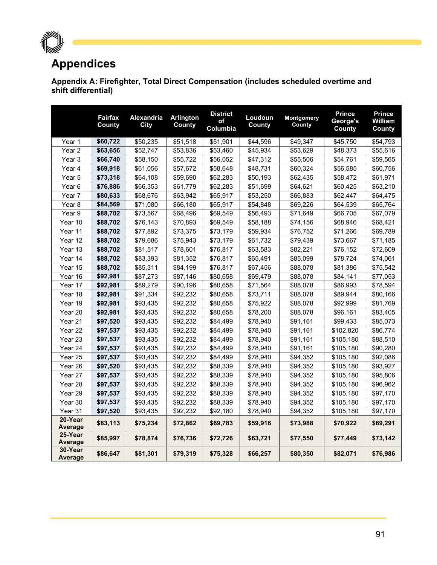

## **Appendices**

**Appendix A: Firefighter, Total Direct Compensation (includes scheduled overtime and shift differential)** 

|                           | Fairfax<br>County | <b>Alexandria</b><br><b>City</b> | <b>Arlington</b><br>County | <b>District</b><br>of<br>Columbia | Loudoun<br>County | Montgomery<br>County | <b>Prince</b><br>George's<br>County | <b>Prince</b><br><b>William</b><br>County |
|---------------------------|-------------------|----------------------------------|----------------------------|-----------------------------------|-------------------|----------------------|-------------------------------------|-------------------------------------------|
| Year 1                    | \$60,722          | \$50,235                         | \$51,518                   | \$51,901                          | \$44,596          | \$49,347             | \$45,750                            | \$54,793                                  |
| Year <sub>2</sub>         | \$63,656          | \$52,747                         | \$53,836                   | \$53,460                          | \$45,934          | \$53,629             | \$48,373                            | \$55,616                                  |
| Year 3                    | \$66,740          | \$58,150                         | \$55,722                   | \$56,052                          | \$47,312          | \$55,506             | \$54,761                            | \$59,565                                  |
| Year 4                    | \$69,918          | \$61,056                         | \$57,672                   | \$58,648                          | \$48,731          | \$60,324             | \$56,585                            | \$60,756                                  |
| Year 5                    | \$73,318          | \$64,108                         | \$59,690                   | \$62,283                          | \$50,193          | \$62,435             | \$58,472                            | \$61,971                                  |
| Year <sub>6</sub>         | \$76,886          | \$66,353                         | \$61,779                   | \$62,283                          | \$51,699          | \$64,621             | \$60,425                            | \$63,210                                  |
| Year 7                    | \$80,633          | \$68,676                         | \$63,942                   | \$65,917                          | \$53,250          | \$66,883             | \$62,447                            | \$64,475                                  |
| Year <sub>8</sub>         | \$84,569          | \$71,080                         | \$66,180                   | \$65,917                          | \$54,848          | \$69,226             | \$64,539                            | \$65,764                                  |
| Year 9                    | \$88,702          | \$73,567                         | \$68,496                   | \$69,549                          | \$56,493          | \$71,649             | \$66,705                            | \$67,079                                  |
| Year 10                   | \$88,702          | \$76,143                         | \$70,893                   | \$69,549                          | \$58,188          | \$74,156             | \$68,946                            | \$68,421                                  |
| Year 11                   | \$88,702          | \$77,892                         | \$73,375                   | \$73,179                          | \$59,934          | \$76,752             | \$71,266                            | \$69,789                                  |
| Year 12                   | \$88,702          | \$79,686                         | \$75,943                   | \$73,179                          | \$61,732          | \$79,439             | \$73,667                            | \$71,185                                  |
| Year 13                   | \$88,702          | \$81,517                         | \$78,601                   | \$76,817                          | \$63,583          | \$82,221             | \$76,152                            | \$72,609                                  |
| Year 14                   | \$88,702          | \$83,393                         | \$81,352                   | \$76,817                          | \$65,491          | \$85,099             | \$78,724                            | \$74,061                                  |
| Year 15                   | \$88,702          | \$85,311                         | \$84,199                   | \$76,817                          | \$67,456          | \$88,078             | \$81,386                            | \$75,542                                  |
| Year 16                   | \$92,981          | \$87,273                         | \$87,146                   | \$80,658                          | \$69,479          | \$88,078             | \$84,141                            | \$77,053                                  |
| Year 17                   | \$92,981          | \$89,279                         | \$90,196                   | \$80,658                          | \$71,564          | \$88,078             | \$86,993                            | \$78,594                                  |
| Year 18                   | \$92,981          | \$91,334                         | \$92,232                   | \$80,658                          | \$73,711          | \$88,078             | \$89,944                            | \$80,166                                  |
| Year 19                   | \$92,981          | \$93,435                         | \$92,232                   | \$80,658                          | \$75,922          | \$88,078             | \$92.999                            | \$81,769                                  |
| Year 20                   | \$92,981          | \$93,435                         | \$92,232                   | \$80,658                          | \$78,200          | \$88,078             | \$96,161                            | \$83,405                                  |
| Year 21                   | \$97,520          | \$93,435                         | \$92,232                   | \$84,499                          | \$78,940          | \$91,161             | \$99,433                            | \$85,073                                  |
| Year 22                   | \$97,537          | \$93,435                         | \$92,232                   | \$84,499                          | \$78,940          | \$91,161             | \$102,820                           | \$86,774                                  |
| Year 23                   | \$97,537          | \$93,435                         | \$92,232                   | \$84,499                          | \$78,940          | \$91,161             | \$105,180                           | \$88,510                                  |
| Year 24                   | \$97,537          | \$93,435                         | \$92,232                   | \$84,499                          | \$78,940          | \$91,161             | \$105,180                           | \$90,280                                  |
| Year 25                   | \$97,537          | \$93,435                         | \$92,232                   | \$84,499                          | \$78,940          | \$94,352             | \$105,180                           | \$92,086                                  |
| Year 26                   | \$97,520          | \$93,435                         | \$92,232                   | \$88,339                          | \$78,940          | \$94,352             | \$105,180                           | \$93,927                                  |
| Year 27                   | \$97,537          | \$93,435                         | \$92,232                   | \$88,339                          | \$78,940          | \$94,352             | \$105,180                           | \$95,806                                  |
| Year 28                   | \$97,537          | \$93,435                         | \$92,232                   | \$88,339                          | \$78,940          | \$94,352             | \$105,180                           | \$96,962                                  |
| Year 29                   | \$97,537          | \$93,435                         | \$92,232                   | \$88,339                          | \$78,940          | \$94,352             | \$105,180                           | \$97,170                                  |
| Year 30                   | \$97,537          | \$93,435                         | \$92,232                   | \$88,339                          | \$78,940          | \$94,352             | \$105,180                           | \$97,170                                  |
| Year 31                   | \$97,520          | \$93,435                         | \$92,232                   | \$92,180                          | \$78,940          | \$94,352             | \$105,180                           | \$97,170                                  |
| 20-Year<br><b>Average</b> | \$83,113          | \$75,234                         | \$72,862                   | \$69,783                          | \$59,916          | \$73,988             | \$70,922                            | \$69,291                                  |
| 25-Year<br>Average        | \$85,997          | \$78,874                         | \$76,736                   | \$72,726                          | \$63,721          | \$77,550             | \$77,449                            | \$73,142                                  |
| 30-Year<br>Average        | \$86,647          | \$81,301                         | \$79,319                   | \$75,328                          | \$66,257          | \$80,350             | \$82,071                            | \$76,986                                  |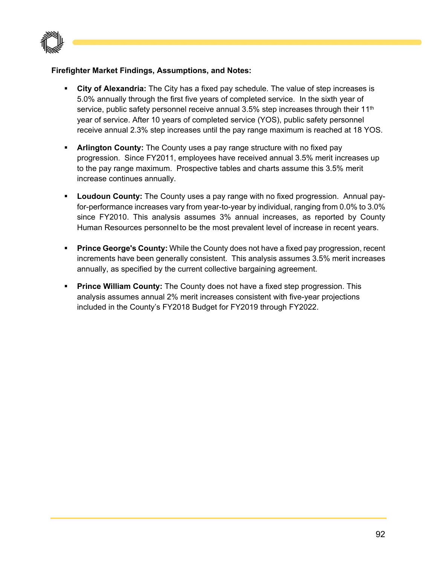

#### **Firefighter Market Findings, Assumptions, and Notes:**

- **City of Alexandria:** The City has a fixed pay schedule. The value of step increases is 5.0% annually through the first five years of completed service. In the sixth year of service, public safety personnel receive annual  $3.5\%$  step increases through their  $11<sup>th</sup>$ year of service. After 10 years of completed service (YOS), public safety personnel receive annual 2.3% step increases until the pay range maximum is reached at 18 YOS.
- **Arlington County:** The County uses a pay range structure with no fixed pay progression. Since FY2011, employees have received annual 3.5% merit increases up to the pay range maximum. Prospective tables and charts assume this 3.5% merit increase continues annually.
- **Loudoun County:** The County uses a pay range with no fixed progression. Annual payfor-performance increases vary from year-to-year by individual, ranging from 0.0% to 3.0% since FY2010. This analysis assumes 3% annual increases, as reported by County Human Resources personnel to be the most prevalent level of increase in recent years.
- **Prince George's County:** While the County does not have a fixed pay progression, recent increments have been generally consistent. This analysis assumes 3.5% merit increases annually, as specified by the current collective bargaining agreement.
- **Prince William County:** The County does not have a fixed step progression. This analysis assumes annual 2% merit increases consistent with five-year projections included in the County's FY2018 Budget for FY2019 through FY2022.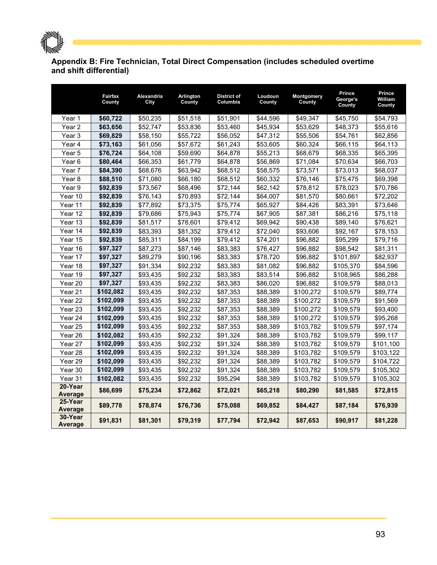

#### **Appendix B: Fire Technician, Total Direct Compensation (includes scheduled overtime and shift differential)**

|                           | Fairfax<br>County | Alexandria<br>City | <b>Arlington</b><br>County | <b>District of</b><br>Columbia | Loudoun<br>County | Montgomery<br>County | Prince<br>George's<br>County | Prince<br><b>William</b><br>County |
|---------------------------|-------------------|--------------------|----------------------------|--------------------------------|-------------------|----------------------|------------------------------|------------------------------------|
| Year 1                    | \$60,722          | \$50,235           | \$51,518                   | \$51,901                       | \$44,596          | \$49,347             | \$45,750                     | \$54,793                           |
| Year <sub>2</sub>         | \$63,656          | \$52,747           | \$53,836                   | \$53,460                       | \$45,934          | \$53,629             | \$48,373                     | \$55,616                           |
| Year <sub>3</sub>         | \$69,829          | \$58,150           | \$55,722                   | \$56,052                       | \$47,312          | \$55,506             | \$54,761                     | \$62,856                           |
| Year 4                    | \$73,163          | \$61,056           | \$57,672                   | \$61,243                       | \$53,605          | \$60,324             | \$66,115                     | \$64,113                           |
| Year 5                    | \$76,724          | \$64,108           | \$59,690                   | \$64,878                       | \$55,213          | \$68,679             | \$68,335                     | \$65,395                           |
| Year <sub>6</sub>         | \$80,464          | \$66,353           | \$61,779                   | \$64,878                       | \$56,869          | \$71,084             | \$70,634                     | \$66,703                           |
| Year 7                    | \$84,390          | \$68,676           | \$63,942                   | \$68,512                       | \$58,575          | \$73,571             | \$73,013                     | \$68,037                           |
| Year 8                    | \$88,510          | \$71,080           | \$66,180                   | \$68,512                       | \$60,332          | \$76,146             | \$75,475                     | \$69,398                           |
| Year 9                    | \$92,839          | \$73,567           | \$68,496                   | \$72,144                       | \$62,142          | \$78,812             | \$78,023                     | \$70,786                           |
| Year 10                   | \$92,839          | \$76,143           | \$70,893                   | \$72,144                       | \$64,007          | \$81,570             | \$80,661                     | \$72,202                           |
| Year 11                   | \$92,839          | \$77,892           | \$73,375                   | \$75,774                       | \$65,927          | \$84,426             | \$83,391                     | \$73,646                           |
| Year 12                   | \$92,839          | \$79,686           | \$75,943                   | \$75,774                       | \$67,905          | \$87,381             | \$86,216                     | \$75,118                           |
| Year 13                   | \$92,839          | \$81,517           | \$78,601                   | \$79,412                       | \$69,942          | \$90,438             | \$89,140                     | \$76,621                           |
| Year 14                   | \$92,839          | \$83,393           | \$81,352                   | \$79,412                       | \$72,040          | \$93,606             | \$92,167                     | \$78,153                           |
| Year 15                   | \$92,839          | \$85,311           | \$84,199                   | \$79,412                       | \$74,201          | \$96,882             | \$95,299                     | \$79,716                           |
| Year 16                   | \$97,327          | \$87,273           | \$87,146                   | \$83,383                       | \$76,427          | \$96,882             | \$98,542                     | \$81,311                           |
| Year 17                   | \$97,327          | \$89,279           | \$90,196                   | \$83,383                       | \$78,720          | \$96,882             | \$101,897                    | \$82,937                           |
| Year 18                   | \$97,327          | \$91,334           | \$92,232                   | \$83,383                       | \$81,082          | \$96,882             | \$105,370                    | \$84,596                           |
| Year 19                   | \$97,327          | \$93,435           | \$92,232                   | \$83,383                       | \$83,514          | \$96,882             | \$108,965                    | \$86,288                           |
| Year 20                   | \$97,327          | \$93,435           | \$92,232                   | \$83,383                       | \$86,020          | \$96,882             | \$109,579                    | \$88,013                           |
| Year 21                   | \$102,082         | \$93,435           | \$92,232                   | \$87,353                       | \$88,389          | \$100,272            | \$109,579                    | \$89,774                           |
| Year 22                   | \$102,099         | \$93,435           | \$92,232                   | \$87,353                       | \$88,389          | \$100,272            | \$109,579                    | \$91,569                           |
| Year 23                   | \$102,099         | \$93,435           | \$92,232                   | \$87,353                       | \$88,389          | \$100,272            | \$109,579                    | \$93,400                           |
| Year 24                   | \$102,099         | \$93,435           | \$92,232                   | \$87,353                       | \$88,389          | \$100,272            | \$109,579                    | \$95,268                           |
| Year 25                   | \$102,099         | \$93,435           | \$92,232                   | \$87,353                       | \$88,389          | \$103,782            | \$109,579                    | \$97,174                           |
| Year 26                   | \$102,082         | \$93,435           | \$92,232                   | \$91,324                       | \$88,389          | \$103,782            | \$109,579                    | \$99,117                           |
| Year 27                   | \$102,099         | \$93,435           | \$92,232                   | \$91,324                       | \$88,389          | \$103,782            | \$109,579                    | \$101,100                          |
| Year 28                   | \$102,099         | \$93,435           | \$92,232                   | \$91,324                       | \$88,389          | \$103,782            | \$109,579                    | \$103,122                          |
| Year 29                   | \$102,099         | \$93,435           | \$92,232                   | \$91,324                       | \$88,389          | \$103,782            | \$109,579                    | \$104,722                          |
| Year 30                   | \$102,099         | \$93,435           | \$92,232                   | \$91,324                       | \$88,389          | \$103,782            | \$109,579                    | \$105,302                          |
| Year 31                   | \$102,082         | \$93,435           | \$92,232                   | \$95,294                       | \$88,389          | \$103,782            | \$109,579                    | \$105,302                          |
| 20-Year<br>Average        | \$86,699          | \$75,234           | \$72,862                   | \$72,021                       | \$65,218          | \$80,290             | \$81,585                     | \$72,815                           |
| 25-Year<br><b>Average</b> | \$89,778          | \$78,874           | \$76,736                   | \$75,088                       | \$69,852          | \$84,427             | \$87,184                     | \$76,939                           |
| 30-Year<br>Average        | \$91,831          | \$81,301           | \$79,319                   | \$77,794                       | \$72,942          | \$87,653             | \$90,917                     | \$81,228                           |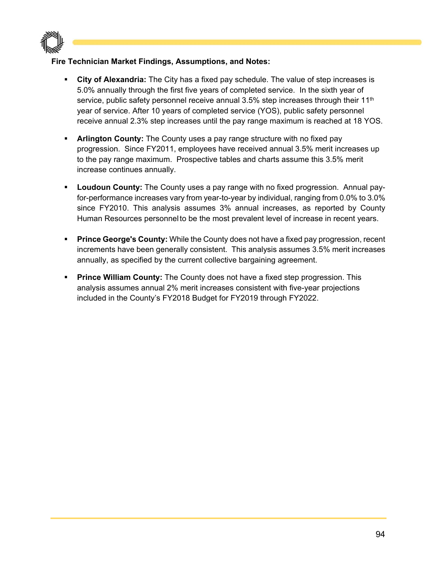

#### **Fire Technician Market Findings, Assumptions, and Notes:**

- **City of Alexandria:** The City has a fixed pay schedule. The value of step increases is 5.0% annually through the first five years of completed service. In the sixth year of service, public safety personnel receive annual  $3.5\%$  step increases through their  $11<sup>th</sup>$ year of service. After 10 years of completed service (YOS), public safety personnel receive annual 2.3% step increases until the pay range maximum is reached at 18 YOS.
- **Arlington County:** The County uses a pay range structure with no fixed pay progression. Since FY2011, employees have received annual 3.5% merit increases up to the pay range maximum. Prospective tables and charts assume this 3.5% merit increase continues annually.
- **Loudoun County:** The County uses a pay range with no fixed progression. Annual payfor-performance increases vary from year-to-year by individual, ranging from 0.0% to 3.0% since FY2010. This analysis assumes 3% annual increases, as reported by County Human Resources personnel to be the most prevalent level of increase in recent years.
- **Prince George's County:** While the County does not have a fixed pay progression, recent increments have been generally consistent. This analysis assumes 3.5% merit increases annually, as specified by the current collective bargaining agreement.
- **Prince William County:** The County does not have a fixed step progression. This analysis assumes annual 2% merit increases consistent with five-year projections included in the County's FY2018 Budget for FY2019 through FY2022.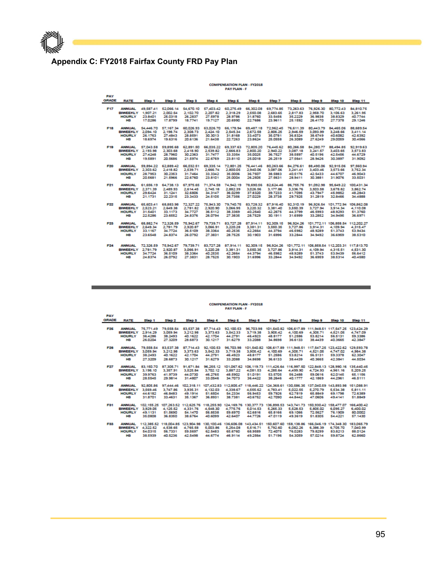# $\mathbb P$  and the set of  $\mathbb P$

## **Appendix C: FY2018 Fairfax County FRD Pay Plan**

### COMPENSATION PLAN - FY2018<br>PAY PLAN - F

| PAY          |                             |                  |                                                                                                                      |           |                                                                                                      |          |                    |                     |                                                                                     |                    |                     |                |
|--------------|-----------------------------|------------------|----------------------------------------------------------------------------------------------------------------------|-----------|------------------------------------------------------------------------------------------------------|----------|--------------------|---------------------|-------------------------------------------------------------------------------------|--------------------|---------------------|----------------|
| <b>GRADE</b> | <b>RATE</b>                 | Step 1           | Stop 2                                                                                                               | Stop 3    | Stop 4                                                                                               | Stop 6   | Step 6             | Step 7              | Step 8                                                                              | Step 9             | Step 10             | Step 11        |
| F17          | <b>ANNUAL</b>               | 49.587.41        |                                                                                                                      |           | 52,066.14 54,670.10 57,403,42 60,275,49 66,302,08 69,774,85 73,263,63 76,926,30 80,772,43            |          |                    |                     |                                                                                     |                    |                     | 84.810.75      |
|              | BIWEEKLY 1,907.21           |                  | 2,002.54                                                                                                             | 2.102.70  | 2,207.82                                                                                             | 2.318.29 | 2,550.08           | 2,683.65            | 2.817.83                                                                            | 2.958.70           | 3.106.63            | 3.261.95       |
|              | <b>HOURLY</b>               | 23,8401          | 25.0318                                                                                                              | 26,2837   | 27.5978                                                                                              | 28.9786  | 31,8760            | 33,5456             | 352229                                                                              | 36,9838            | 38.8329             | 40.7744        |
|              | HS.                         | 17,0286          | 17,8799                                                                                                              | 18.7741   | 19.7127                                                                                              | 20,6990  | 227686             | 23.9611             | 25.1592                                                                             | 26,4170            | 27.7378             | 29.1246        |
| F18          |                             |                  | ANNUAL 54,446,70 57,167,34 60,026,93 63,026,70 66,178,94 69,487,18 72,962,45 76,611,39 80,443,79 84,465,06           |           |                                                                                                      |          |                    |                     |                                                                                     |                    |                     | 88.689.54      |
|              | BIWEEKLY 2.094.10           |                  | 2.198.74                                                                                                             | 2,308.73  | 2.424.10                                                                                             | 2.545.34 | 2.672.58           | 2,806.25            | 2.946.59                                                                            | 3.093.99           | 3.248.66            | 3.411.14       |
|              | <b>HOURLY</b>               | 26.1763          | 27,4843                                                                                                              | 28,8591   | 30.3013                                                                                              | 31,8168  | 33,4073            | 35,0781             | 36.8324                                                                             | 38.6749            | 40,6082             | 42,6392        |
|              | H3                          | 18.6974          | 19.6316                                                                                                              | 20.6136   | 21.6438                                                                                              | 22,7263  | 23.8624            | 25,0558             | 26,3089                                                                             | 27.6249            | 29.0059             | 30,4566        |
| F19          |                             | ANNUAL 57.043.58 |                                                                                                                      |           | 59,895,68 62,891,50 66,035,22 69,337,63 72,805,20 76,445,62 80,266,58                                |          |                    |                     |                                                                                     |                    | 84.280.77 88.494.85 | 92,919.63      |
|              | BIWEEKLY 2.193.98           |                  | 2,303.68                                                                                                             | 2,418.90  | 2,539.82                                                                                             | 2,666.83 | 2,800.20           | 2.940.22            | 3,087.18                                                                            | 3.241.57           | 3,403.65            | 3.573.83       |
|              | <b>HOURLY</b>               | 27,4248          | 28,7960                                                                                                              | 30.2363   | 31.7477                                                                                              | 33.3354  | 35,0025            | 36,7527             | 38.5897                                                                             | 40.5196            | 425456              | 44,6729        |
|              | <b>H3</b>                   | 19,5891          | 20,5686                                                                                                              | 21,5974   | 22,6769                                                                                              | 23,8110  | 25,0018            | 26,2519             | 27,5641                                                                             | 28.9426            | 30.3897             | 31,9092        |
| F20          |                             |                  | ANNUAL 59,894.22 62,889.42 66,032.51 69,335.14 72,801.25 76,441.46 80,263.66 84,276.61 88,490.06 92,915.06 97,560.94 |           |                                                                                                      |          |                    |                     |                                                                                     |                    |                     |                |
|              | BIWEEKLY 2.303.62           |                  | 2,418.82                                                                                                             | 2.539.71  | 2,666.74                                                                                             | 2,800.05 | 2,940.06           | 3,087.06            | 3.241.41                                                                            | 3,403,46           | 3,573.66            | 3.752.34       |
|              | <b>HOURLY</b>               | 28,7953          | 30.2353                                                                                                              | 31,7464   | 33.3342                                                                                              | 35,0006  | 36,7507            | 38,5883             | 40.5176                                                                             | 425433             | 44.6707             | <b>46,9643</b> |
|              | HS.                         | 20,5681          | 21,5966                                                                                                              | 22,6760   | 23,8101                                                                                              | 25,0004  | 26,2505            | 27.5631             | 28,9411                                                                             | 30.3881            | 31.9076             | 33,5031        |
| F21          | <b>ANNUAL</b>               | 61,656.19        |                                                                                                                      |           | 64.738.13 67.975.65 71.374.58 74.942.19 78.690.56 82.624.46 86.755.76 91.092.98 95.649.22 100.431.34 |          |                    |                     |                                                                                     |                    |                     |                |
|              | BIWEEKLY 2.371.39           |                  | 2,489.93                                                                                                             | 2.614.45  | 2.745.18                                                                                             | 2,882.39 | 3.026.56           | 3.177.86            | 3,336.76                                                                            | 3.503.58           | 3.678.82            | 3.862.74       |
|              | <b>HOURLY</b>               | 29.6424          | 31.1241                                                                                                              | 32 6806   | 34.3147                                                                                              | 36.0299  | 37,8320            | 39,7233             | 41,7095                                                                             | 43,7947            | 45,9852             | 48,2843        |
|              | <b>H3</b>                   | 21.1731          | 22.2315                                                                                                              | 23.3433   | 24.5105                                                                                              | 25.7356  | 27.0229            | 28.3738             | 29.7925                                                                             | 31.2819            | 328466              | 34,4888        |
| F22          | <b>ANNUAL</b>               |                  | 65.603.41 68.883.98 72.327.22 75.943.30 79.740.75 83.728.32 87.916.40 92.310.19 96.926.54 101.772.94 106.862.08      |           |                                                                                                      |          |                    |                     |                                                                                     |                    |                     |                |
|              | BIWEEKLY 2,523.21           |                  | 2,649.38                                                                                                             | 2,781.82  | 2,920.90                                                                                             | 3.066.95 | 3,220.32           | 3.381.40            | 3,550.39                                                                            |                    | 3,727.94 3,914.34   | 4,110.08       |
|              | <b>HOURLY</b>               | 31,5401          | 33.1173                                                                                                              | 34,7727   | 36.5112                                                                                              | 38,3369  | 40.2540            | 42,2675             | 44.3799                                                                             | 46,5993            | 48,9293             | 51.3760        |
|              | H3                          | 225286           | 23,6552                                                                                                              | 24,8376   | 26.0794                                                                                              | 27.3835  | 28,7529            | 30.1911             | 31,6999                                                                             | 33,2852            | 34,9495             | 36,6971        |
| F23          | <b>ANNUAL</b>               | 68.882.74        |                                                                                                                      |           | 72.326.59 75.942.67 79.739.71                                                                        |          |                    |                     | 83,727,28 87,914.11 92,309.15 96,924.26 101,772.11 106,858.54 112,202.27            |                    |                     |                |
|              | BIWEEKLY 2.649.34           |                  | 2.781.79                                                                                                             | 2.920.87  | 3.066.91                                                                                             | 3.220.28 | 3.381.31           | 3.550.35            | 3,727,86                                                                            | 3.914.31           | 4.109.94            | 4.315.47       |
|              | <b>HOURLY</b>               | 33.1167          | 34,7724                                                                                                              | 36,5109   | 38.3364                                                                                              | 40.2535  | 42,2664            | 44.3794             | 46,5982                                                                             | 48,9289            | 51.3743             | 53,9434        |
|              | H3                          | 23,6548          | 24,8374                                                                                                              | 26.0792   | 27.3831                                                                                              | 28.7525  | 30.1903            | 31,6996             | 33.2844                                                                             | 34,9492            | 36.6959             | 38,5310        |
| F24          | <b>ANNUAL</b>               | 72.326.59        | 75,942.67                                                                                                            | 79.739.71 |                                                                                                      |          |                    |                     | 83.727.28 87.914.11 92.309.15 96.924.26 101.772.11 106.858.54 112.203.31 117.813.70 |                    |                     |                |
|              | BIWEEKLY 2.781.79           |                  |                                                                                                                      | 3.066.91  | 3.220.28                                                                                             | 3.381.31 | 3.550.35           |                     |                                                                                     |                    |                     |                |
|              |                             |                  | 2,920.87                                                                                                             |           |                                                                                                      |          |                    | 3,727.86<br>46,5982 | 3.914.31                                                                            | 4,109.94           | 4.315.51            | 4.531.30       |
|              | <b>HOURLY</b><br><b>HER</b> | 34,7724          | 36,5109                                                                                                              | 38.3364   | 40.2535<br>28.7525                                                                                   | 42,2664  | 44.3794<br>31.6996 | 33,2844             | 48.9289<br>34,9492                                                                  | 51.3743<br>36,6959 | 53.9439             | 56,6412        |
|              |                             | 24.8374          | 26.0792                                                                                                              | 27,3831   |                                                                                                      | 30.1903  |                    |                     |                                                                                     |                    | 38.5314             | 40,4580        |

#### COMPENSATION PLAN - FY2018<br>PAY PLAN - F

| PAY          |                          |           |           |           |                                                                                                               |           |           |                                                                              |                                                        |                 |          |            |
|--------------|--------------------------|-----------|-----------|-----------|---------------------------------------------------------------------------------------------------------------|-----------|-----------|------------------------------------------------------------------------------|--------------------------------------------------------|-----------------|----------|------------|
| <b>GRADE</b> | <b>RATE</b>              | Stop 1    | Stop 2    | Stop 3    | Stop 4                                                                                                        | Stop 5    | Step 6    | Step 7                                                                       | Step 8                                                 | Stop 9          | Step 10  | Stop 11    |
|              |                          |           |           |           |                                                                                                               |           |           |                                                                              |                                                        |                 |          |            |
| 1-25         | <b>ANNUAL</b>            | 75,771,49 | 79,558,54 | 83.537.38 | 87.714.43                                                                                                     | 92.100.53 | 96.703.98 |                                                                              | 101.540.82 106.617.89 111.948.51 117.547.25 123.424.29 |                 |          |            |
|              | <b>BIWEEKLY</b>          | 2,914.29  | 3.059.94  | 3.212.98  | 3.373.63                                                                                                      | 3.542.33  | 3.719.38  | 3.905.42                                                                     | 4.100.69                                               | 4.305.71        | 4.521.05 | 4.747.09   |
|              | <b>HOURLY</b>            | 36.4286   | 38,2493   | 40.1622   | 42.1704                                                                                                       | 44.2791   | 46,4923   | 48.8177                                                                      | 51,2586                                                | 53.8214         | 56,5131  | 59.3386    |
|              | H3.                      | 26,0204   | 27,3209   | 28,6873   | 30.1217                                                                                                       | 31.6279   | 33,2088   | 34.9698                                                                      |                                                        | 36.6133 38.4439 | 40.3665  | 42.3847    |
| F28          | <b>ANNUAL</b>            | 79,558,54 | 83,537,38 | 87.714.43 | 92.100.53                                                                                                     | 96,703,98 |           | 101.540.82 106.617.89 111.948.51 117.547.25 123.422.62 129.593.78            |                                                        |                 |          |            |
|              | <b>BIWEEKLY</b>          | 3.059.94  | 3.212.98  | 3.373.63  | 3.542.33                                                                                                      | 3,719.38  | 3,905.42  | 4,100.69                                                                     | 4.305.71                                               | 4.521.05        | 4,747.02 | 4.984.38   |
|              | <b>HOURLY</b>            | 38.2493   | 40.1622   | 42.1704   | 44.2791                                                                                                       | 46,4923   | 48.8177   | 51.2586                                                                      | 53.8214                                                | 56.5131         | 59.3378  | 62.3047    |
|              | HS.                      | 27.3209   | 28,6873   | 30.1217   | 31,6279                                                                                                       | 33,2088   | 34,8698   | 36,6133                                                                      | 38,4439                                                | 403665          | 42,3841  | 44,5034    |
|              | <b>ANNUAL</b>            |           |           |           |                                                                                                               |           |           |                                                                              |                                                        |                 |          |            |
| F27          | <b>BIWEEKLY</b>          | 83,150.70 | 87,305.71 | 91.671.84 | 96.255.12                                                                                                     |           |           | 101.067.62 106.119.73 111.426.64 116.997.50 122.848.13 128.990.16 135.440.45 |                                                        |                 |          |            |
|              |                          | 3,198.10  | 3,357.91  | 3.525.84  | 3,702.12                                                                                                      | 3,887.22  | 4,081.53  | 4,285.64                                                                     | 4,499.90                                               | 4,724.93        | 4,961.16 | 5,209.25   |
|              | <b>HOURLY</b>            | 39.9763   | 41,9739   | 44,0730   | 46,2765                                                                                                       | 48,5902   | 51,0191   | 53,5705                                                                      | 56,2488                                                | 59.0616         | 62.0145  | 65.1156    |
|              | <b>H3</b>                | 28.5545   | 29.9814   | 31,4807   | 33.0546                                                                                                       | 34,7073   | 36.4422   | 38,2646                                                                      | 40.1777                                                | 42.1969         | 44.2961  | 46,5111    |
| F29          | <b>ANNUAL</b>            | 92,805.86 | 97,444.46 |           | 102.318.11 107.432.83 112.805.47 118.446.22 124.368.61 130.586.35 137.040.59 143.893.98                       |           |           |                                                                              |                                                        |                 |          | 151,088.91 |
|              | <b>BIWEEKLY</b>          | 3,569,46  | 3.747.86  | 3.935.31  | 4.132.03                                                                                                      | 4.338.67  | 4,555,62  | 4.783.41                                                                     | 5.022.55                                               | 5.270.79        | 5.534.38 | 5.811.11   |
|              | <b>HOURLY</b>            | 44.6182   | 46.8483   | 49.1914   | 51,6504                                                                                                       | 54.2334   | 56,9453   | 59,7926                                                                      | 62.7819                                                | 65,8849         | 69.1798  | 72,6389    |
|              | H3                       | 31,8701   | 33,4631   | 35.1367   | 36.8931                                                                                                       | 38.7381   | 40.6752   | 42,7090                                                                      | 44,8442                                                | 47,0606         | 49.4141  | 51,8849    |
| F31          | <b>ANNUAL</b>            |           |           |           | 102.155.25 107.263.52 112.625.76 118.255.90 124.169.76 130.377.73 136.898.53 143.741.73 150.930.42 158.477.07 |           |           |                                                                              |                                                        |                 |          | 166,400,42 |
|              | <b>BIWEEKLY</b>          | 3.929.05  | 4.125.52  | 4.331.76  | 4,548.30                                                                                                      | 4.775.76  | 5.014.53  | 5.265.33                                                                     | 5.528.53                                               | 5,805.02        | 6.095.27 | 6,400.02   |
|              | <b>HOURLY</b>            | 49.1131   | 51,5690   | 54.1470   | 56,8538                                                                                                       | 59,6970   | 62,6816   | 65,8166                                                                      | 69.1066                                                | 72.5627         | 76,1909  | 80,0002    |
|              | HS.                      | 35,0808   | 36,8350   | 38.6764   | 40,6099                                                                                                       | 42,6407   | 44.7726   | 47.0119                                                                      | 49.3619                                                | 51.8305         | 54.4221  | 57.1430    |
| F33          | <b>ANNUAL</b>            |           |           |           | 112.385.52 118.004.85 123.904.98 130.100.46 136.606.08 143.434.51 150.607.60 158.138.86 166.046.19 174.348.30 |           |           |                                                                              |                                                        |                 |          | 183,065.79 |
|              | <b>BIWEEKLY 4.322.52</b> |           | 4,538.65  | 4.765.58  | 5.003.86                                                                                                      | 5.254.08  | 5.516.71  | 5.792.60                                                                     | 6,082.26                                               | 6,386,39        | 6.705.70 | 7.040.99   |
|              | <b>HOURLY</b>            | 54.0315   | 56.7331   | 59,5697   | 62,5483                                                                                                       | 65,6760   | 68,9589   | 72,4075                                                                      | 76.0283                                                | 79.8299         | 83,8213  | 88.0124    |
|              |                          |           |           |           |                                                                                                               |           |           |                                                                              |                                                        |                 |          |            |
|              | HS.                      | 38,5939   | 40,5236   | 42,5498   | 44.6774                                                                                                       | 46.9114   | 49.2564   | 51.7196                                                                      | 54,3059                                                | 57,0214         | 59.8724  | 628660     |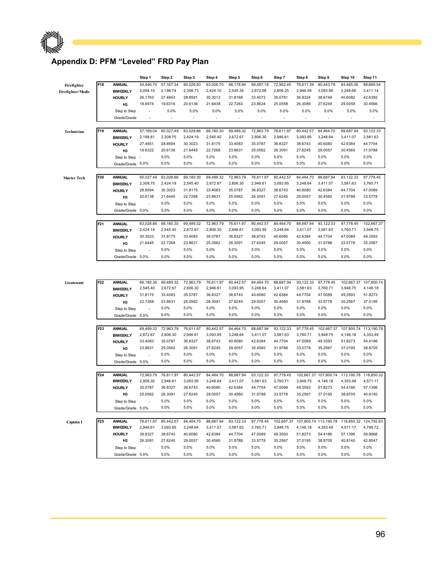### **Appendix D: PFM "Leveled" FRD Pay Plan**

 $\mathbb P$  and the set of  $\mathbb P$ 

|                    |                 |                                  | Step 1         | Step 2                   | Step 3                   | Step 4    | Step 5    | Step 6    | Step 7     | Step 8    | Step 9                | Step 10               | Step 11    |
|--------------------|-----------------|----------------------------------|----------------|--------------------------|--------------------------|-----------|-----------|-----------|------------|-----------|-----------------------|-----------------------|------------|
| Firefighter        | F18             | <b>ANNUAL</b>                    | 54,446.70      | 57,167.34                | 60,026.93                | 63,026.70 | 66,178.94 | 69,487.18 | 72,962.45  | 76,611.39 | 80,443.79             | 84,465.06             | 88,689.54  |
| Firefighter/Medic  |                 | <b>BIWEEKLY</b>                  | 2,094.10       | 2,198.74                 | 2,308.73                 | 2,424.10  | 2,545.34  | 2,672.58  | 2,806.25   | 2,946.59  | 3,093.99              | 3,248.66              | 3,411.14   |
|                    |                 | <b>HOURLY</b>                    | 26.1763        | 27.4843                  | 28.8591                  | 30.3013   | 31.8168   | 33.4073   | 35.0781    | 36.8324   | 38.6749               | 40.6082               | 42.6392    |
|                    |                 | H <sub>3</sub>                   | 18.6974        | 19.6316                  | 20.6136                  | 21.6438   | 22.7263   | 23.8624   | 25.0558    | 26.3089   | 27.6249               | 29.0059               | 30.4566    |
|                    |                 | Step to Step                     | L,             | 5.0%                     | 5.0%                     | 5.0%      | 5.0%      | 5.0%      | 5.0%       | 5.0%      | 5.0%                  | 5.0%                  | 5.0%       |
|                    |                 | Grade/Grade                      | ÷              | $\overline{\phantom{a}}$ | $\overline{\phantom{a}}$ |           |           | -         |            | ٠         |                       |                       |            |
| Technician         | F19             | <b>ANNUAL</b>                    | 57,169.04      | 60,027.49                | 63,028.86                | 66,180.30 | 69,489.32 | 72,963.79 | 76,611.97  | 80,442.57 | 84,464.70             | 88,687.94             | 93,122.33  |
|                    |                 | <b>BIWEEKLY</b>                  | 2,198.81       | 2,308.75                 | 2,424.19                 | 2,545.40  | 2,672.67  | 2,806.30  | 2,946.61   | 3,093.95  | 3,248.64              | 3,411.07              | 3,581.63   |
|                    |                 | <b>HOURLY</b>                    | 27.4851        | 28.8594                  | 30.3023                  | 31.8175   | 33.4083   | 35.0787   | 36.8327    | 38.6743   | 40.6080               | 42.6384               | 44.7704    |
|                    |                 | H <sub>3</sub>                   | 19.6322        | 20.6138                  | 21.6445                  | 22.7268   | 23.8631   | 25.0562   | 26.3091    | 27.6245   | 29.0057               | 30.4560               | 31.9788    |
|                    |                 | Step to Step                     |                | 5.0%                     | 5.0%                     | 5.0%      | 5.0%      | 5.0%      | 5.0%       | 5.0%      | 5.0%                  | 5.0%                  | 5.0%       |
|                    |                 | Grade/Grade 5.0%                 |                | 5.0%                     | 5.0%                     | 5.0%      | 5.0%      | 5.0%      | 5.0%       | 5.0%      | 5.0%                  | 5.0%                  | 5.0%       |
|                    |                 |                                  |                |                          |                          |           |           |           |            |           |                       |                       |            |
| <b>Master Tech</b> | F20             | <b>ANNUAL</b>                    | 60,027.49      | 63,028.86                | 66,180.30                | 69,489.32 | 72,963.79 | 76,611.97 | 80,442.57  | 84,464.70 | 88,687.94             | 93,122.33             | 97,778.45  |
|                    |                 | <b>BIWEEKLY</b>                  | 2,308.75       | 2,424.19                 | 2,545.40                 | 2,672.67  | 2,806.30  | 2,946.61  | 3,093.95   | 3,248.64  | 3,411.07              | 3,581.63              | 3,760.71   |
|                    |                 | <b>HOURLY</b>                    | 28.8594        | 30.3023                  | 31.8175                  | 33.4083   | 35.0787   | 36.8327   | 38.6743    | 40.6080   | 42.6384               | 44.7704               | 47.0089    |
|                    |                 | H <sub>3</sub>                   | 20.6138        | 21.6445                  | 22.7268                  | 23.8631   | 25.0562   | 26.3091   | 27.6245    | 29.0057   | 30.4560               | 31.9788               | 33.5778    |
|                    |                 | Step to Step                     | $\overline{a}$ | 5.0%                     | 5.0%                     | 5.0%      | 5.0%      | 5.0%      | 5.0%       | 5.0%      | 5.0%                  | 5.0%                  | 5.0%       |
|                    |                 | Grade/Grade 5.0%                 |                | 5.0%                     | 5.0%                     | 5.0%      | 5.0%      | 5.0%      | 5.0%       | 5.0%      | 5.0%                  | 5.0%                  | 5.0%       |
|                    | F21             | <b>ANNUAL</b>                    | 63,028.86      | 66,180.30                | 69,489.32                | 72,963.79 | 76,611.97 | 80,442.57 | 84,464.70  | 88,687.94 | 93,122.33             | 97,778.45             | 102,667.37 |
|                    |                 | <b>BIWEEKLY</b>                  | 2,424.19       | 2,545.40                 | 2,672.67                 | 2,806.30  | 2,946.61  | 3,093.95  | 3,248.64   | 3,411.07  | 3,581.63              | 3,760.71              | 3,948.75   |
|                    |                 | <b>HOURLY</b>                    | 30.3023        | 31.8175                  | 33.4083                  | 35.0787   | 36.8327   | 38.6743   | 40.6080    | 42.6384   | 44.7704               | 47.0089               | 49.3593    |
|                    |                 | H3                               | 21.6445        | 22.7268                  | 23.8631                  | 25.0562   | 26.3091   | 27.6245   | 29.0057    | 30.4560   | 31.9788               | 33.5778               | 35.2567    |
|                    |                 | Step to Step                     | $\overline{a}$ | 5.0%                     | 5.0%                     | 5.0%      | 5.0%      | 5.0%      | 5.0%       | 5.0%      | 5.0%                  | 5.0%                  | 5.0%       |
|                    |                 | Grade/Grade 5.0%                 |                | 5.0%                     | 5.0%                     | 5.0%      | 5.0%      | 5.0%      | 5.0%       | 5.0%      | 5.0%                  | 5.0%                  | 5.0%       |
| Lieutenant         | F22             | <b>ANNUAL</b>                    | 66,180.30      | 69,489.32                | 72,963.79                | 76,611.97 | 80,442.57 | 84,464.70 | 88,687.94  | 93,122.33 | 97,778.45             | 102,667.37            | 107,800.74 |
|                    |                 | <b>BIWEEKLY</b>                  | 2,545.40       | 2,672.67                 | 2,806.30                 | 2,946.61  | 3,093.95  | 3,248.64  | 3,411.07   | 3,581.63  | 3,760.71              | 3,948.75              | 4,146.18   |
|                    |                 | <b>HOURLY</b>                    | 31.8175        | 33.4083                  | 35.0787                  | 36.8327   | 38.6743   | 40.6080   | 42.6384    | 44.7704   | 47.0089               | 49.3593               | 51.8273    |
|                    |                 | H <sub>3</sub>                   | 22.7268        | 23.8631                  | 25.0562                  | 26.3091   | 27.6245   | 29.0057   | 30.4560    | 31.9788   | 33.5778               | 35.2567               | 37.0195    |
|                    |                 | Step to Step                     | ÷              | 5.0%                     | 5.0%                     | 5.0%      | 5.0%      | 5.0%      | 5.0%       | 5.0%      | 5.0%                  | 5.0%                  | 5.0%       |
|                    |                 | Grade/Grade                      | 5.0%           | 5.0%                     | 5.0%                     | 5.0%      | 5.0%      | 5.0%      | 5.0%       | 5.0%      | 5.0%                  | 5.0%                  | 5.0%       |
|                    | F23             | <b>ANNUAL</b>                    | 69,489.32      | 72,963.79                | 76,611.97                | 80,442.57 | 84,464.70 | 88,687.94 | 93,122.33  | 97,778.45 | 102,667.37            | 107,800.74            | 113,190.78 |
|                    |                 | <b>BIWEEKLY</b>                  | 2,672.67       | 2,806.30                 | 2,946.61                 | 3,093.95  | 3,248.64  | 3,411.07  | 3,581.63   | 3,760.71  | 3,948.75              | 4,146.18              | 4,353.49   |
|                    |                 | <b>HOURLY</b>                    | 33.4083        | 35.0787                  | 36.8327                  | 38.6743   | 40.6080   | 42.6384   | 44.7704    | 47.0089   | 49.3593               | 51.8273               | 54.4186    |
|                    |                 | H <sub>3</sub>                   | 23.8631        | 25.0562                  | 26.3091                  | 27.6245   | 29.0057   | 30.4560   | 31.9788    | 33.5778   | 35.2567               | 37.0195               | 38.8705    |
|                    |                 | Step to Step                     |                | 5.0%                     | 5.0%                     | 5.0%      | 5.0%      | 5.0%      | 5.0%       | 5.0%      | 5.0%                  | 5.0%                  | 5.0%       |
|                    |                 | Grade/Grade 5.0%                 |                | 5.0%                     | 5.0%                     | 5.0%      | 5.0%      | 5.0%      | 5.0%       | 5.0%      | 5.0%                  | 5.0%                  | 5.0%       |
|                    | F <sub>24</sub> |                                  | 72,963.79      | 76,611.97                | 80,442.57                | 84,464.70 | 88,687.94 | 93,122.33 | 97,778.45  |           | 102,667.37 107,800.74 | 113,190.78            | 118,850.32 |
|                    |                 | <b>ANNUAL</b><br><b>BIWEEKLY</b> | 2,806.30       | 2,946.61                 | 3,093.95                 | 3,248.64  | 3,411.07  | 3,581.63  | 3,760.71   | 3,948.75  | 4,146.18              | 4,353.49              | 4,571.17   |
|                    |                 | <b>HOURLY</b>                    | 35.0787        | 36.8327                  | 38.6743                  | 40.6080   | 42.6384   | 44.7704   | 47.0089    | 49.3593   | 51.8273               | 54.4186               | 57.1396    |
|                    |                 | H <sub>3</sub>                   | 25.0562        | 26.3091                  | 27.6245                  | 29.0057   | 30.4560   | 31.9788   | 33.5778    | 35.2567   | 37.0195               | 38.8705               | 40.8140    |
|                    |                 | Step to Step                     |                | 5.0%                     | 5.0%                     | 5.0%      | 5.0%      | 5.0%      | 5.0%       | 5.0%      | 5.0%                  | 5.0%                  | 5.0%       |
|                    |                 | Grade/Grade 5.0%                 |                | 5.0%                     | 5.0%                     | 5.0%      | 5.0%      | 5.0%      | 5.0%       | 5.0%      | 5.0%                  | 5.0%                  | 5.0%       |
|                    |                 |                                  |                |                          |                          |           |           |           |            |           |                       |                       |            |
| Captain I          | F <sub>25</sub> | <b>ANNUAL</b>                    | 76,611.97      | 80,442.57                | 84,464.70                | 88,687.94 | 93,122.33 | 97,778.45 | 102,667.37 |           | 107,800.74 113,190.78 | 118,850.32 124,792.83 |            |
|                    |                 | <b>BIWEEKLY</b>                  | 2,946.61       | 3,093.95                 | 3,248.64                 | 3,411.07  | 3,581.63  | 3,760.71  | 3,948.75   | 4,146.18  | 4,353.49              | 4,571.17              | 4,799.72   |
|                    |                 | <b>HOURLY</b>                    | 36.8327        | 38.6743                  | 40.6080                  | 42.6384   | 44.7704   | 47.0089   | 49.3593    | 51.8273   | 54.4186               | 57.1396               | 59.9966    |
|                    |                 | H <sub>3</sub>                   | 26.3091        | 27.6245                  | 29.0057                  | 30.4560   | 31.9788   | 33.5778   | 35.2567    | 37.0195   | 38.8705               | 40.8140               | 42.8547    |
|                    |                 | Step to Step                     |                | 5.0%                     | 5.0%                     | 5.0%      | 5.0%      | 5.0%      | 5.0%       | 5.0%      | 5.0%                  | 5.0%                  | 5.0%       |

Grade/Grade 5.0% 5.0% 5.0% 5.0% 5.0% 5.0% 5.0% 5.0% 5.0% 5.0% 5.0%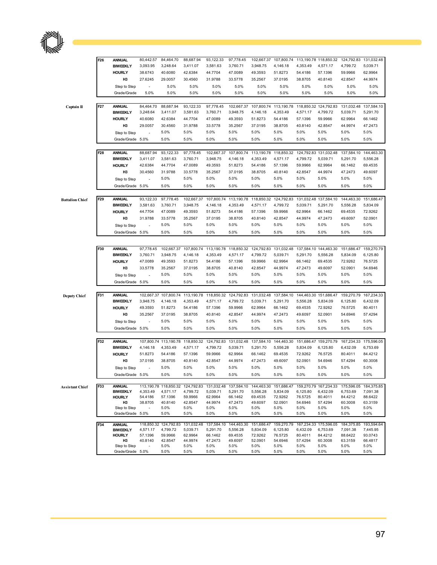|                        | F26             | <b>ANNUAL</b>                    | 80,442.57                | 84,464.70             | 88,687.94           | 93,122.33           | 97,778.45           | 102,667.37                                                                                         | 107,800.74          |                       | 113,190.78 118,850.32 | 124,792.83                                                                                                               | 131,032.48          |
|------------------------|-----------------|----------------------------------|--------------------------|-----------------------|---------------------|---------------------|---------------------|----------------------------------------------------------------------------------------------------|---------------------|-----------------------|-----------------------|--------------------------------------------------------------------------------------------------------------------------|---------------------|
|                        |                 | <b>BIWEEKLY</b><br><b>HOURLY</b> | 3,093.95<br>38.6743      | 3,248.64<br>40.6080   | 3,411.07<br>42.6384 | 3,581.63<br>44.7704 | 3,760.71<br>47.0089 | 3,948.75<br>49.3593                                                                                | 4,146.18<br>51.8273 | 4,353.49<br>54.4186   | 4,571.17<br>57.1396   | 4,799.72<br>59.9966                                                                                                      | 5,039.71<br>62.9964 |
|                        |                 | H3                               | 27.6245                  | 29.0057               | 30.4560             | 31.9788             | 33.5778             | 35.2567                                                                                            | 37.0195             | 38.8705               | 40.8140               | 42.8547                                                                                                                  | 44.9974             |
|                        |                 | Step to Step                     | $\overline{a}$           | 5.0%                  | 5.0%                | 5.0%                | 5.0%                | 5.0%                                                                                               | 5.0%                | 5.0%                  | 5.0%                  | 5.0%                                                                                                                     | 5.0%                |
|                        |                 | Grade/Grade                      | 5.0%                     | 5.0%                  | 5.0%                | 5.0%                | 5.0%                | 5.0%                                                                                               | 5.0%                | 5.0%                  | 5.0%                  | 5.0%                                                                                                                     | 5.0%                |
| Captain II             | F <sub>27</sub> | <b>ANNUAL</b>                    | 84,464.70                | 88.687.94             | 93,122.33           | 97,778.45           | 102,667.37          | 107,800.74                                                                                         | 113,190.78          |                       | 118,850.32 124,792.83 | 131,032.48                                                                                                               | 137,584.10          |
|                        |                 | <b>BIWEEKLY</b>                  | 3,248.64                 | 3,411.07              | 3,581.63            | 3,760.71            | 3,948.75            | 4,146.18                                                                                           | 4,353.49            | 4,571.17              | 4,799.72              | 5,039.71                                                                                                                 | 5,291.70            |
|                        |                 | <b>HOURLY</b>                    | 40.6080                  | 42.6384               | 44.7704             | 47.0089             | 49.3593             | 51.8273                                                                                            | 54.4186             | 57.1396               | 59.9966               | 62.9964                                                                                                                  | 66.1462             |
|                        |                 | H3                               | 29.0057                  | 30.4560               | 31.9788             | 33.5778             | 35.2567             | 37.0195                                                                                            | 38.8705             | 40.8140               | 42.8547               | 44.9974                                                                                                                  | 47.2473             |
|                        |                 | Step to Step                     |                          | 5.0%                  | 5.0%                | 5.0%                | 5.0%                | 5.0%                                                                                               | 5.0%                | 5.0%                  | 5.0%                  | 5.0%                                                                                                                     | 5.0%                |
|                        |                 | Grade/Grade 5.0%                 |                          | 5.0%                  | 5.0%                | 5.0%                | 5.0%                | 5.0%                                                                                               | 5.0%                | 5.0%                  | 5.0%                  | 5.0%                                                                                                                     | 5.0%                |
|                        | F28             | <b>ANNUAL</b>                    | 88,687.94                | 93,122.33             | 97,778.45           | 102,667.37          | 107,800.74          | 113,190.78                                                                                         | 118,850.32          |                       | 124,792.83 131,032.48 | 137,584.10                                                                                                               | 144,463.30          |
|                        |                 | <b>BIWEEKLY</b>                  | 3,411.07                 | 3,581.63              | 3,760.71            | 3,948.75            | 4,146.18            | 4,353.49                                                                                           | 4,571.17            | 4,799.72              | 5,039.71              | 5,291.70                                                                                                                 | 5,556.28            |
|                        |                 | <b>HOURLY</b>                    | 42.6384                  | 44.7704               | 47.0089             | 49.3593             | 51.8273             | 54.4186                                                                                            | 57.1396             | 59.9966               | 62.9964               | 66.1462                                                                                                                  | 69.4535             |
|                        |                 | H <sub>3</sub>                   | 30.4560                  | 31.9788               | 33.5778             | 35.2567             | 37.0195             | 38.8705                                                                                            | 40.8140             | 42.8547               | 44.9974               | 47.2473                                                                                                                  | 49.6097             |
|                        |                 | Step to Step                     |                          | 5.0%                  | 5.0%                | 5.0%                | 5.0%                | 5.0%                                                                                               | 5.0%                | 5.0%                  | 5.0%                  | 5.0%                                                                                                                     | 5.0%                |
|                        |                 | Grade/Grade 5.0%                 |                          | 5.0%                  | 5.0%                | 5.0%                | 5.0%                | 5.0%                                                                                               | 5.0%                | 5.0%                  | 5.0%                  | 5.0%                                                                                                                     | 5.0%                |
| <b>Battalion Chief</b> | F <sub>29</sub> | <b>ANNUAL</b>                    | 93,122.33                | 97,778.45             | 102,667.37          | 107,800.74          | 113,190.78          | 118,850.32                                                                                         | 124,792.83          |                       | 131,032.48 137,584.10 | 144,463.30                                                                                                               | 151,686.47          |
|                        |                 | <b>BIWEEKLY</b>                  | 3,581.63                 | 3,760.71              | 3,948.75            | 4,146.18            | 4,353.49            | 4,571.17                                                                                           | 4,799.72            | 5,039.71              | 5,291.70              | 5,556.28                                                                                                                 | 5,834.09            |
|                        |                 | <b>HOURLY</b>                    | 44.7704                  | 47.0089               | 49.3593             | 51.8273             | 54.4186             | 57.1396                                                                                            | 59.9966             | 62.9964               | 66.1462               | 69.4535                                                                                                                  | 72.9262             |
|                        |                 | H3                               | 31.9788                  | 33.5778               | 35.2567             | 37.0195             | 38.8705             | 40.8140                                                                                            | 42.8547             | 44.9974               | 47.2473               | 49.6097                                                                                                                  | 52.0901             |
|                        |                 | Step to Step                     |                          | 5.0%                  | 5.0%                | 5.0%                | 5.0%                | 5.0%                                                                                               | 5.0%                | 5.0%                  | 5.0%                  | 5.0%                                                                                                                     | 5.0%                |
|                        |                 | Grade/Grade                      | 5.0%                     | 5.0%                  | 5.0%                | 5.0%                | 5.0%                | 5.0%                                                                                               | 5.0%                | 5.0%                  | 5.0%                  | 5.0%                                                                                                                     | 5.0%                |
|                        | F30             | <b>ANNUAL</b>                    | 97,778.45                | 102,667.37            | 107,800.74          | 113,190.78          | 118,850.32          | 124,792.83                                                                                         | 131,032.48          |                       | 137,584.10 144,463.30 | 151,686.47                                                                                                               | 159,270.79          |
|                        |                 | <b>BIWEEKLY</b>                  | 3,760.71                 | 3,948.75              | 4,146.18            | 4,353.49            | 4,571.17            | 4,799.72                                                                                           | 5,039.71            | 5,291.70              | 5,556.28              | 5,834.09                                                                                                                 | 6,125.80            |
|                        |                 | <b>HOURLY</b>                    | 47.0089                  | 49.3593               | 51.8273             | 54.4186             | 57.1396             | 59.9966                                                                                            | 62.9964             | 66.1462               | 69.4535               | 72.9262                                                                                                                  | 76.5725             |
|                        |                 | H3                               | 33.5778                  | 35.2567               | 37.0195             | 38.8705             | 40.8140             | 42.8547                                                                                            | 44.9974             | 47.2473               | 49.6097               | 52.0901                                                                                                                  | 54.6946             |
|                        |                 | Step to Step                     |                          | 5.0%                  | 5.0%                | 5.0%                | 5.0%                | 5.0%                                                                                               | 5.0%                | 5.0%                  | 5.0%                  | 5.0%                                                                                                                     | 5.0%                |
|                        |                 | Grade/Grade                      | 5.0%                     | 5.0%                  | 5.0%                | 5.0%                | 5.0%                | 5.0%                                                                                               | 5.0%                | 5.0%                  | 5.0%                  | 5.0%                                                                                                                     | 5.0%                |
| <b>Deputy Chief</b>    | F31             | <b>ANNUAL</b>                    |                          | 102,667.37 107,800.74 | 113,190.78          | 118,850.32          | 124,792.83          | 131,032.48                                                                                         | 137,584.10          | 144,463.30 151,686.47 |                       | 159,270.79                                                                                                               | 167,234.33          |
|                        |                 | <b>BIWEEKLY</b>                  | 3,948.75                 | 4,146.18              | 4,353.49            | 4,571.17            | 4,799.72            | 5,039.71                                                                                           | 5,291.70            | 5,556.28              | 5,834.09              | 6,125.80                                                                                                                 | 6,432.09            |
|                        |                 | <b>HOURLY</b>                    | 49.3593                  | 51.8273               | 54.4186             | 57.1396             | 59.9966             | 62.9964                                                                                            | 66.1462             | 69.4535               | 72.9262               | 76.5725                                                                                                                  | 80.4011             |
|                        |                 | H3                               | 35.2567                  | 37.0195               | 38.8705             | 40.8140             | 42.8547             | 44.9974                                                                                            | 47.2473             | 49.6097               | 52.0901               | 54.6946                                                                                                                  | 57.4294             |
|                        |                 | Step to Step<br>Grade/Grade 5.0% |                          | 5.0%<br>5.0%          | 5.0%<br>5.0%        | 5.0%<br>5.0%        | 5.0%<br>5.0%        | 5.0%<br>5.0%                                                                                       | 5.0%<br>5.0%        | 5.0%<br>5.0%          | 5.0%<br>5.0%          | 5.0%<br>5.0%                                                                                                             | 5.0%<br>5.0%        |
|                        |                 |                                  |                          |                       |                     |                     |                     |                                                                                                    |                     |                       |                       |                                                                                                                          |                     |
|                        | F32             | <b>ANNUAL</b>                    |                          | 107,800.74 113,190.78 | 118,850.32          | 124,792.83          | 131,032.48          | 137,584.10                                                                                         | 144,463.30          |                       | 151,686.47 159,270.79 | 167,234.33                                                                                                               | 175,596.05          |
|                        |                 | <b>BIWEEKLY</b>                  | 4,146.18                 | 4,353.49              | 4,571.17            | 4,799.72            | 5,039.71            | 5,291.70                                                                                           | 5,556.28            | 5,834.09              | 6,125.80              | 6,432.09                                                                                                                 | 6,753.69            |
|                        |                 | <b>HOURLY</b>                    | 51.8273                  | 54.4186               | 57.1396             | 59.9966             | 62.9964             | 66.1462                                                                                            | 69.4535             | 72.9262               | 76.5725               | 80.4011                                                                                                                  | 84.4212             |
|                        |                 | H3<br>Step to Step               | 37.0195<br>$\sim$        | 38.8705<br>5.0%       | 40.8140<br>5.0%     | 42.8547<br>5.0%     | 44.9974<br>5.0%     | 47.2473<br>5.0%                                                                                    | 49.6097<br>5.0%     | 52.0901<br>5.0%       | 54.6946<br>5.0%       | 57.4294<br>5.0%                                                                                                          | 60.3008<br>5.0%     |
|                        |                 | Grade/Grade 5.0%                 |                          | 5.0%                  | 5.0%                | 5.0%                | 5.0%                | 5.0%                                                                                               | 5.0%                | 5.0%                  | 5.0%                  | 5.0%                                                                                                                     | 5.0%                |
|                        |                 |                                  |                          |                       |                     |                     |                     |                                                                                                    |                     |                       |                       |                                                                                                                          |                     |
| <b>Assistant Chief</b> | F33             | <b>ANNUAL</b>                    |                          |                       |                     |                     |                     |                                                                                                    |                     |                       |                       | 113,190.78 118,850.32 124,792.83 131,032.48 137,584.10 144,463.30 151,686.47 159,270.79 167,234.33 175,596.05 184,375.85 |                     |
|                        |                 | <b>BIWEEKLY</b><br><b>HOURLY</b> | 4,353.49<br>54.4186      | 4,571.17<br>57.1396   | 4,799.72<br>59.9966 | 5,039.71<br>62.9964 | 5,291.70<br>66.1462 | 5,556.28<br>69.4535                                                                                | 5,834.09<br>72.9262 | 6,125.80<br>76.5725   | 6,432.09<br>80.4011   | 6,753.69<br>84.4212                                                                                                      | 7,091.38<br>88.6422 |
|                        |                 | H3                               | 38.8705                  | 40.8140               | 42.8547             | 44.9974             | 47.2473             | 49.6097                                                                                            | 52.0901             | 54.6946               | 57.4294               | 60.3008                                                                                                                  | 63.3159             |
|                        |                 | Step to Step                     | $\overline{a}$           | 5.0%                  | 5.0%                | 5.0%                | 5.0%                | 5.0%                                                                                               | 5.0%                | 5.0%                  | 5.0%                  | 5.0%                                                                                                                     | 5.0%                |
|                        |                 | Grade/Grade 5.0%                 |                          | 5.0%                  | 5.0%                | 5.0%                | 5.0%                | 5.0%                                                                                               | 5.0%                | 5.0%                  | 5.0%                  | 5.0%                                                                                                                     | 5.0%                |
|                        | F34             | <b>ANNUAL</b>                    |                          |                       |                     |                     |                     | 118,850.32 124,792.83 131,032.48 137,584.10 144,463.30 151,686.47 159,270.79 167,234.33 175,596.05 |                     |                       |                       | 184,375.85 193,594.64                                                                                                    |                     |
|                        |                 | <b>BIWEEKLY</b><br><b>HOURLY</b> | 4,571.17<br>57.1396      | 4,799.72<br>59.9966   | 5,039.71<br>62.9964 | 5,291.70<br>66.1462 | 5,556.28<br>69.4535 | 5,834.09<br>72.9262                                                                                | 6,125.80<br>76.5725 | 6,432.09<br>80.4011   | 6,753.69<br>84.4212   | 7,091.38<br>88.6422                                                                                                      | 7,445.95<br>93.0743 |
|                        |                 | H <sub>3</sub>                   | 40.8140                  | 42.8547               | 44.9974             | 47.2473             | 49.6097             | 52.0901                                                                                            | 54.6946             | 57.4294               | 60.3008               | 63.3159                                                                                                                  | 66.4817             |
|                        |                 | Step to Step                     | $\overline{\phantom{a}}$ | 5.0%                  | 5.0%                | 5.0%                | 5.0%                | 5.0%                                                                                               | 5.0%                | 5.0%                  | 5.0%                  | 5.0%                                                                                                                     | 5.0%                |
|                        |                 | Grade/Grade 5.0%                 |                          | 5.0%                  | 5.0%                | 5.0%                | 5.0%                | 5.0%                                                                                               | 5.0%                | 5.0%                  | 5.0%                  | 5.0%                                                                                                                     | 5.0%                |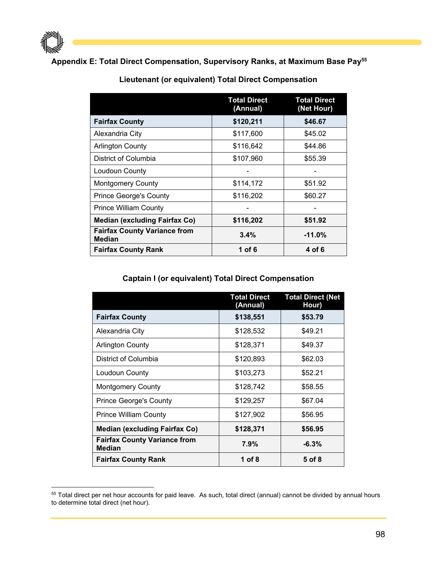

#### **Appendix E: Total Direct Compensation, Supervisory Ranks, at Maximum Base Pay55**

|                                                      | <b>Total Direct</b><br>(Annual) | <b>Total Direct</b><br>(Net Hour) |
|------------------------------------------------------|---------------------------------|-----------------------------------|
| <b>Fairfax County</b>                                | \$120,211                       | \$46.67                           |
| Alexandria City                                      | \$117,600                       | \$45.02                           |
| <b>Arlington County</b>                              | \$116,642                       | \$44.86                           |
| District of Columbia                                 | \$107,960                       | \$55.39                           |
| Loudoun County                                       |                                 |                                   |
| <b>Montgomery County</b>                             | \$114,172                       | \$51.92                           |
| <b>Prince George's County</b>                        | \$116,202                       | \$60.27                           |
| <b>Prince William County</b>                         |                                 |                                   |
| <b>Median (excluding Fairfax Co)</b>                 | \$116,202                       | \$51.92                           |
| <b>Fairfax County Variance from</b><br><b>Median</b> | 3.4%                            | $-11.0%$                          |
| <b>Fairfax County Rank</b>                           | 1 of 6                          | 4 of 6                            |

#### **Lieutenant (or equivalent) Total Direct Compensation**

#### **Captain I (or equivalent) Total Direct Compensation**

|                                                      | <b>Total Direct</b><br>(Annual) | <b>Total Direct (Net</b><br>Hour) |
|------------------------------------------------------|---------------------------------|-----------------------------------|
| <b>Fairfax County</b>                                | \$138,551                       | \$53.79                           |
| Alexandria City                                      | \$128,532                       | \$49.21                           |
| <b>Arlington County</b>                              | \$128,371                       | \$49.37                           |
| District of Columbia                                 | \$120,893                       | \$62.03                           |
| Loudoun County                                       | \$103,273                       | \$52.21                           |
| <b>Montgomery County</b>                             | \$128,742                       | \$58.55                           |
| <b>Prince George's County</b>                        | \$129,257                       | \$67.04                           |
| <b>Prince William County</b>                         | \$127,902                       | \$56.95                           |
| <b>Median (excluding Fairfax Co)</b>                 | \$128,371                       | \$56.95                           |
| <b>Fairfax County Variance from</b><br><b>Median</b> | $7.9\%$                         | $-6.3%$                           |
| <b>Fairfax County Rank</b>                           | 1 of 8                          | 5 of 8                            |

<sup>&</sup>lt;sup>55</sup> Total direct per net hour accounts for paid leave. As such, total direct (annual) cannot be divided by annual hours to determine total direct (net hour).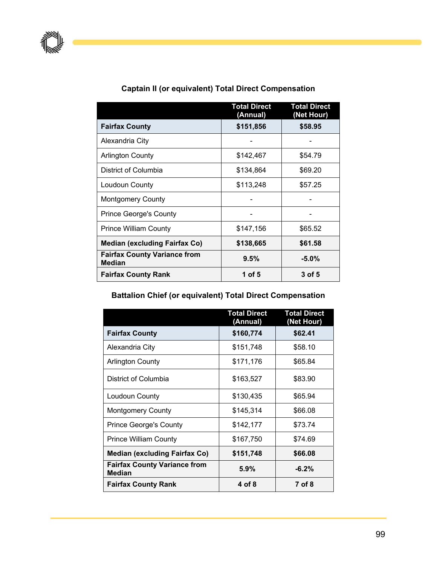|                                                      | <b>Total Direct</b><br>(Annual) | <b>Total Direct</b><br>(Net Hour) |
|------------------------------------------------------|---------------------------------|-----------------------------------|
| <b>Fairfax County</b>                                | \$151,856                       | \$58.95                           |
| Alexandria City                                      |                                 |                                   |
| <b>Arlington County</b>                              | \$142,467                       | \$54.79                           |
| District of Columbia                                 | \$134,864                       | \$69.20                           |
| Loudoun County                                       | \$113,248                       | \$57.25                           |
| <b>Montgomery County</b>                             |                                 |                                   |
| <b>Prince George's County</b>                        |                                 |                                   |
| <b>Prince William County</b>                         | \$147,156                       | \$65.52                           |
| <b>Median (excluding Fairfax Co)</b>                 | \$138,665                       | \$61.58                           |
| <b>Fairfax County Variance from</b><br><b>Median</b> | 9.5%                            | $-5.0\%$                          |
| <b>Fairfax County Rank</b>                           | 1 of 5                          | 3 of 5                            |

### **Captain II (or equivalent) Total Direct Compensation**

#### **Battalion Chief (or equivalent) Total Direct Compensation**

|                                                      | <b>Total Direct</b><br>(Annual) | <b>Total Direct</b><br>(Net Hour) |
|------------------------------------------------------|---------------------------------|-----------------------------------|
| <b>Fairfax County</b>                                | \$160,774                       | \$62.41                           |
| Alexandria City                                      | \$151,748                       | \$58.10                           |
| <b>Arlington County</b>                              | \$171,176                       | \$65.84                           |
| District of Columbia                                 | \$163,527                       | \$83.90                           |
| Loudoun County                                       | \$130,435                       | \$65.94                           |
| <b>Montgomery County</b>                             | \$145,314                       | \$66.08                           |
| <b>Prince George's County</b>                        | \$142,177                       | \$73.74                           |
| <b>Prince William County</b>                         | \$167,750                       | \$74.69                           |
| <b>Median (excluding Fairfax Co)</b>                 | \$151,748                       | \$66.08                           |
| <b>Fairfax County Variance from</b><br><b>Median</b> | 5.9%                            | $-6.2%$                           |
| <b>Fairfax County Rank</b>                           | 4 of 8                          | 7 of 8                            |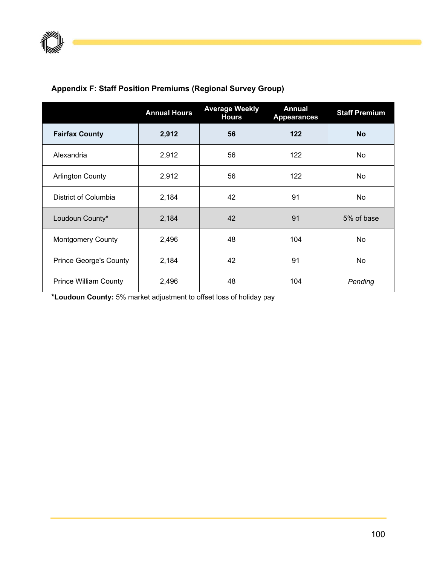## **Appendix F: Staff Position Premiums (Regional Survey Group)**

|                               | <b>Annual Hours</b> | <b>Average Weekly</b><br><b>Hours</b> | <b>Annual</b><br><b>Appearances</b> | <b>Staff Premium</b> |
|-------------------------------|---------------------|---------------------------------------|-------------------------------------|----------------------|
| <b>Fairfax County</b>         | 2,912               | 56                                    | 122                                 | <b>No</b>            |
| Alexandria                    | 2,912               | 56                                    | 122                                 | No                   |
| <b>Arlington County</b>       | 2,912               | 56                                    | 122                                 | No                   |
| District of Columbia          | 2,184               | 42                                    | 91                                  | No                   |
| Loudoun County*               | 2,184               | 42                                    | 91                                  | 5% of base           |
| <b>Montgomery County</b>      | 2,496               | 48                                    | 104                                 | No                   |
| <b>Prince George's County</b> | 2,184               | 42                                    | 91                                  | No                   |
| <b>Prince William County</b>  | 2,496               | 48                                    | 104                                 | Pending              |

**\*Loudoun County:** 5% market adjustment to offset loss of holiday pay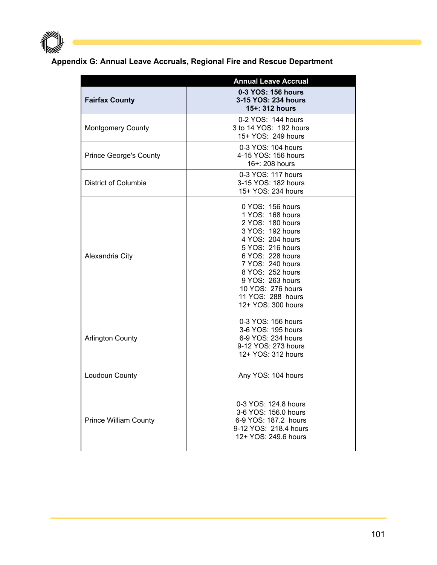

## **Appendix G: Annual Leave Accruals, Regional Fire and Rescue Department**

|                               | <b>Annual Leave Accrual</b>                                                                                                                                                                                                                                          |
|-------------------------------|----------------------------------------------------------------------------------------------------------------------------------------------------------------------------------------------------------------------------------------------------------------------|
| <b>Fairfax County</b>         | 0-3 YOS: 156 hours<br>3-15 YOS: 234 hours<br>15+: 312 hours                                                                                                                                                                                                          |
| <b>Montgomery County</b>      | 0-2 YOS: 144 hours<br>3 to 14 YOS: 192 hours<br>15+ YOS: 249 hours                                                                                                                                                                                                   |
| <b>Prince George's County</b> | 0-3 YOS: 104 hours<br>4-15 YOS: 156 hours<br>16+: 208 hours                                                                                                                                                                                                          |
| District of Columbia          | 0-3 YOS: 117 hours<br>3-15 YOS: 182 hours<br>15+ YOS: 234 hours                                                                                                                                                                                                      |
| Alexandria City               | 0 YOS: 156 hours<br>1 YOS: 168 hours<br>2 YOS: 180 hours<br>3 YOS: 192 hours<br>4 YOS: 204 hours<br>5 YOS: 216 hours<br>6 YOS: 228 hours<br>7 YOS: 240 hours<br>8 YOS: 252 hours<br>9 YOS: 263 hours<br>10 YOS: 276 hours<br>11 YOS: 288 hours<br>12+ YOS: 300 hours |
| <b>Arlington County</b>       | 0-3 YOS: 156 hours<br>3-6 YOS: 195 hours<br>6-9 YOS: 234 hours<br>9-12 YOS: 273 hours<br>12+ YOS: 312 hours                                                                                                                                                          |
| Loudoun County                | Any YOS: 104 hours                                                                                                                                                                                                                                                   |
| <b>Prince William County</b>  | 0-3 YOS: 124.8 hours<br>3-6 YOS: 156.0 hours<br>6-9 YOS: 187.2 hours<br>9-12 YOS: 218.4 hours<br>12+ YOS: 249.6 hours                                                                                                                                                |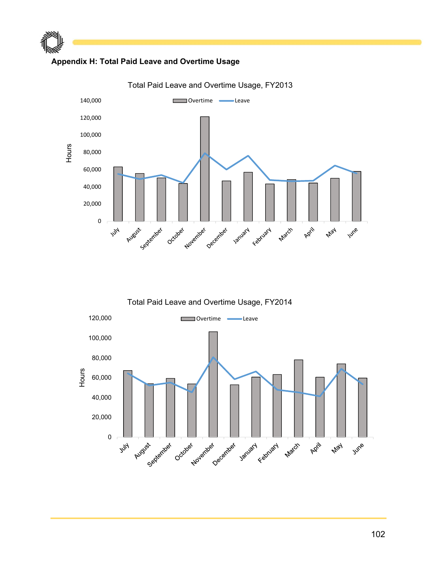

 $\mathbb P$  and the set of  $\mathbb P$ 



Total Paid Leave and Overtime Usage, FY2013



102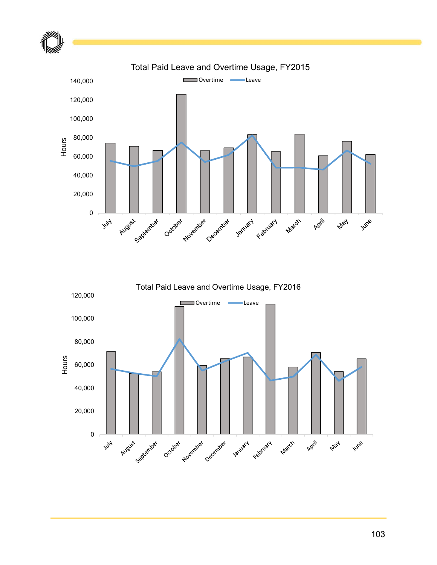

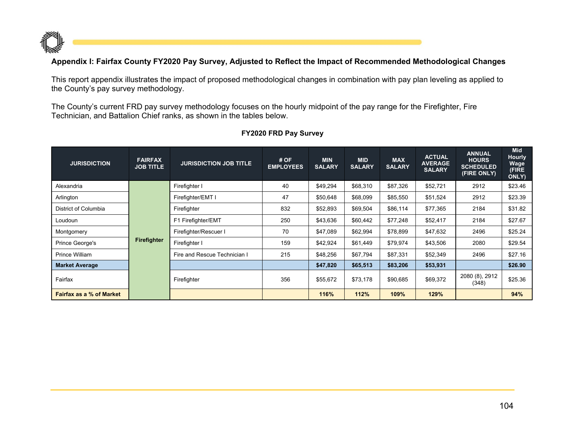

#### **Appendix I: Fairfax County FY2020 Pay Survey, Adjusted to Reflect the Impact of Recommended Methodological Changes**

This report appendix illustrates the impact of proposed methodological changes in combination with pay plan leveling as applied to the County's pay survey methodology.

The County's current FRD pay survey methodology focuses on the hourly midpoint of the pay range for the Firefighter, Fire Technician, and Battalion Chief ranks, as shown in the tables below.

| <b>JURISDICTION</b>             | <b>FAIRFAX</b><br><b>JOB TITLE</b> | <b>JURISDICTION JOB TITLE</b> | #OF<br><b>EMPLOYEES</b> | <b>MIN</b><br><b>SALARY</b> | <b>MID</b><br><b>SALARY</b> | <b>MAX</b><br><b>SALARY</b> | <b>ACTUAL</b><br><b>AVERAGE</b><br><b>SALARY</b> | <b>ANNUAL</b><br><b>HOURS</b><br><b>SCHEDULED</b><br>(FIRE ONLY) | <b>Mid</b><br><b>Hourly</b><br>Wage<br>(FIRE<br>ONLY) |
|---------------------------------|------------------------------------|-------------------------------|-------------------------|-----------------------------|-----------------------------|-----------------------------|--------------------------------------------------|------------------------------------------------------------------|-------------------------------------------------------|
| Alexandria                      |                                    | Firefighter I                 | 40                      | \$49,294                    | \$68,310                    | \$87,326                    | \$52,721                                         | 2912                                                             | \$23.46                                               |
| Arlington                       |                                    | Firefighter/EMT I             | 47                      | \$50,648                    | \$68,099                    | \$85,550                    | \$51,524                                         | 2912                                                             | \$23.39                                               |
| District of Columbia            |                                    | Firefighter                   | 832                     | \$52,893                    | \$69,504                    | \$86,114                    | \$77,365                                         | 2184                                                             | \$31.82                                               |
| Loudoun                         |                                    | F1 Firefighter/EMT            | 250                     | \$43,636                    | \$60,442                    | \$77,248                    | \$52,417                                         | 2184                                                             | \$27.67                                               |
| Montgomery                      |                                    | Firefighter/Rescuer I         | 70                      | \$47,089                    | \$62,994                    | \$78,899                    | \$47,632                                         | 2496                                                             | \$25.24                                               |
| Prince George's                 | <b>Firefighter</b>                 | Firefighter I                 | 159                     | \$42,924                    | \$61,449                    | \$79,974                    | \$43,506                                         | 2080                                                             | \$29.54                                               |
| Prince William                  |                                    | Fire and Rescue Technician I  | 215                     | \$48,256                    | \$67,794                    | \$87,331                    | \$52,349                                         | 2496                                                             | \$27.16                                               |
| <b>Market Average</b>           |                                    |                               |                         | \$47,820                    | \$65,513                    | \$83,206                    | \$53,931                                         |                                                                  | \$26.90                                               |
| Fairfax                         |                                    | Firefighter                   | 356                     | \$55,672                    | \$73,178                    | \$90,685                    | \$69,372                                         | 2080 (8), 2912<br>(348)                                          | \$25.36                                               |
| <b>Fairfax as a % of Market</b> |                                    |                               |                         | 116%                        | 112%                        | 109%                        | 129%                                             |                                                                  | 94%                                                   |

#### **FY2020 FRD Pay Survey**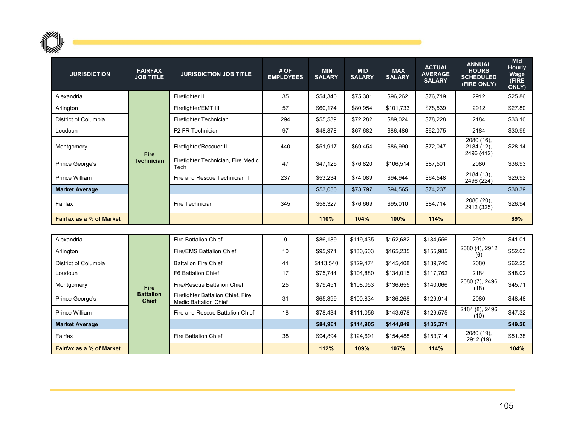

| <b>JURISDICTION</b>             | <b>FAIRFAX</b><br><b>JOB TITLE</b> | <b>JURISDICTION JOB TITLE</b>              | #OF<br><b>EMPLOYEES</b> | <b>MIN</b><br><b>SALARY</b> | <b>MID</b><br><b>SALARY</b> | <b>MAX</b><br><b>SALARY</b> | <b>ACTUAL</b><br><b>AVERAGE</b><br><b>SALARY</b> | <b>ANNUAL</b><br><b>HOURS</b><br><b>SCHEDULED</b><br>(FIRE ONLY) | <b>Mid</b><br><b>Hourly</b><br>Wage<br>(FIRE<br>ONLY) |
|---------------------------------|------------------------------------|--------------------------------------------|-------------------------|-----------------------------|-----------------------------|-----------------------------|--------------------------------------------------|------------------------------------------------------------------|-------------------------------------------------------|
| Alexandria                      |                                    | Firefighter III                            | 35                      | \$54,340                    | \$75,301                    | \$96,262                    | \$76,719                                         | 2912                                                             | \$25.86                                               |
| Arlington                       |                                    | Firefighter/EMT III                        | 57                      | \$60,174                    | \$80,954                    | \$101,733                   | \$78,539                                         | 2912                                                             | \$27.80                                               |
| District of Columbia            |                                    | Firefighter Technician                     | 294                     | \$55,539                    | \$72,282                    | \$89,024                    | \$78,228                                         | 2184                                                             | \$33.10                                               |
| Loudoun                         |                                    | F2 FR Technician                           | 97                      | \$48,878                    | \$67,682                    | \$86,486                    | \$62,075                                         | 2184                                                             | \$30.99                                               |
| Montgomery                      | <b>Fire</b>                        | Firefighter/Rescuer III                    | 440                     | \$51,917                    | \$69,454                    | \$86,990                    | \$72,047                                         | 2080 (16).<br>2184 (12),<br>2496 (412)                           | \$28.14                                               |
| Prince George's                 | <b>Technician</b>                  | Firefighter Technician, Fire Medic<br>Tech | 47                      | \$47,126                    | \$76,820                    | \$106,514                   | \$87,501                                         | 2080                                                             | \$36.93                                               |
| Prince William                  |                                    | Fire and Rescue Technician II              | 237                     | \$53,234                    | \$74,089                    | \$94,944                    | \$64,548                                         | 2184 (13),<br>2496 (224)                                         | \$29.92                                               |
| <b>Market Average</b>           |                                    |                                            |                         | \$53,030                    | \$73,797                    | \$94,565                    | \$74,237                                         |                                                                  | \$30.39                                               |
| Fairfax                         |                                    | Fire Technician                            | 345                     | \$58,327                    | \$76,669                    | \$95,010                    | \$84,714                                         | 2080 (20),<br>2912 (325)                                         | \$26.94                                               |
| <b>Fairfax as a % of Market</b> |                                    |                                            |                         | 110%                        | 104%                        | 100%                        | 114%                                             |                                                                  | 89%                                                   |
|                                 |                                    |                                            |                         |                             |                             |                             |                                                  |                                                                  |                                                       |
| Alexandria                      |                                    | <b>Fire Battalion Chief</b>                | 9                       | \$86,189                    | \$119,435                   | \$152,682                   | \$134,556                                        | 2912                                                             | \$41.01                                               |

| Alexandria                      |                                  | <b>Fire Battalion Chief</b>                                       | 9  | \$86,189  | \$119.435 | \$152,682 | \$134,556 | 2912                    | \$41.01 |
|---------------------------------|----------------------------------|-------------------------------------------------------------------|----|-----------|-----------|-----------|-----------|-------------------------|---------|
| Arlington                       |                                  | Fire/EMS Battalion Chief                                          | 10 | \$95.971  | \$130.603 | \$165.235 | \$155,985 | 2080 (4), 2912<br>(6)   | \$52.03 |
| District of Columbia            |                                  | <b>Battalion Fire Chief</b>                                       | 41 | \$113,540 | \$129,474 | \$145,408 | \$139,740 | 2080                    | \$62.25 |
| Loudoun                         |                                  | F6 Battalion Chief                                                | 17 | \$75.744  | \$104.880 | \$134,015 | \$117,762 | 2184                    | \$48.02 |
| Montgomery                      | <b>Fire</b>                      | Fire/Rescue Battalion Chief                                       | 25 | \$79,451  | \$108.053 | \$136,655 | \$140,066 | 2080 (7), 2496<br>(18)  | \$45.71 |
| Prince George's                 | <b>Battalion</b><br><b>Chief</b> | Firefighter Battalion Chief, Fire<br><b>Medic Battalion Chief</b> | 31 | \$65,399  | \$100.834 | \$136.268 | \$129,914 | 2080                    | \$48.48 |
| Prince William                  |                                  | Fire and Rescue Battalion Chief                                   | 18 | \$78.434  | \$111.056 | \$143,678 | \$129,575 | 2184 (8), 2496<br>(10)  | \$47.32 |
| <b>Market Average</b>           |                                  |                                                                   |    | \$84.961  | \$114.905 | \$144,849 | \$135,371 |                         | \$49.26 |
| Fairfax                         |                                  | <b>Fire Battalion Chief</b>                                       | 38 | \$94.894  | \$124.691 | \$154,488 | \$153,714 | 2080 (19),<br>2912 (19) | \$51.38 |
| <b>Fairfax as a % of Market</b> |                                  |                                                                   |    | 112%      | 109%      | 107%      | 114%      |                         | 104%    |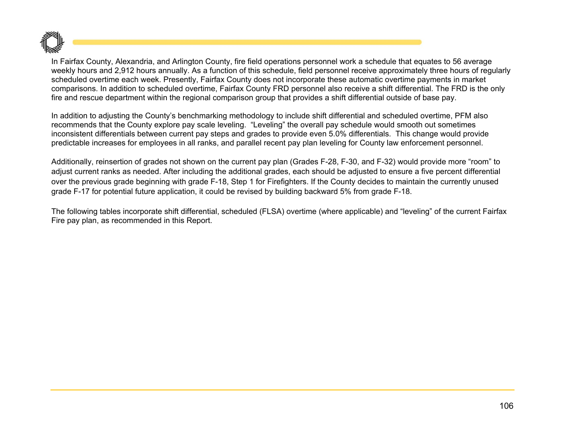

In Fairfax County, Alexandria, and Arlington County, fire field operations personnel work a schedule that equates to 56 average weekly hours and 2,912 hours annually. As a function of this schedule, field personnel receive approximately three hours of regularly scheduled overtime each week. Presently, Fairfax County does not incorporate these automatic overtime payments in market comparisons. In addition to scheduled overtime, Fairfax County FRD personnel also receive a shift differential. The FRD is the only fire and rescue department within the regional comparison group that provides a shift differential outside of base pay.

In addition to adjusting the County's benchmarking methodology to include shift differential and scheduled overtime, PFM also recommends that the County explore pay scale leveling. "Leveling" the overall pay schedule would smooth out sometimes inconsistent differentials between current pay steps and grades to provide even 5.0% differentials. This change would provide predictable increases for employees in all ranks, and parallel recent pay plan leveling for County law enforcement personnel.

Additionally, reinsertion of grades not shown on the current pay plan (Grades F-28, F-30, and F-32) would provide more "room" to adjust current ranks as needed. After including the additional grades, each should be adjusted to ensure a five percent differential over the previous grade beginning with grade F-18, Step 1 for Firefighters. If the County decides to maintain the currently unused grade F-17 for potential future application, it could be revised by building backward 5% from grade F-18.

The following tables incorporate shift differential, scheduled (FLSA) overtime (where applicable) and "leveling" of the current Fairfax Fire pay plan, as recommended in this Report.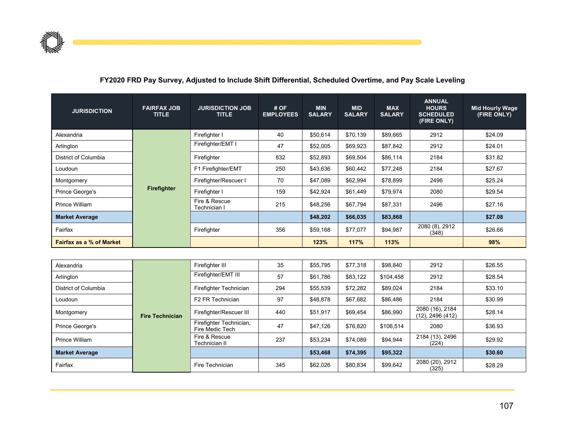

#### **FY2020 FRD Pay Survey, Adjusted to Include Shift Differential, Scheduled Overtime, and Pay Scale Leveling**

| <b>JURISDICTION</b>             | <b>FAIRFAX JOB</b><br><b>TITLE</b> | <b>JURISDICTION JOB</b><br><b>TITLE</b> | #OF<br><b>EMPLOYEES</b> | <b>MIN</b><br><b>SALARY</b> | <b>MID</b><br><b>SALARY</b> | <b>MAX</b><br><b>SALARY</b> | <b>ANNUAL</b><br><b>HOURS</b><br><b>SCHEDULED</b><br>(FIRE ONLY) | <b>Mid Hourly Wage</b><br>(FIRE ONLY) |
|---------------------------------|------------------------------------|-----------------------------------------|-------------------------|-----------------------------|-----------------------------|-----------------------------|------------------------------------------------------------------|---------------------------------------|
| Alexandria                      |                                    | Firefighter I                           | 40                      | \$50,614                    | \$70,139                    | \$89,665                    | 2912                                                             | \$24.09                               |
| Arlington                       |                                    | Firefighter/EMT I                       | 47                      | \$52,005                    | \$69,923                    | \$87,842                    | 2912                                                             | \$24.01                               |
| District of Columbia            |                                    | Firefighter                             | 832                     | \$52,893                    | \$69,504                    | \$86,114                    | 2184                                                             | \$31.82                               |
| Loudoun                         |                                    | F1 Firefighter/EMT                      | 250                     | \$43,636                    | \$60,442                    | \$77,248                    | 2184                                                             | \$27.67                               |
| Montgomery                      |                                    | Firefighter/Rescuer I                   | 70                      | \$47,089                    | \$62,994                    | \$78,899                    | 2496                                                             | \$25.24                               |
| Prince George's                 | <b>Firefighter</b>                 | Firefighter I                           | 159                     | \$42,924                    | \$61,449                    | \$79,974                    | 2080                                                             | \$29.54                               |
| <b>Prince William</b>           |                                    | Fire & Rescue<br>Technician I           | 215                     | \$48,256                    | \$67,794                    | \$87,331                    | 2496                                                             | \$27.16                               |
| <b>Market Average</b>           |                                    |                                         |                         | \$48,202                    | \$66,035                    | \$83,868                    |                                                                  | \$27.08                               |
| Fairfax                         |                                    | Firefighter                             | 356                     | \$59,168                    | \$77,077                    | \$94,987                    | 2080 (8), 2912<br>(348)                                          | \$26.66                               |
| <b>Fairfax as a % of Market</b> |                                    |                                         |                         | 123%                        | 117%                        | 113%                        |                                                                  | 98%                                   |
|                                 |                                    |                                         |                         |                             |                             |                             |                                                                  |                                       |

| Alexandria            |                        | Firefighter III                            | 35  | \$55,795 | \$77,318 | \$98,840  | 2912                                | \$26.55 |
|-----------------------|------------------------|--------------------------------------------|-----|----------|----------|-----------|-------------------------------------|---------|
| Arlington             |                        | Firefighter/EMT III                        | 57  | \$61,786 | \$83,122 | \$104,458 | 2912                                | \$28.54 |
| District of Columbia  |                        | Firefighter Technician                     | 294 | \$55,539 | \$72,282 | \$89,024  | 2184                                | \$33.10 |
| Loudoun               |                        | F2 FR Technician                           | 97  | \$48,878 | \$67,682 | \$86,486  | 2184                                | \$30.99 |
| Montgomery            | <b>Fire Technician</b> | Firefighter/Rescuer III                    | 440 | \$51,917 | \$69,454 | \$86,990  | 2080 (16), 2184<br>(12), 2496 (412) | \$28.14 |
| Prince George's       |                        | Firefighter Technician,<br>Fire Medic Tech | 47  | \$47,126 | \$76,820 | \$106,514 | 2080                                | \$36.93 |
| Prince William        |                        | Fire & Rescue<br>Technician II             | 237 | \$53,234 | \$74.089 | \$94,944  | 2184 (13), 2496<br>(224)            | \$29.92 |
| <b>Market Average</b> |                        |                                            |     | \$53,468 | \$74,395 | \$95,322  |                                     | \$30.60 |
| Fairfax               |                        | Fire Technician                            | 345 | \$62.026 | \$80.834 | \$99,642  | 2080 (20), 2912<br>(325)            | \$28.29 |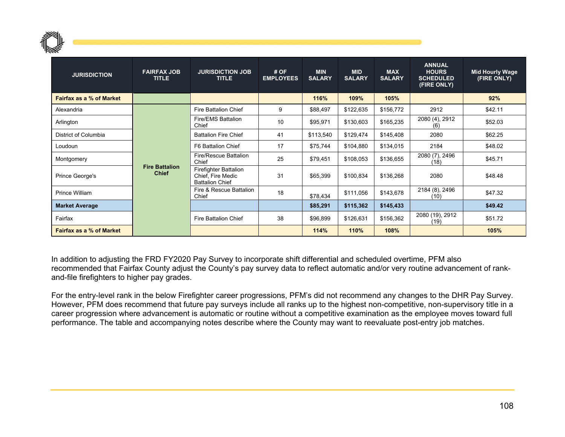

| <b>JURISDICTION</b>             | <b>FAIRFAX JOB</b><br><b>TITLE</b>    | <b>JURISDICTION JOB</b><br><b>TITLE</b>                              | #OF<br><b>EMPLOYEES</b> | <b>MIN</b><br><b>SALARY</b> | <b>MID</b><br><b>SALARY</b> | <b>MAX</b><br><b>SALARY</b> | <b>ANNUAL</b><br><b>HOURS</b><br><b>SCHEDULED</b><br>(FIRE ONLY) | <b>Mid Hourly Wage</b><br>(FIRE ONLY) |
|---------------------------------|---------------------------------------|----------------------------------------------------------------------|-------------------------|-----------------------------|-----------------------------|-----------------------------|------------------------------------------------------------------|---------------------------------------|
| Fairfax as a % of Market        |                                       |                                                                      |                         | 116%                        | 109%                        | 105%                        |                                                                  | 92%                                   |
| Alexandria                      | <b>Fire Battalion</b><br><b>Chief</b> | <b>Fire Battalion Chief</b>                                          | 9                       | \$88,497                    | \$122,635                   | \$156,772                   | 2912                                                             | \$42.11                               |
| Arlington                       |                                       | Fire/EMS Battalion<br>Chief                                          | 10                      | \$95,971                    | \$130,603                   | \$165,235                   | 2080 (4), 2912<br>(6)                                            | \$52.03                               |
| District of Columbia            |                                       | <b>Battalion Fire Chief</b>                                          | 41                      | \$113,540                   | \$129,474                   | \$145,408                   | 2080                                                             | \$62.25                               |
| Loudoun                         |                                       | F6 Battalion Chief                                                   | 17                      | \$75,744                    | \$104,880                   | \$134,015                   | 2184                                                             | \$48.02                               |
| Montgomery                      |                                       | Fire/Rescue Battalion<br>Chief                                       | 25                      | \$79,451                    | \$108,053                   | \$136,655                   | 2080 (7), 2496<br>(18)                                           | \$45.71                               |
| Prince George's                 |                                       | Firefighter Battalion<br>Chief, Fire Medic<br><b>Battalion Chief</b> | 31                      | \$65,399                    | \$100,834                   | \$136,268                   | 2080                                                             | \$48.48                               |
| Prince William                  |                                       | Fire & Rescue Battalion<br>Chief                                     | 18                      | \$78,434                    | \$111,056                   | \$143,678                   | 2184 (8), 2496<br>(10)                                           | \$47.32                               |
| <b>Market Average</b>           |                                       |                                                                      |                         | \$85,291                    | \$115,362                   | \$145,433                   |                                                                  | \$49.42                               |
| Fairfax                         |                                       | Fire Battalion Chief                                                 | 38                      | \$96,899                    | \$126,631                   | \$156,362                   | 2080 (19), 2912<br>(19)                                          | \$51.72                               |
| <b>Fairfax as a % of Market</b> |                                       |                                                                      |                         | 114%                        | 110%                        | 108%                        |                                                                  | 105%                                  |

In addition to adjusting the FRD FY2020 Pay Survey to incorporate shift differential and scheduled overtime, PFM also recommended that Fairfax County adjust the County's pay survey data to reflect automatic and/or very routine advancement of rankand-file firefighters to higher pay grades.

For the entry-level rank in the below Firefighter career progressions, PFM's did not recommend any changes to the DHR Pay Survey. However, PFM does recommend that future pay surveys include all ranks up to the highest non-competitive, non-supervisory title in a career progression where advancement is automatic or routine without a competitive examination as the employee moves toward full performance. The table and accompanying notes describe where the County may want to reevaluate post-entry job matches.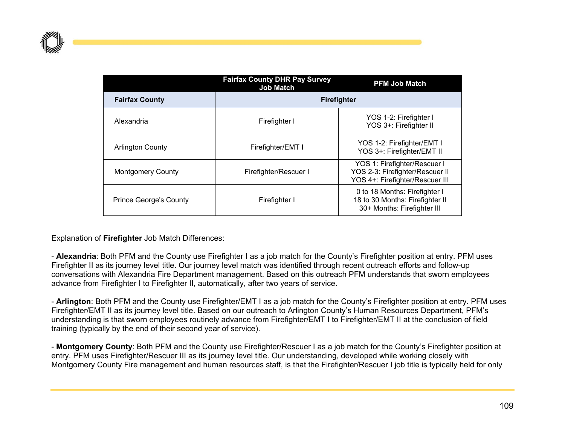

|                               | <b>Fairfax County DHR Pay Survey</b><br><b>Job Match</b> | <b>PFM Job Match</b>                                                                               |
|-------------------------------|----------------------------------------------------------|----------------------------------------------------------------------------------------------------|
| <b>Fairfax County</b>         |                                                          | <b>Firefighter</b>                                                                                 |
| Alexandria                    | Firefighter I                                            | YOS 1-2: Firefighter I<br>YOS 3+: Firefighter II                                                   |
| <b>Arlington County</b>       | Firefighter/EMT I                                        | YOS 1-2: Firefighter/EMT I<br>YOS 3+: Firefighter/EMT II                                           |
| <b>Montgomery County</b>      | Firefighter/Rescuer I                                    | YOS 1: Firefighter/Rescuer I<br>YOS 2-3: Firefighter/Rescuer II<br>YOS 4+: Firefighter/Rescuer III |
| <b>Prince George's County</b> | Firefighter I                                            | 0 to 18 Months: Firefighter I<br>18 to 30 Months: Firefighter II<br>30+ Months: Firefighter III    |

Explanation of **Firefighter** Job Match Differences:

- **Alexandria**: Both PFM and the County use Firefighter I as a job match for the County's Firefighter position at entry. PFM uses Firefighter II as its journey level title. Our journey level match was identified through recent outreach efforts and follow-up conversations with Alexandria Fire Department management. Based on this outreach PFM understands that sworn employees advance from Firefighter I to Firefighter II, automatically, after two years of service.

- **Arlington**: Both PFM and the County use Firefighter/EMT I as a job match for the County's Firefighter position at entry. PFM uses Firefighter/EMT II as its journey level title. Based on our outreach to Arlington County's Human Resources Department, PFM's understanding is that sworn employees routinely advance from Firefighter/EMT I to Firefighter/EMT II at the conclusion of field training (typically by the end of their second year of service).

- **Montgomery County**: Both PFM and the County use Firefighter/Rescuer I as a job match for the County's Firefighter position at entry. PFM uses Firefighter/Rescuer III as its journey level title. Our understanding, developed while working closely with Montgomery County Fire management and human resources staff, is that the Firefighter/Rescuer I job title is typically held for only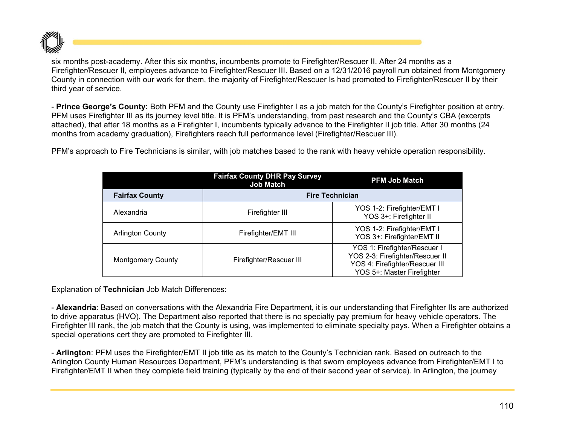

six months post-academy. After this six months, incumbents promote to Firefighter/Rescuer II. After 24 months as a Firefighter/Rescuer II, employees advance to Firefighter/Rescuer III. Based on a 12/31/2016 payroll run obtained from Montgomery County in connection with our work for them, the majority of Firefighter/Rescuer Is had promoted to Firefighter/Rescuer II by their third year of service.

- **Prince George's County:** Both PFM and the County use Firefighter I as a job match for the County's Firefighter position at entry. PFM uses Firefighter III as its journey level title. It is PFM's understanding, from past research and the County's CBA (excerpts attached), that after 18 months as a Firefighter I, incumbents typically advance to the Firefighter II job title. After 30 months (24 months from academy graduation), Firefighters reach full performance level (Firefighter/Rescuer III).

PFM's approach to Fire Technicians is similar, with job matches based to the rank with heavy vehicle operation responsibility.

|                          | <b>Fairfax County DHR Pay Survey</b><br><b>Job Match</b> | <b>PFM Job Match</b>                                                                                                            |  |  |  |  |
|--------------------------|----------------------------------------------------------|---------------------------------------------------------------------------------------------------------------------------------|--|--|--|--|
| <b>Fairfax County</b>    | <b>Fire Technician</b>                                   |                                                                                                                                 |  |  |  |  |
| Alexandria               | Firefighter III                                          | YOS 1-2: Firefighter/EMT I<br>YOS 3+: Firefighter II                                                                            |  |  |  |  |
| <b>Arlington County</b>  | Firefighter/EMT III                                      | YOS 1-2: Firefighter/EMT I<br>YOS 3+: Firefighter/EMT II                                                                        |  |  |  |  |
| <b>Montgomery County</b> | Firefighter/Rescuer III                                  | YOS 1: Firefighter/Rescuer I<br>YOS 2-3: Firefighter/Rescuer II<br>YOS 4: Firefighter/Rescuer III<br>YOS 5+: Master Firefighter |  |  |  |  |

Explanation of **Technician** Job Match Differences:

- **Alexandria**: Based on conversations with the Alexandria Fire Department, it is our understanding that Firefighter IIs are authorized to drive apparatus (HVO). The Department also reported that there is no specialty pay premium for heavy vehicle operators. The Firefighter III rank, the job match that the County is using, was implemented to eliminate specialty pays. When a Firefighter obtains a special operations cert they are promoted to Firefighter III.

- **Arlington**: PFM uses the Firefighter/EMT II job title as its match to the County's Technician rank. Based on outreach to the Arlington County Human Resources Department, PFM's understanding is that sworn employees advance from Firefighter/EMT I to Firefighter/EMT II when they complete field training (typically by the end of their second year of service). In Arlington, the journey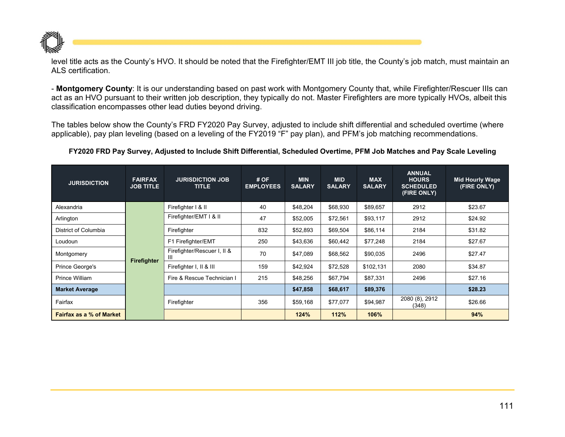

level title acts as the County's HVO. It should be noted that the Firefighter/EMT III job title, the County's job match, must maintain an ALS certification.

- **Montgomery County**: It is our understanding based on past work with Montgomery County that, while Firefighter/Rescuer IIIs can act as an HVO pursuant to their written job description, they typically do not. Master Firefighters are more typically HVOs, albeit this classification encompasses other lead duties beyond driving.

The tables below show the County's FRD FY2020 Pay Survey, adjusted to include shift differential and scheduled overtime (where applicable), pay plan leveling (based on a leveling of the FY2019 "F" pay plan), and PFM's job matching recommendations.

## **FY2020 FRD Pay Survey, Adjusted to Include Shift Differential, Scheduled Overtime, PFM Job Matches and Pay Scale Leveling**

| <b>JURISDICTION</b>             | <b>FAIRFAX</b><br><b>JOB TITLE</b> | <b>JURISDICTION JOB</b><br><b>TITLE</b> | #OF<br><b>EMPLOYEES</b> | <b>MIN</b><br><b>SALARY</b> | <b>MID</b><br><b>SALARY</b> | <b>MAX</b><br><b>SALARY</b> | <b>ANNUAL</b><br><b>HOURS</b><br><b>SCHEDULED</b><br>(FIRE ONLY) | <b>Mid Hourly Wage</b><br>(FIRE ONLY) |
|---------------------------------|------------------------------------|-----------------------------------------|-------------------------|-----------------------------|-----------------------------|-----------------------------|------------------------------------------------------------------|---------------------------------------|
| Alexandria                      |                                    | Firefighter I & II                      | 40                      | \$48,204                    | \$68,930                    | \$89,657                    | 2912                                                             | \$23.67                               |
| Arlington                       |                                    | Firefighter/EMT I & II                  | 47                      | \$52,005                    | \$72,561                    | \$93,117                    | 2912                                                             | \$24.92                               |
| District of Columbia            |                                    | Firefighter                             | 832                     | \$52,893                    | \$69,504                    | \$86,114                    | 2184                                                             | \$31.82                               |
| Loudoun                         |                                    | F1 Firefighter/EMT                      | 250                     | \$43,636                    | \$60,442                    | \$77,248                    | 2184                                                             | \$27.67                               |
| Montgomery                      | Firefighter                        | Firefighter/Rescuer I, II &<br>Ш        | 70                      | \$47,089                    | \$68,562                    | \$90,035                    | 2496                                                             | \$27.47                               |
| Prince George's                 |                                    | Firefighter I, II & III                 | 159                     | \$42,924                    | \$72,528                    | \$102,131                   | 2080                                                             | \$34.87                               |
| Prince William                  |                                    | Fire & Rescue Technician I              | 215                     | \$48,256                    | \$67,794                    | \$87,331                    | 2496                                                             | \$27.16                               |
| <b>Market Average</b>           |                                    |                                         |                         | \$47,858                    | \$68,617                    | \$89,376                    |                                                                  | \$28.23                               |
| Fairfax                         |                                    | Firefighter                             | 356                     | \$59,168                    | \$77,077                    | \$94,987                    | 2080 (8), 2912<br>(348)                                          | \$26.66                               |
| <b>Fairfax as a % of Market</b> |                                    |                                         |                         | 124%                        | 112%                        | 106%                        |                                                                  | 94%                                   |